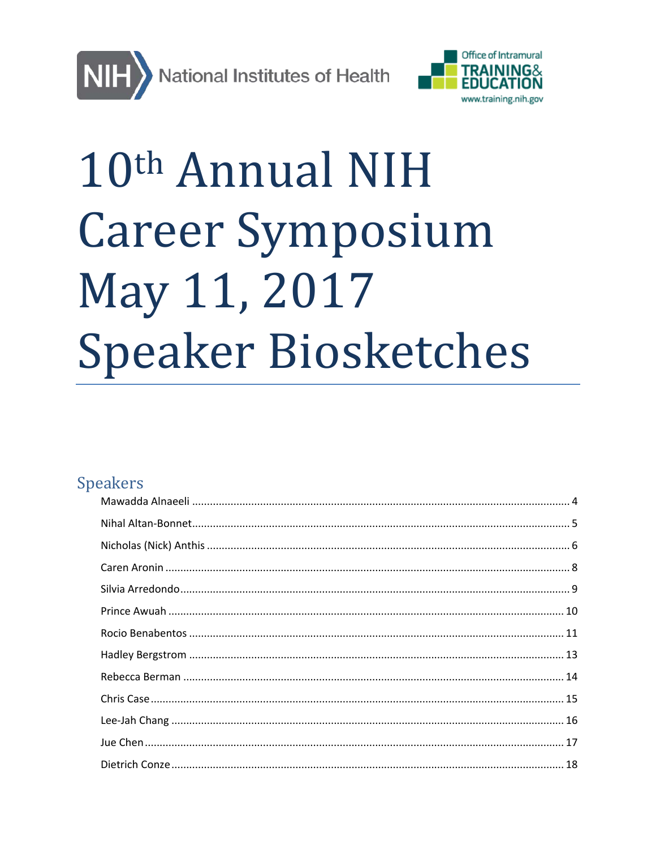



# 10th Annual NIH **Career Symposium** May 11, 2017 **Speaker Biosketches**

# **Speakers**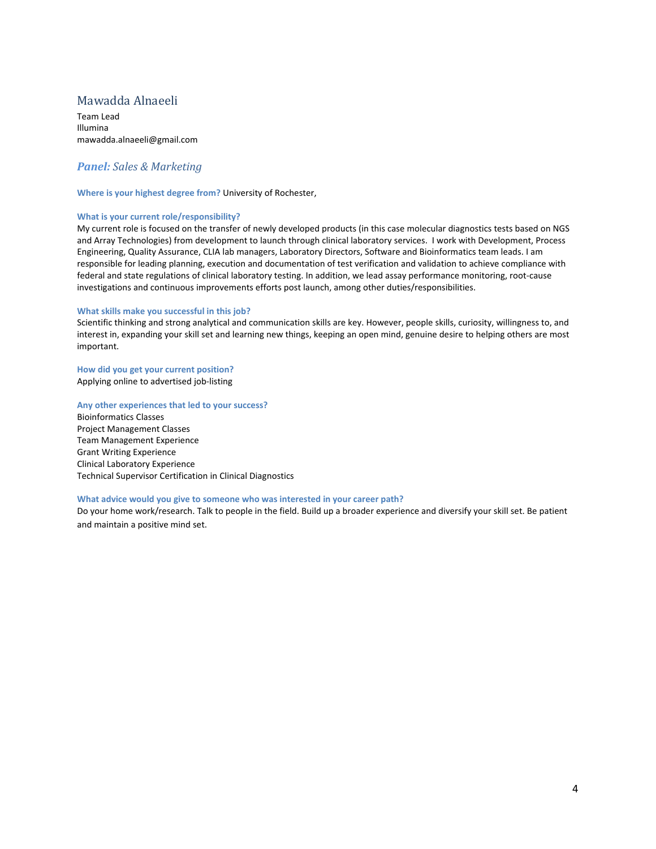# <span id="page-3-0"></span>Mawadda Alnaeeli

Team Lead Illumina mawadda.alnaeeli@gmail.com

## *Panel: Sales & Marketing*

**Where is your highest degree from?** University of Rochester,

#### **What is your current role/responsibility?**

My current role is focused on the transfer of newly developed products (in this case molecular diagnostics tests based on NGS and Array Technologies) from development to launch through clinical laboratory services. I work with Development, Process Engineering, Quality Assurance, CLIA lab managers, Laboratory Directors, Software and Bioinformatics team leads. I am responsible for leading planning, execution and documentation of test verification and validation to achieve compliance with federal and state regulations of clinical laboratory testing. In addition, we lead assay performance monitoring, root-cause investigations and continuous improvements efforts post launch, among other duties/responsibilities.

#### **What skills make you successful in this job?**

Scientific thinking and strong analytical and communication skills are key. However, people skills, curiosity, willingness to, and interest in, expanding your skill set and learning new things, keeping an open mind, genuine desire to helping others are most important.

**How did you get your current position?**  Applying online to advertised job-listing

#### **Any other experiences that led to your success?**

Bioinformatics Classes Project Management Classes Team Management Experience Grant Writing Experience Clinical Laboratory Experience Technical Supervisor Certification in Clinical Diagnostics

#### **What advice would you give to someone who was interested in your career path?**

Do your home work/research. Talk to people in the field. Build up a broader experience and diversify your skill set. Be patient and maintain a positive mind set.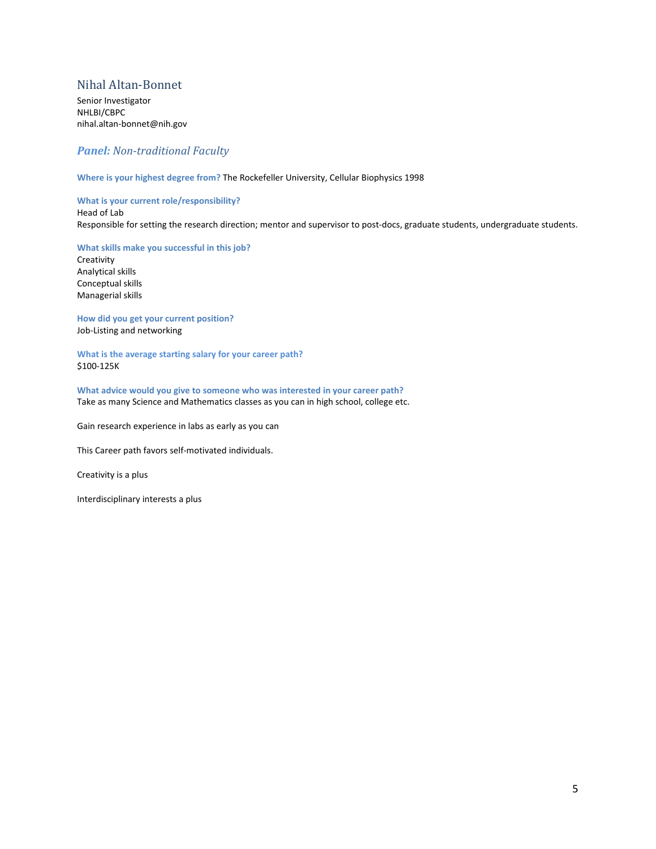# <span id="page-4-0"></span>Nihal Altan-Bonnet

Senior Investigator NHLBI/CBPC nihal.altan-bonnet@nih.gov

# *Panel: Non-traditional Faculty*

**Where is your highest degree from?** The Rockefeller University, Cellular Biophysics 1998

**What is your current role/responsibility?** 

Head of Lab Responsible for setting the research direction; mentor and supervisor to post-docs, graduate students, undergraduate students.

**What skills make you successful in this job?**  Creativity Analytical skills Conceptual skills Managerial skills

**How did you get your current position?**  Job-Listing and networking

**What is the average starting salary for your career path?** \$100-125K

**What advice would you give to someone who was interested in your career path?** Take as many Science and Mathematics classes as you can in high school, college etc.

Gain research experience in labs as early as you can

This Career path favors self-motivated individuals.

Creativity is a plus

Interdisciplinary interests a plus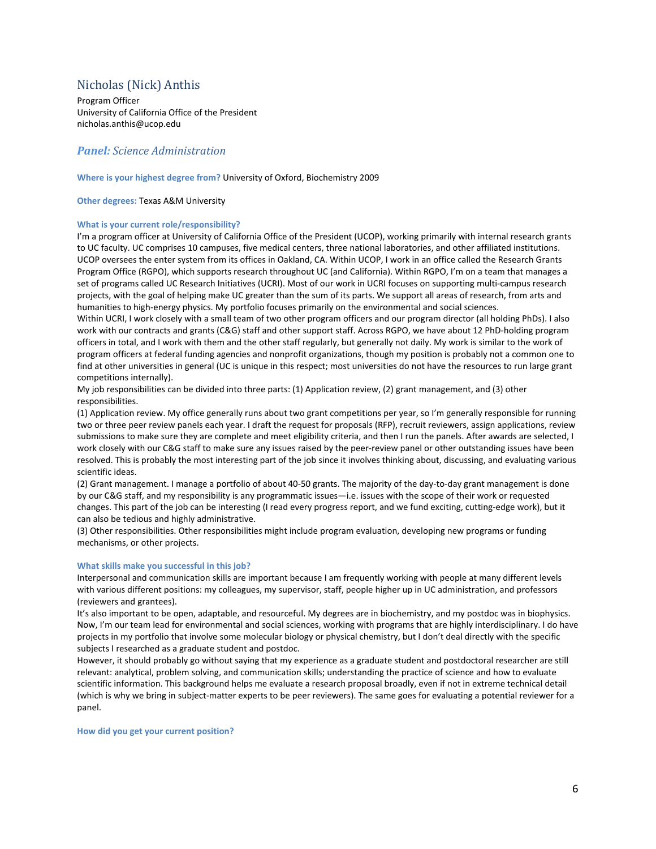# <span id="page-5-0"></span>Nicholas (Nick) Anthis

Program Officer University of California Office of the President nicholas.anthis@ucop.edu

## *Panel: Science Administration*

#### **Where is your highest degree from?** University of Oxford, Biochemistry 2009

#### **Other degrees:** Texas A&M University

#### **What is your current role/responsibility?**

I'm a program officer at University of California Office of the President (UCOP), working primarily with internal research grants to UC faculty. UC comprises 10 campuses, five medical centers, three national laboratories, and other affiliated institutions. UCOP oversees the enter system from its offices in Oakland, CA. Within UCOP, I work in an office called the Research Grants Program Office (RGPO), which supports research throughout UC (and California). Within RGPO, I'm on a team that manages a set of programs called UC Research Initiatives (UCRI). Most of our work in UCRI focuses on supporting multi-campus research projects, with the goal of helping make UC greater than the sum of its parts. We support all areas of research, from arts and humanities to high-energy physics. My portfolio focuses primarily on the environmental and social sciences.

Within UCRI, I work closely with a small team of two other program officers and our program director (all holding PhDs). I also work with our contracts and grants (C&G) staff and other support staff. Across RGPO, we have about 12 PhD-holding program officers in total, and I work with them and the other staff regularly, but generally not daily. My work is similar to the work of program officers at federal funding agencies and nonprofit organizations, though my position is probably not a common one to find at other universities in general (UC is unique in this respect; most universities do not have the resources to run large grant competitions internally).

My job responsibilities can be divided into three parts: (1) Application review, (2) grant management, and (3) other responsibilities.

(1) Application review. My office generally runs about two grant competitions per year, so I'm generally responsible for running two or three peer review panels each year. I draft the request for proposals (RFP), recruit reviewers, assign applications, review submissions to make sure they are complete and meet eligibility criteria, and then I run the panels. After awards are selected, I work closely with our C&G staff to make sure any issues raised by the peer-review panel or other outstanding issues have been resolved. This is probably the most interesting part of the job since it involves thinking about, discussing, and evaluating various scientific ideas.

(2) Grant management. I manage a portfolio of about 40-50 grants. The majority of the day-to-day grant management is done by our C&G staff, and my responsibility is any programmatic issues—i.e. issues with the scope of their work or requested changes. This part of the job can be interesting (I read every progress report, and we fund exciting, cutting-edge work), but it can also be tedious and highly administrative.

(3) Other responsibilities. Other responsibilities might include program evaluation, developing new programs or funding mechanisms, or other projects.

#### **What skills make you successful in this job?**

Interpersonal and communication skills are important because I am frequently working with people at many different levels with various different positions: my colleagues, my supervisor, staff, people higher up in UC administration, and professors (reviewers and grantees).

It's also important to be open, adaptable, and resourceful. My degrees are in biochemistry, and my postdoc was in biophysics. Now, I'm our team lead for environmental and social sciences, working with programs that are highly interdisciplinary. I do have projects in my portfolio that involve some molecular biology or physical chemistry, but I don't deal directly with the specific subjects I researched as a graduate student and postdoc.

However, it should probably go without saying that my experience as a graduate student and postdoctoral researcher are still relevant: analytical, problem solving, and communication skills; understanding the practice of science and how to evaluate scientific information. This background helps me evaluate a research proposal broadly, even if not in extreme technical detail (which is why we bring in subject-matter experts to be peer reviewers). The same goes for evaluating a potential reviewer for a panel.

**How did you get your current position?**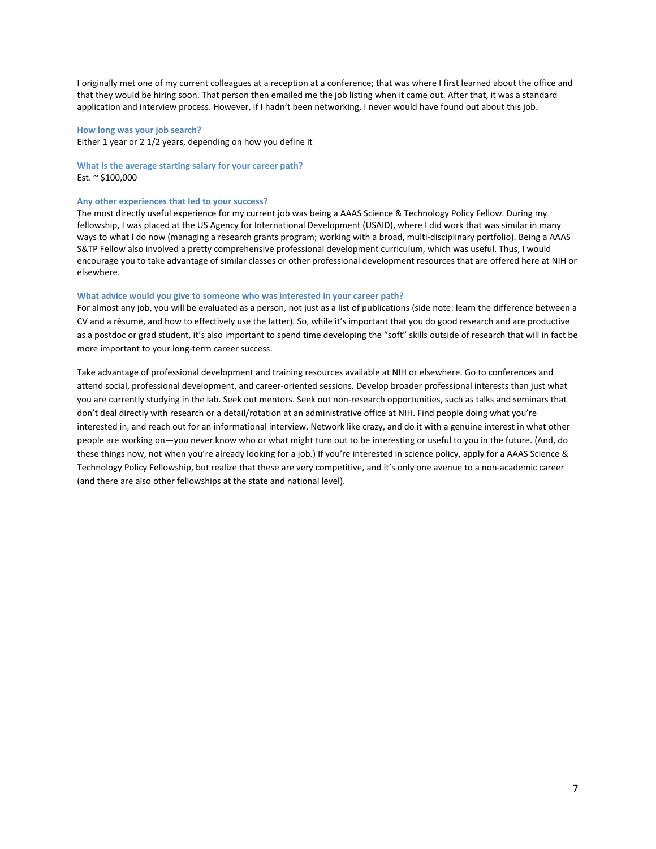I originally met one of my current colleagues at a reception at a conference; that was where I first learned about the office and that they would be hiring soon. That person then emailed me the job listing when it came out. After that, it was a standard application and interview process. However, if I hadn't been networking, I never would have found out about this job.

#### **How long was your job search?**

Either 1 year or 2 1/2 years, depending on how you define it

#### **What is the average starting salary for your career path?** Est. ~ \$100,000

#### **Any other experiences that led to your success?**

The most directly useful experience for my current job was being a AAAS Science & Technology Policy Fellow. During my fellowship, I was placed at the US Agency for International Development (USAID), where I did work that was similar in many ways to what I do now (managing a research grants program; working with a broad, multi-disciplinary portfolio). Being a AAAS S&TP Fellow also involved a pretty comprehensive professional development curriculum, which was useful. Thus, I would encourage you to take advantage of similar classes or other professional development resources that are offered here at NIH or elsewhere.

#### **What advice would you give to someone who was interested in your career path?**

For almost any job, you will be evaluated as a person, not just as a list of publications (side note: learn the difference between a CV and a résumé, and how to effectively use the latter). So, while it's important that you do good research and are productive as a postdoc or grad student, it's also important to spend time developing the "soft" skills outside of research that will in fact be more important to your long-term career success.

Take advantage of professional development and training resources available at NIH or elsewhere. Go to conferences and attend social, professional development, and career-oriented sessions. Develop broader professional interests than just what you are currently studying in the lab. Seek out mentors. Seek out non-research opportunities, such as talks and seminars that don't deal directly with research or a detail/rotation at an administrative office at NIH. Find people doing what you're interested in, and reach out for an informational interview. Network like crazy, and do it with a genuine interest in what other people are working on—you never know who or what might turn out to be interesting or useful to you in the future. (And, do these things now, not when you're already looking for a job.) If you're interested in science policy, apply for a AAAS Science & Technology Policy Fellowship, but realize that these are very competitive, and it's only one avenue to a non-academic career (and there are also other fellowships at the state and national level).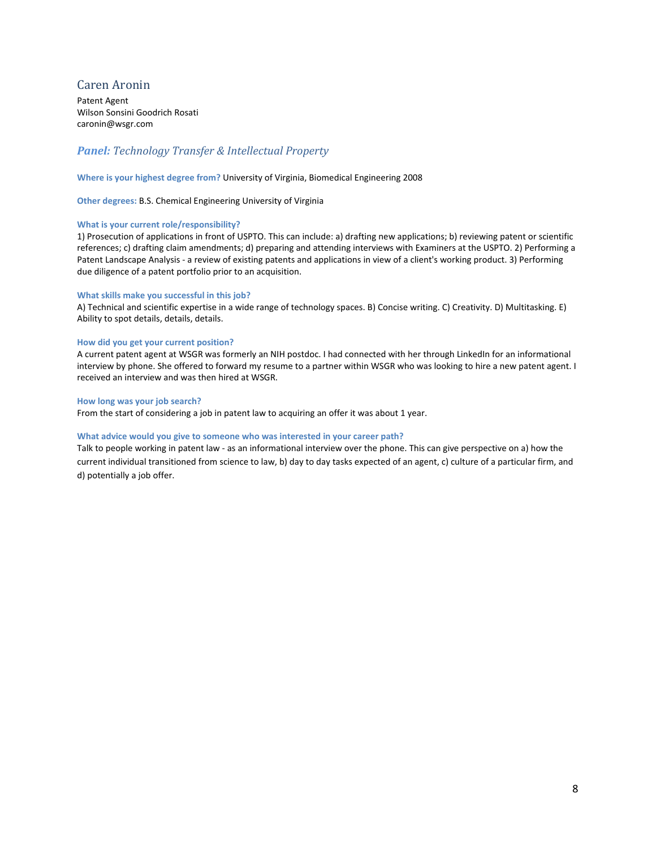# <span id="page-7-0"></span>Caren Aronin

Patent Agent Wilson Sonsini Goodrich Rosati caronin@wsgr.com

# *Panel: Technology Transfer & Intellectual Property*

#### **Where is your highest degree from?** University of Virginia, Biomedical Engineering 2008

**Other degrees:** B.S. Chemical Engineering University of Virginia

#### **What is your current role/responsibility?**

1) Prosecution of applications in front of USPTO. This can include: a) drafting new applications; b) reviewing patent or scientific references; c) drafting claim amendments; d) preparing and attending interviews with Examiners at the USPTO. 2) Performing a Patent Landscape Analysis - a review of existing patents and applications in view of a client's working product. 3) Performing due diligence of a patent portfolio prior to an acquisition.

#### **What skills make you successful in this job?**

A) Technical and scientific expertise in a wide range of technology spaces. B) Concise writing. C) Creativity. D) Multitasking. E) Ability to spot details, details, details.

#### **How did you get your current position?**

A current patent agent at WSGR was formerly an NIH postdoc. I had connected with her through LinkedIn for an informational interview by phone. She offered to forward my resume to a partner within WSGR who was looking to hire a new patent agent. I received an interview and was then hired at WSGR.

#### **How long was your job search?**

From the start of considering a job in patent law to acquiring an offer it was about 1 year.

#### **What advice would you give to someone who was interested in your career path?**

Talk to people working in patent law - as an informational interview over the phone. This can give perspective on a) how the current individual transitioned from science to law, b) day to day tasks expected of an agent, c) culture of a particular firm, and d) potentially a job offer.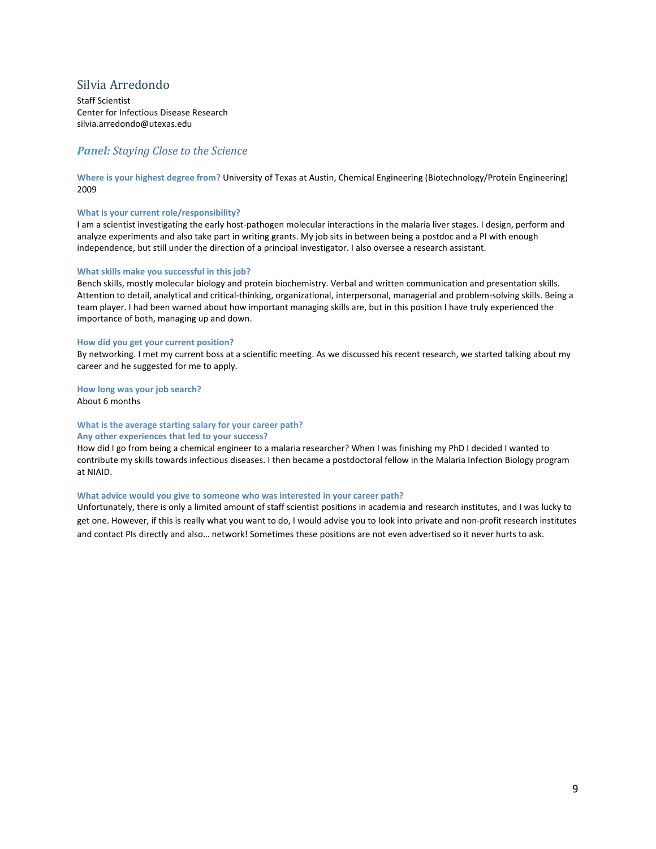# <span id="page-8-0"></span>Silvia Arredondo

Staff Scientist Center for Infectious Disease Research silvia.arredondo@utexas.edu

## *Panel: Staying Close to the Science*

**Where is your highest degree from?** University of Texas at Austin, Chemical Engineering (Biotechnology/Protein Engineering) 2009

#### **What is your current role/responsibility?**

I am a scientist investigating the early host-pathogen molecular interactions in the malaria liver stages. I design, perform and analyze experiments and also take part in writing grants. My job sits in between being a postdoc and a PI with enough independence, but still under the direction of a principal investigator. I also oversee a research assistant.

#### **What skills make you successful in this job?**

Bench skills, mostly molecular biology and protein biochemistry. Verbal and written communication and presentation skills. Attention to detail, analytical and critical-thinking, organizational, interpersonal, managerial and problem-solving skills. Being a team player. I had been warned about how important managing skills are, but in this position I have truly experienced the importance of both, managing up and down.

#### **How did you get your current position?**

By networking. I met my current boss at a scientific meeting. As we discussed his recent research, we started talking about my career and he suggested for me to apply.

**How long was your job search?** About 6 months

## **What is the average starting salary for your career path? Any other experiences that led to your success?**

How did I go from being a chemical engineer to a malaria researcher? When I was finishing my PhD I decided I wanted to

contribute my skills towards infectious diseases. I then became a postdoctoral fellow in the Malaria Infection Biology program at NIAID.

#### **What advice would you give to someone who was interested in your career path?**

Unfortunately, there is only a limited amount of staff scientist positions in academia and research institutes, and I was lucky to get one. However, if this is really what you want to do, I would advise you to look into private and non-profit research institutes and contact PIs directly and also… network! Sometimes these positions are not even advertised so it never hurts to ask.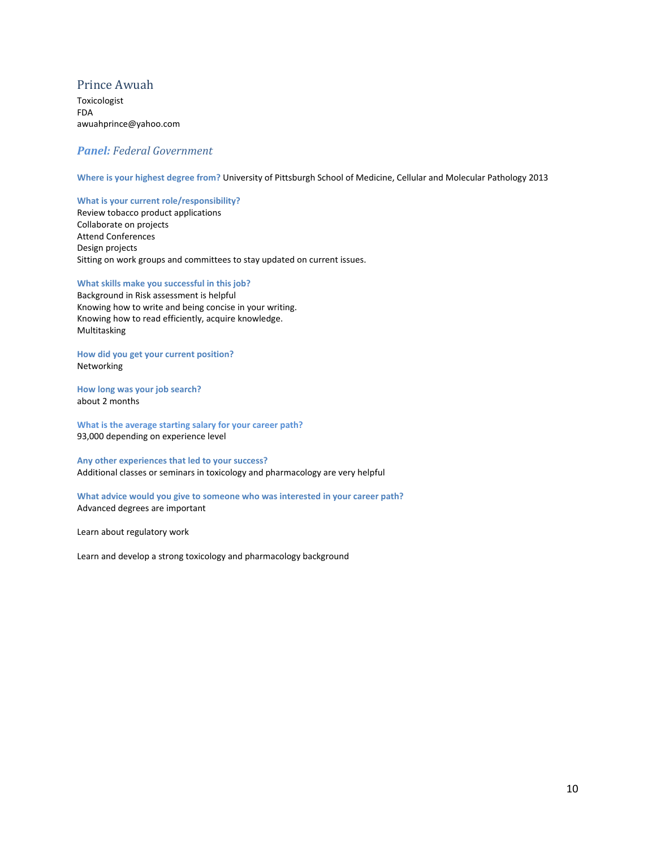# <span id="page-9-0"></span>Prince Awuah

Toxicologist FDA awuahprince@yahoo.com

## *Panel: Federal Government*

**Where is your highest degree from?** University of Pittsburgh School of Medicine, Cellular and Molecular Pathology 2013

#### **What is your current role/responsibility?**

Review tobacco product applications Collaborate on projects Attend Conferences Design projects Sitting on work groups and committees to stay updated on current issues.

## **What skills make you successful in this job?**

Background in Risk assessment is helpful Knowing how to write and being concise in your writing. Knowing how to read efficiently, acquire knowledge. Multitasking

**How did you get your current position?**  Networking

**How long was your job search?** about 2 months

**What is the average starting salary for your career path?** 93,000 depending on experience level

**Any other experiences that led to your success?** Additional classes or seminars in toxicology and pharmacology are very helpful

**What advice would you give to someone who was interested in your career path?** Advanced degrees are important

Learn about regulatory work

Learn and develop a strong toxicology and pharmacology background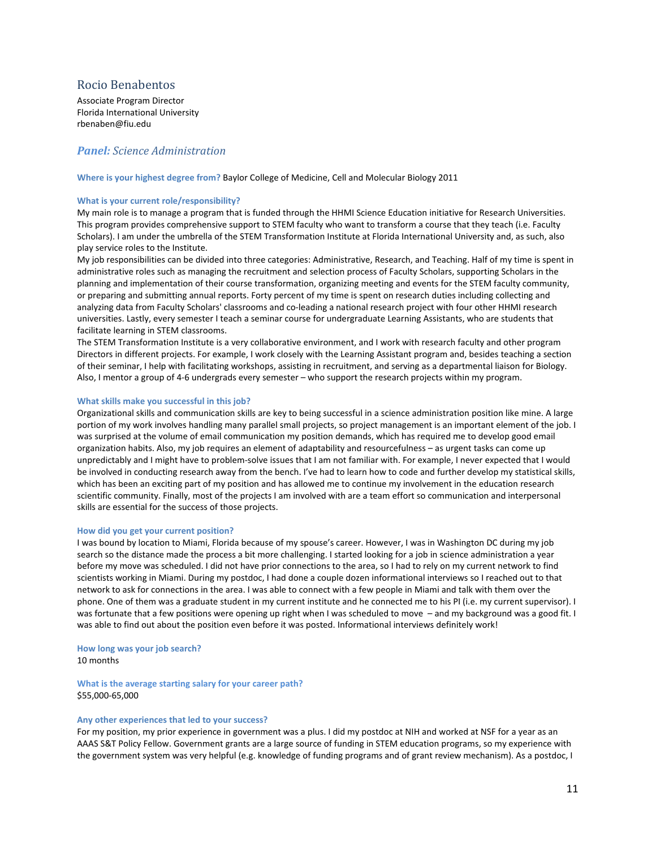## <span id="page-10-0"></span>Rocio Benabentos

Associate Program Director Florida International University rbenaben@fiu.edu

## *Panel: Science Administration*

**Where is your highest degree from?** Baylor College of Medicine, Cell and Molecular Biology 2011

#### **What is your current role/responsibility?**

My main role is to manage a program that is funded through the HHMI Science Education initiative for Research Universities. This program provides comprehensive support to STEM faculty who want to transform a course that they teach (i.e. Faculty Scholars). I am under the umbrella of the STEM Transformation Institute at Florida International University and, as such, also play service roles to the Institute.

My job responsibilities can be divided into three categories: Administrative, Research, and Teaching. Half of my time is spent in administrative roles such as managing the recruitment and selection process of Faculty Scholars, supporting Scholars in the planning and implementation of their course transformation, organizing meeting and events for the STEM faculty community, or preparing and submitting annual reports. Forty percent of my time is spent on research duties including collecting and analyzing data from Faculty Scholars' classrooms and co-leading a national research project with four other HHMI research universities. Lastly, every semester I teach a seminar course for undergraduate Learning Assistants, who are students that facilitate learning in STEM classrooms.

The STEM Transformation Institute is a very collaborative environment, and I work with research faculty and other program Directors in different projects. For example, I work closely with the Learning Assistant program and, besides teaching a section of their seminar, I help with facilitating workshops, assisting in recruitment, and serving as a departmental liaison for Biology. Also, I mentor a group of 4-6 undergrads every semester – who support the research projects within my program.

#### **What skills make you successful in this job?**

Organizational skills and communication skills are key to being successful in a science administration position like mine. A large portion of my work involves handling many parallel small projects, so project management is an important element of the job. I was surprised at the volume of email communication my position demands, which has required me to develop good email organization habits. Also, my job requires an element of adaptability and resourcefulness – as urgent tasks can come up unpredictably and I might have to problem-solve issues that I am not familiar with. For example, I never expected that I would be involved in conducting research away from the bench. I've had to learn how to code and further develop my statistical skills, which has been an exciting part of my position and has allowed me to continue my involvement in the education research scientific community. Finally, most of the projects I am involved with are a team effort so communication and interpersonal skills are essential for the success of those projects.

#### **How did you get your current position?**

I was bound by location to Miami, Florida because of my spouse's career. However, I was in Washington DC during my job search so the distance made the process a bit more challenging. I started looking for a job in science administration a year before my move was scheduled. I did not have prior connections to the area, so I had to rely on my current network to find scientists working in Miami. During my postdoc, I had done a couple dozen informational interviews so I reached out to that network to ask for connections in the area. I was able to connect with a few people in Miami and talk with them over the phone. One of them was a graduate student in my current institute and he connected me to his PI (i.e. my current supervisor). I was fortunate that a few positions were opening up right when I was scheduled to move – and my background was a good fit. I was able to find out about the position even before it was posted. Informational interviews definitely work!

#### **How long was your job search?**

10 months

**What is the average starting salary for your career path?** \$55,000-65,000

#### **Any other experiences that led to your success?**

For my position, my prior experience in government was a plus. I did my postdoc at NIH and worked at NSF for a year as an AAAS S&T Policy Fellow. Government grants are a large source of funding in STEM education programs, so my experience with the government system was very helpful (e.g. knowledge of funding programs and of grant review mechanism). As a postdoc, I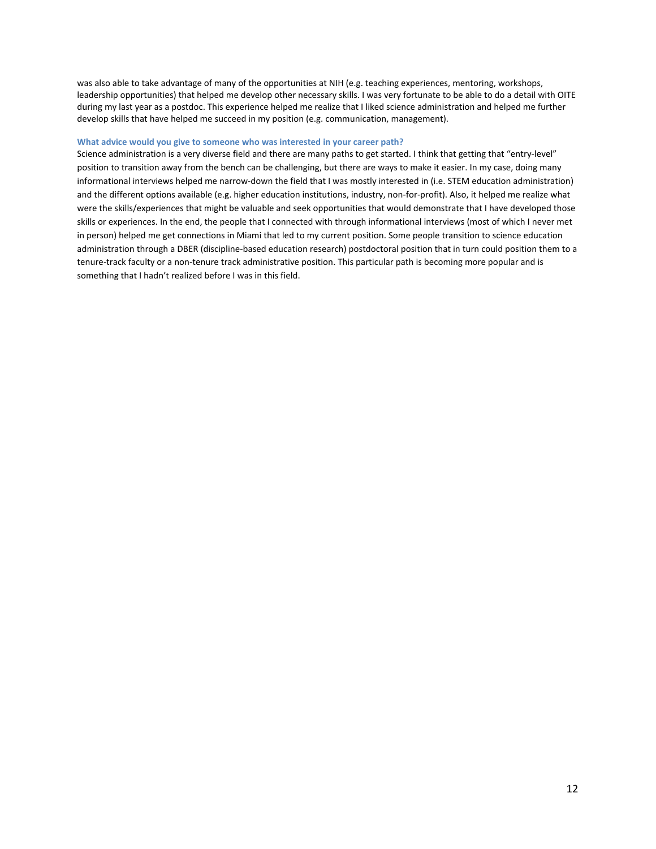was also able to take advantage of many of the opportunities at NIH (e.g. teaching experiences, mentoring, workshops, leadership opportunities) that helped me develop other necessary skills. I was very fortunate to be able to do a detail with OITE during my last year as a postdoc. This experience helped me realize that I liked science administration and helped me further develop skills that have helped me succeed in my position (e.g. communication, management).

#### **What advice would you give to someone who was interested in your career path?**

Science administration is a very diverse field and there are many paths to get started. I think that getting that "entry-level" position to transition away from the bench can be challenging, but there are ways to make it easier. In my case, doing many informational interviews helped me narrow-down the field that I was mostly interested in (i.e. STEM education administration) and the different options available (e.g. higher education institutions, industry, non-for-profit). Also, it helped me realize what were the skills/experiences that might be valuable and seek opportunities that would demonstrate that I have developed those skills or experiences. In the end, the people that I connected with through informational interviews (most of which I never met in person) helped me get connections in Miami that led to my current position. Some people transition to science education administration through a DBER (discipline-based education research) postdoctoral position that in turn could position them to a tenure-track faculty or a non-tenure track administrative position. This particular path is becoming more popular and is something that I hadn't realized before I was in this field.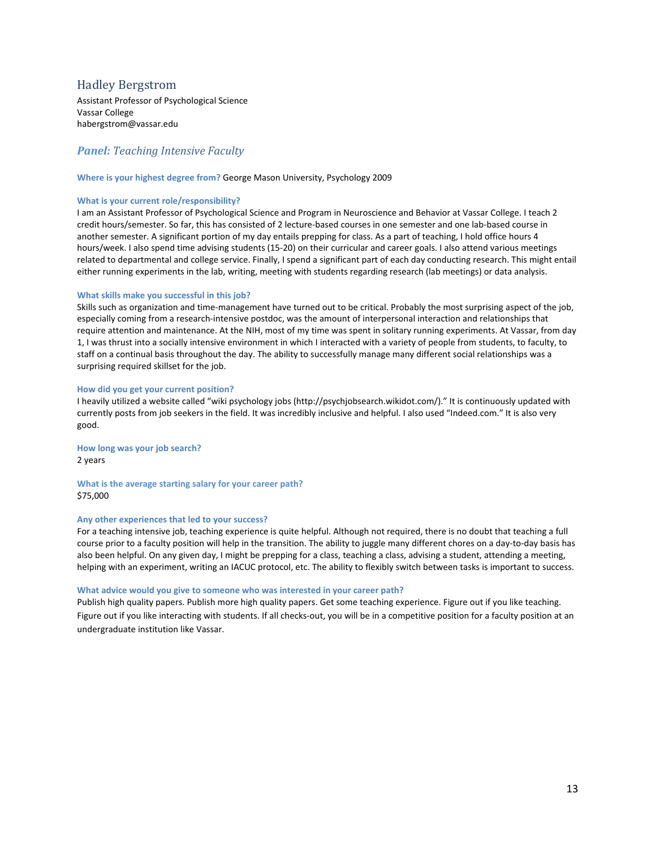# <span id="page-12-0"></span>Hadley Bergstrom

Assistant Professor of Psychological Science Vassar College habergstrom@vassar.edu

# *Panel: Teaching Intensive Faculty*

#### **Where is your highest degree from?** George Mason University, Psychology 2009

#### **What is your current role/responsibility?**

I am an Assistant Professor of Psychological Science and Program in Neuroscience and Behavior at Vassar College. I teach 2 credit hours/semester. So far, this has consisted of 2 lecture-based courses in one semester and one lab-based course in another semester. A significant portion of my day entails prepping for class. As a part of teaching, I hold office hours 4 hours/week. I also spend time advising students (15-20) on their curricular and career goals. I also attend various meetings related to departmental and college service. Finally, I spend a significant part of each day conducting research. This might entail either running experiments in the lab, writing, meeting with students regarding research (lab meetings) or data analysis.

#### **What skills make you successful in this job?**

Skills such as organization and time-management have turned out to be critical. Probably the most surprising aspect of the job, especially coming from a research-intensive postdoc, was the amount of interpersonal interaction and relationships that require attention and maintenance. At the NIH, most of my time was spent in solitary running experiments. At Vassar, from day 1, I was thrust into a socially intensive environment in which I interacted with a variety of people from students, to faculty, to staff on a continual basis throughout the day. The ability to successfully manage many different social relationships was a surprising required skillset for the job.

#### **How did you get your current position?**

I heavily utilized a website called "wiki psychology jobs (http://psychjobsearch.wikidot.com/)." It is continuously updated with currently posts from job seekers in the field. It was incredibly inclusive and helpful. I also used "Indeed.com." It is also very good.

**How long was your job search?** 2 years

**What is the average starting salary for your career path?** \$75,000

#### **Any other experiences that led to your success?**

For a teaching intensive job, teaching experience is quite helpful. Although not required, there is no doubt that teaching a full course prior to a faculty position will help in the transition. The ability to juggle many different chores on a day-to-day basis has also been helpful. On any given day, I might be prepping for a class, teaching a class, advising a student, attending a meeting, helping with an experiment, writing an IACUC protocol, etc. The ability to flexibly switch between tasks is important to success.

#### **What advice would you give to someone who was interested in your career path?**

Publish high quality papers. Publish more high quality papers. Get some teaching experience. Figure out if you like teaching. Figure out if you like interacting with students. If all checks-out, you will be in a competitive position for a faculty position at an undergraduate institution like Vassar.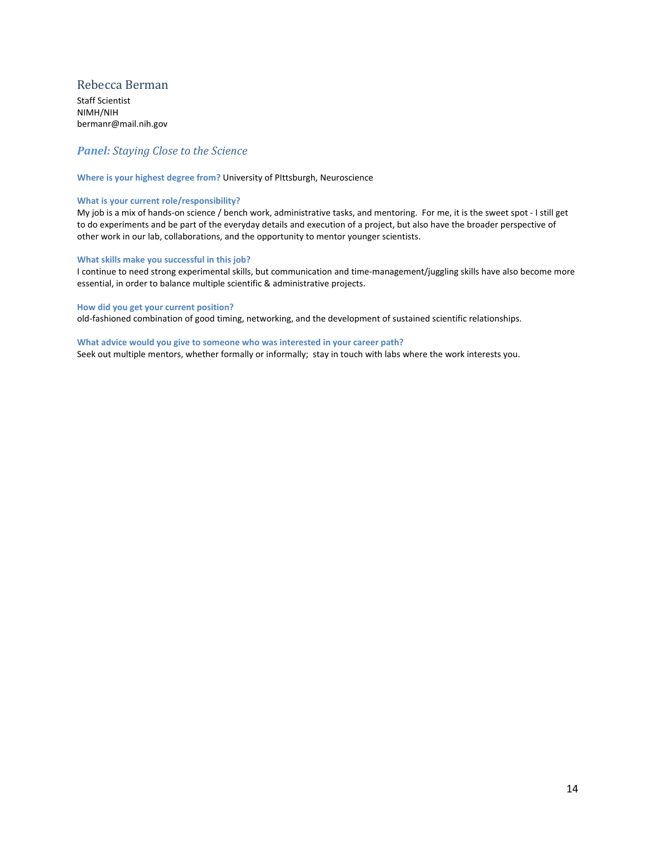# <span id="page-13-0"></span>Rebecca Berman

Staff Scientist NIMH/NIH bermanr@mail.nih.gov

# *Panel: Staying Close to the Science*

#### **Where is your highest degree from?** University of PIttsburgh, Neuroscience

#### **What is your current role/responsibility?**

My job is a mix of hands-on science / bench work, administrative tasks, and mentoring. For me, it is the sweet spot - I still get to do experiments and be part of the everyday details and execution of a project, but also have the broader perspective of other work in our lab, collaborations, and the opportunity to mentor younger scientists.

#### **What skills make you successful in this job?**

I continue to need strong experimental skills, but communication and time-management/juggling skills have also become more essential, in order to balance multiple scientific & administrative projects.

#### **How did you get your current position?**

old-fashioned combination of good timing, networking, and the development of sustained scientific relationships.

#### **What advice would you give to someone who was interested in your career path?**

Seek out multiple mentors, whether formally or informally; stay in touch with labs where the work interests you.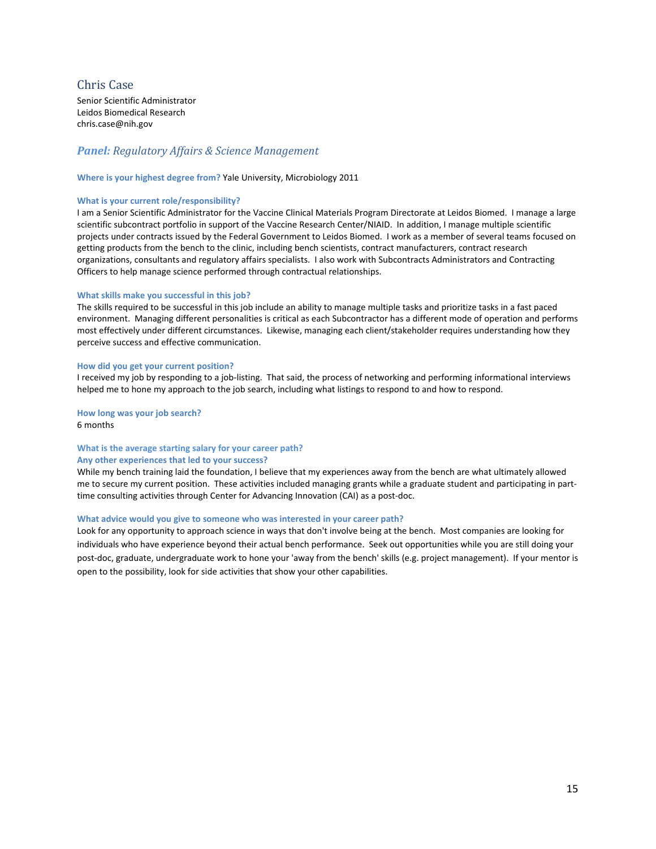# <span id="page-14-0"></span>Chris Case

Senior Scientific Administrator Leidos Biomedical Research chris.case@nih.gov

# *Panel: Regulatory Affairs & Science Management*

#### **Where is your highest degree from?** Yale University, Microbiology 2011

#### **What is your current role/responsibility?**

I am a Senior Scientific Administrator for the Vaccine Clinical Materials Program Directorate at Leidos Biomed. I manage a large scientific subcontract portfolio in support of the Vaccine Research Center/NIAID. In addition, I manage multiple scientific projects under contracts issued by the Federal Government to Leidos Biomed. I work as a member of several teams focused on getting products from the bench to the clinic, including bench scientists, contract manufacturers, contract research organizations, consultants and regulatory affairs specialists. I also work with Subcontracts Administrators and Contracting Officers to help manage science performed through contractual relationships.

#### **What skills make you successful in this job?**

The skills required to be successful in this job include an ability to manage multiple tasks and prioritize tasks in a fast paced environment. Managing different personalities is critical as each Subcontractor has a different mode of operation and performs most effectively under different circumstances. Likewise, managing each client/stakeholder requires understanding how they perceive success and effective communication.

#### **How did you get your current position?**

I received my job by responding to a job-listing. That said, the process of networking and performing informational interviews helped me to hone my approach to the job search, including what listings to respond to and how to respond.

**How long was your job search?** 6 months

# **What is the average starting salary for your career path?**

#### **Any other experiences that led to your success?**

While my bench training laid the foundation, I believe that my experiences away from the bench are what ultimately allowed me to secure my current position. These activities included managing grants while a graduate student and participating in parttime consulting activities through Center for Advancing Innovation (CAI) as a post-doc.

#### **What advice would you give to someone who was interested in your career path?**

Look for any opportunity to approach science in ways that don't involve being at the bench. Most companies are looking for individuals who have experience beyond their actual bench performance. Seek out opportunities while you are still doing your post-doc, graduate, undergraduate work to hone your 'away from the bench' skills (e.g. project management). If your mentor is open to the possibility, look for side activities that show your other capabilities.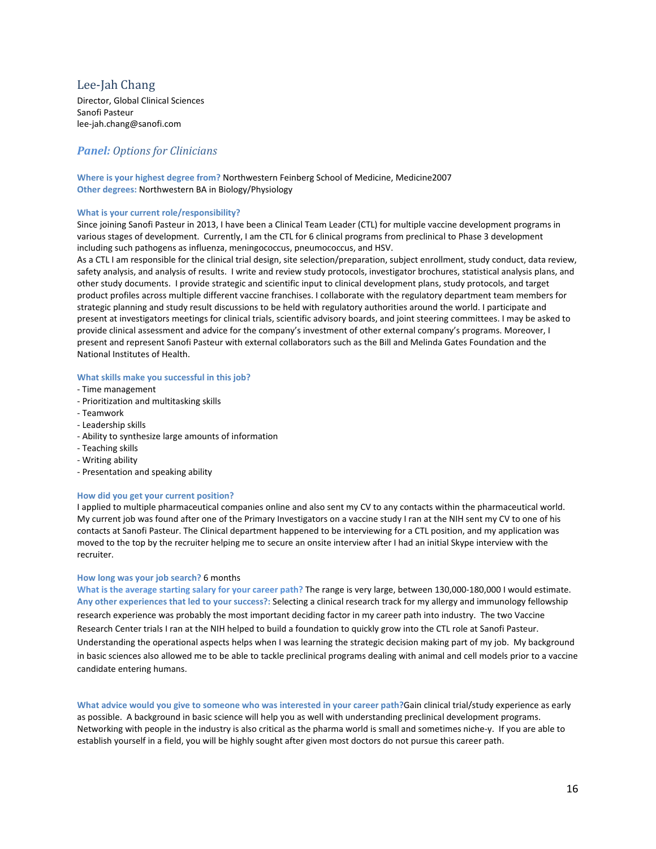# <span id="page-15-0"></span>Lee-Jah Chang

Director, Global Clinical Sciences Sanofi Pasteur lee-jah.chang@sanofi.com

# *Panel: Options for Clinicians*

**Where is your highest degree from?** Northwestern Feinberg School of Medicine, Medicine2007 **Other degrees:** Northwestern BA in Biology/Physiology

## **What is your current role/responsibility?**

Since joining Sanofi Pasteur in 2013, I have been a Clinical Team Leader (CTL) for multiple vaccine development programs in various stages of development. Currently, I am the CTL for 6 clinical programs from preclinical to Phase 3 development including such pathogens as influenza, meningococcus, pneumococcus, and HSV.

As a CTL I am responsible for the clinical trial design, site selection/preparation, subject enrollment, study conduct, data review, safety analysis, and analysis of results. I write and review study protocols, investigator brochures, statistical analysis plans, and other study documents. I provide strategic and scientific input to clinical development plans, study protocols, and target product profiles across multiple different vaccine franchises. I collaborate with the regulatory department team members for strategic planning and study result discussions to be held with regulatory authorities around the world. I participate and present at investigators meetings for clinical trials, scientific advisory boards, and joint steering committees. I may be asked to provide clinical assessment and advice for the company's investment of other external company's programs. Moreover, I present and represent Sanofi Pasteur with external collaborators such as the Bill and Melinda Gates Foundation and the National Institutes of Health.

#### **What skills make you successful in this job?**

- Time management
- Prioritization and multitasking skills
- Teamwork
- Leadership skills
- Ability to synthesize large amounts of information
- Teaching skills
- Writing ability
- Presentation and speaking ability

#### **How did you get your current position?**

I applied to multiple pharmaceutical companies online and also sent my CV to any contacts within the pharmaceutical world. My current job was found after one of the Primary Investigators on a vaccine study I ran at the NIH sent my CV to one of his contacts at Sanofi Pasteur. The Clinical department happened to be interviewing for a CTL position, and my application was moved to the top by the recruiter helping me to secure an onsite interview after I had an initial Skype interview with the recruiter.

#### **How long was your job search?** 6 months

**What is the average starting salary for your career path?** The range is very large, between 130,000-180,000 I would estimate. **Any other experiences that led to your success?:** Selecting a clinical research track for my allergy and immunology fellowship research experience was probably the most important deciding factor in my career path into industry. The two Vaccine Research Center trials I ran at the NIH helped to build a foundation to quickly grow into the CTL role at Sanofi Pasteur. Understanding the operational aspects helps when I was learning the strategic decision making part of my job. My background in basic sciences also allowed me to be able to tackle preclinical programs dealing with animal and cell models prior to a vaccine candidate entering humans.

**What advice would you give to someone who was interested in your career path?**Gain clinical trial/study experience as early as possible. A background in basic science will help you as well with understanding preclinical development programs. Networking with people in the industry is also critical as the pharma world is small and sometimes niche-y. If you are able to establish yourself in a field, you will be highly sought after given most doctors do not pursue this career path.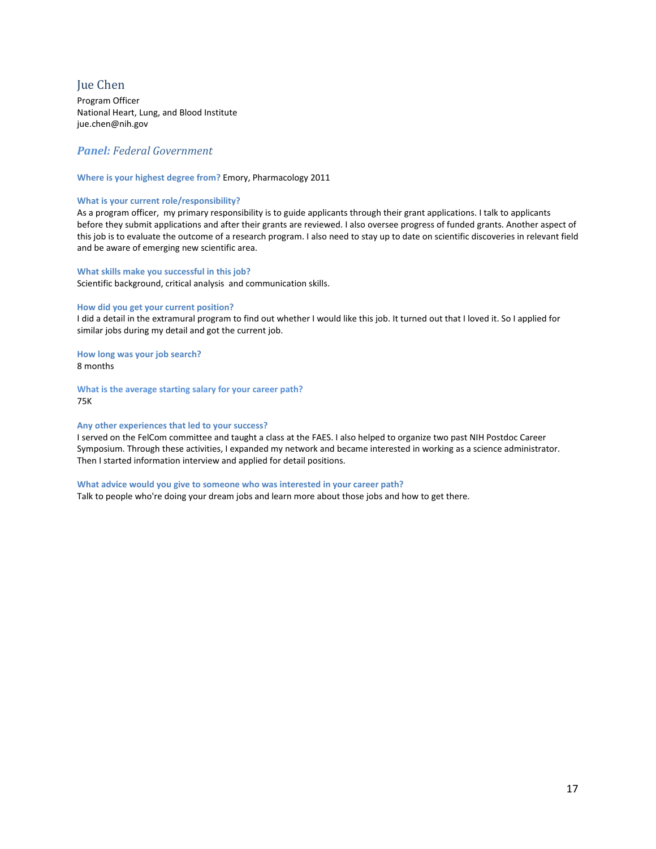# <span id="page-16-0"></span>Jue Chen

Program Officer National Heart, Lung, and Blood Institute jue.chen@nih.gov

## *Panel: Federal Government*

#### **Where is your highest degree from?** Emory, Pharmacology 2011

#### **What is your current role/responsibility?**

As a program officer, my primary responsibility is to guide applicants through their grant applications. I talk to applicants before they submit applications and after their grants are reviewed. I also oversee progress of funded grants. Another aspect of this job is to evaluate the outcome of a research program. I also need to stay up to date on scientific discoveries in relevant field and be aware of emerging new scientific area.

#### **What skills make you successful in this job?**

Scientific background, critical analysis and communication skills.

#### **How did you get your current position?**

I did a detail in the extramural program to find out whether I would like this job. It turned out that I loved it. So I applied for similar jobs during my detail and got the current job.

**How long was your job search?** 8 months

**What is the average starting salary for your career path?** 75K

#### **Any other experiences that led to your success?**

I served on the FelCom committee and taught a class at the FAES. I also helped to organize two past NIH Postdoc Career Symposium. Through these activities, I expanded my network and became interested in working as a science administrator. Then I started information interview and applied for detail positions.

#### **What advice would you give to someone who was interested in your career path?**

Talk to people who're doing your dream jobs and learn more about those jobs and how to get there.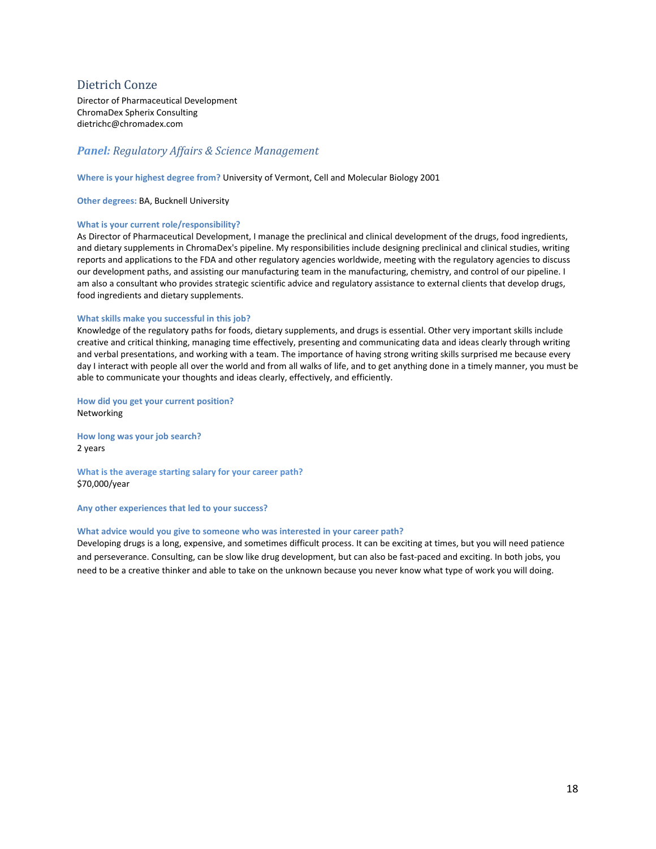# <span id="page-17-0"></span>Dietrich Conze

Director of Pharmaceutical Development ChromaDex Spherix Consulting dietrichc@chromadex.com

# *Panel: Regulatory Affairs & Science Management*

**Where is your highest degree from?** University of Vermont, Cell and Molecular Biology 2001

**Other degrees:** BA, Bucknell University

#### **What is your current role/responsibility?**

As Director of Pharmaceutical Development, I manage the preclinical and clinical development of the drugs, food ingredients, and dietary supplements in ChromaDex's pipeline. My responsibilities include designing preclinical and clinical studies, writing reports and applications to the FDA and other regulatory agencies worldwide, meeting with the regulatory agencies to discuss our development paths, and assisting our manufacturing team in the manufacturing, chemistry, and control of our pipeline. I am also a consultant who provides strategic scientific advice and regulatory assistance to external clients that develop drugs, food ingredients and dietary supplements.

#### **What skills make you successful in this job?**

Knowledge of the regulatory paths for foods, dietary supplements, and drugs is essential. Other very important skills include creative and critical thinking, managing time effectively, presenting and communicating data and ideas clearly through writing and verbal presentations, and working with a team. The importance of having strong writing skills surprised me because every day I interact with people all over the world and from all walks of life, and to get anything done in a timely manner, you must be able to communicate your thoughts and ideas clearly, effectively, and efficiently.

**How did you get your current position?**  Networking

**How long was your job search?** 2 years

**What is the average starting salary for your career path?** \$70,000/year

**Any other experiences that led to your success?**

#### **What advice would you give to someone who was interested in your career path?**

Developing drugs is a long, expensive, and sometimes difficult process. It can be exciting at times, but you will need patience and perseverance. Consulting, can be slow like drug development, but can also be fast-paced and exciting. In both jobs, you need to be a creative thinker and able to take on the unknown because you never know what type of work you will doing.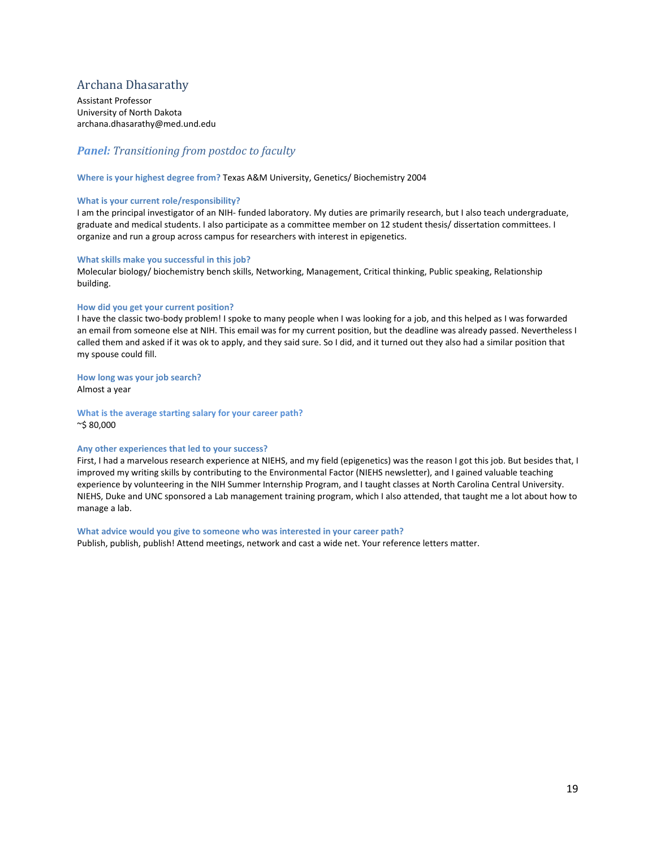# <span id="page-18-0"></span>Archana Dhasarathy

Assistant Professor University of North Dakota archana.dhasarathy@med.und.edu

## *Panel: Transitioning from postdoc to faculty*

**Where is your highest degree from?** Texas A&M University, Genetics/ Biochemistry 2004

#### **What is your current role/responsibility?**

I am the principal investigator of an NIH- funded laboratory. My duties are primarily research, but I also teach undergraduate, graduate and medical students. I also participate as a committee member on 12 student thesis/ dissertation committees. I organize and run a group across campus for researchers with interest in epigenetics.

#### **What skills make you successful in this job?**

Molecular biology/ biochemistry bench skills, Networking, Management, Critical thinking, Public speaking, Relationship building.

#### **How did you get your current position?**

I have the classic two-body problem! I spoke to many people when I was looking for a job, and this helped as I was forwarded an email from someone else at NIH. This email was for my current position, but the deadline was already passed. Nevertheless I called them and asked if it was ok to apply, and they said sure. So I did, and it turned out they also had a similar position that my spouse could fill.

#### **How long was your job search?**

Almost a year

**What is the average starting salary for your career path?** ~\$ 80,000

#### **Any other experiences that led to your success?**

First, I had a marvelous research experience at NIEHS, and my field (epigenetics) was the reason I got this job. But besides that, I improved my writing skills by contributing to the Environmental Factor (NIEHS newsletter), and I gained valuable teaching experience by volunteering in the NIH Summer Internship Program, and I taught classes at North Carolina Central University. NIEHS, Duke and UNC sponsored a Lab management training program, which I also attended, that taught me a lot about how to manage a lab.

#### **What advice would you give to someone who was interested in your career path?** Publish, publish, publish! Attend meetings, network and cast a wide net. Your reference letters matter.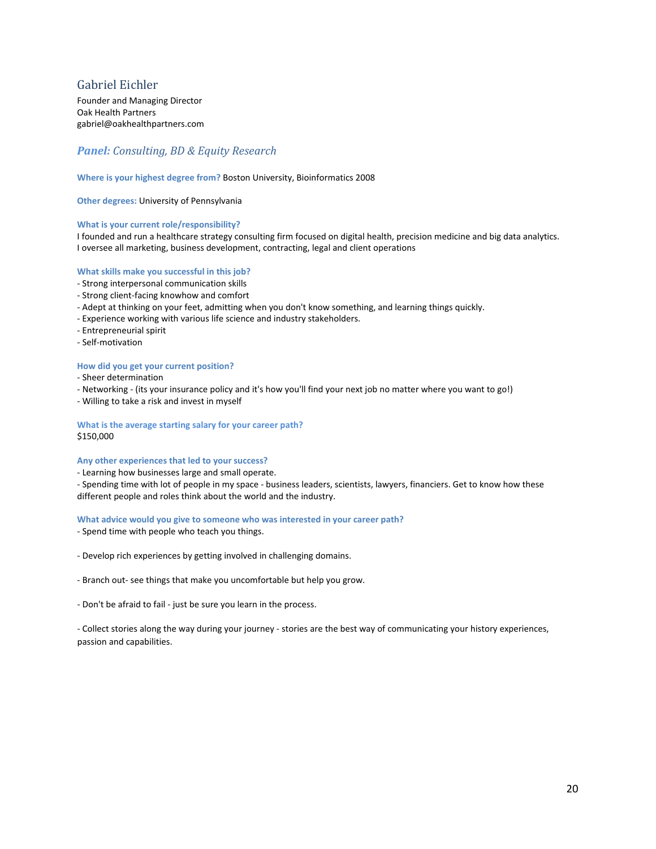# <span id="page-19-0"></span>Gabriel Eichler

Founder and Managing Director Oak Health Partners gabriel@oakhealthpartners.com

# *Panel: Consulting, BD & Equity Research*

#### **Where is your highest degree from?** Boston University, Bioinformatics 2008

**Other degrees:** University of Pennsylvania

#### **What is your current role/responsibility?**

I founded and run a healthcare strategy consulting firm focused on digital health, precision medicine and big data analytics. I oversee all marketing, business development, contracting, legal and client operations

#### **What skills make you successful in this job?**

- Strong interpersonal communication skills
- Strong client-facing knowhow and comfort
- Adept at thinking on your feet, admitting when you don't know something, and learning things quickly.
- Experience working with various life science and industry stakeholders.
- Entrepreneurial spirit
- Self-motivation

#### **How did you get your current position?**

- Sheer determination
- Networking (its your insurance policy and it's how you'll find your next job no matter where you want to go!)
- Willing to take a risk and invest in myself

#### **What is the average starting salary for your career path?** \$150,000

#### **Any other experiences that led to your success?**

- Learning how businesses large and small operate.

- Spending time with lot of people in my space - business leaders, scientists, lawyers, financiers. Get to know how these different people and roles think about the world and the industry.

#### **What advice would you give to someone who was interested in your career path?**

- Spend time with people who teach you things.
- Develop rich experiences by getting involved in challenging domains.
- Branch out- see things that make you uncomfortable but help you grow.
- Don't be afraid to fail just be sure you learn in the process.

- Collect stories along the way during your journey - stories are the best way of communicating your history experiences, passion and capabilities.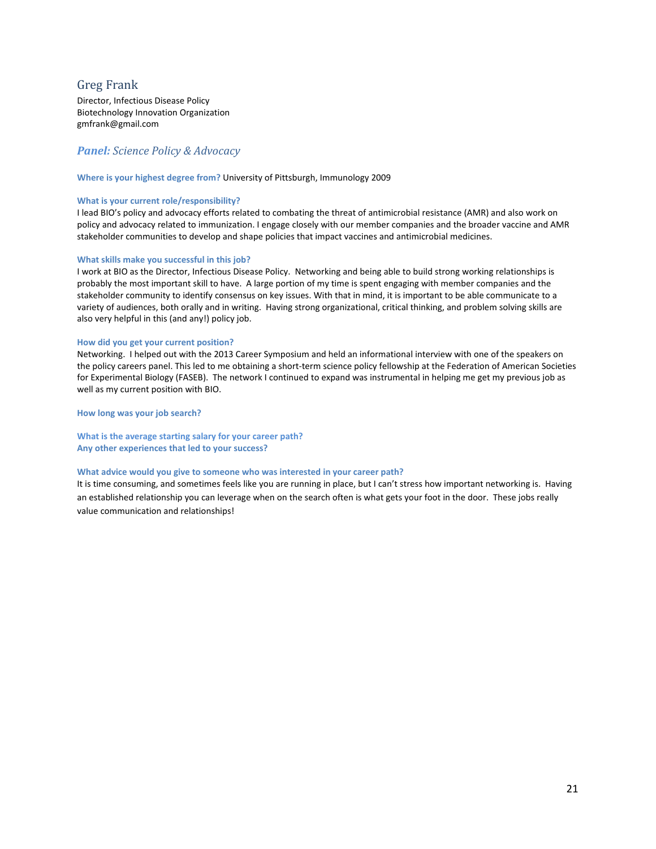# <span id="page-20-0"></span>Greg Frank

Director, Infectious Disease Policy Biotechnology Innovation Organization gmfrank@gmail.com

## *Panel: Science Policy & Advocacy*

#### **Where is your highest degree from?** University of Pittsburgh, Immunology 2009

#### **What is your current role/responsibility?**

I lead BIO's policy and advocacy efforts related to combating the threat of antimicrobial resistance (AMR) and also work on policy and advocacy related to immunization. I engage closely with our member companies and the broader vaccine and AMR stakeholder communities to develop and shape policies that impact vaccines and antimicrobial medicines.

#### **What skills make you successful in this job?**

I work at BIO as the Director, Infectious Disease Policy. Networking and being able to build strong working relationships is probably the most important skill to have. A large portion of my time is spent engaging with member companies and the stakeholder community to identify consensus on key issues. With that in mind, it is important to be able communicate to a variety of audiences, both orally and in writing. Having strong organizational, critical thinking, and problem solving skills are also very helpful in this (and any!) policy job.

#### **How did you get your current position?**

Networking. I helped out with the 2013 Career Symposium and held an informational interview with one of the speakers on the policy careers panel. This led to me obtaining a short-term science policy fellowship at the Federation of American Societies for Experimental Biology (FASEB). The network I continued to expand was instrumental in helping me get my previous job as well as my current position with BIO.

**How long was your job search?**

**What is the average starting salary for your career path? Any other experiences that led to your success?**

#### **What advice would you give to someone who was interested in your career path?**

It is time consuming, and sometimes feels like you are running in place, but I can't stress how important networking is. Having an established relationship you can leverage when on the search often is what gets your foot in the door. These jobs really value communication and relationships!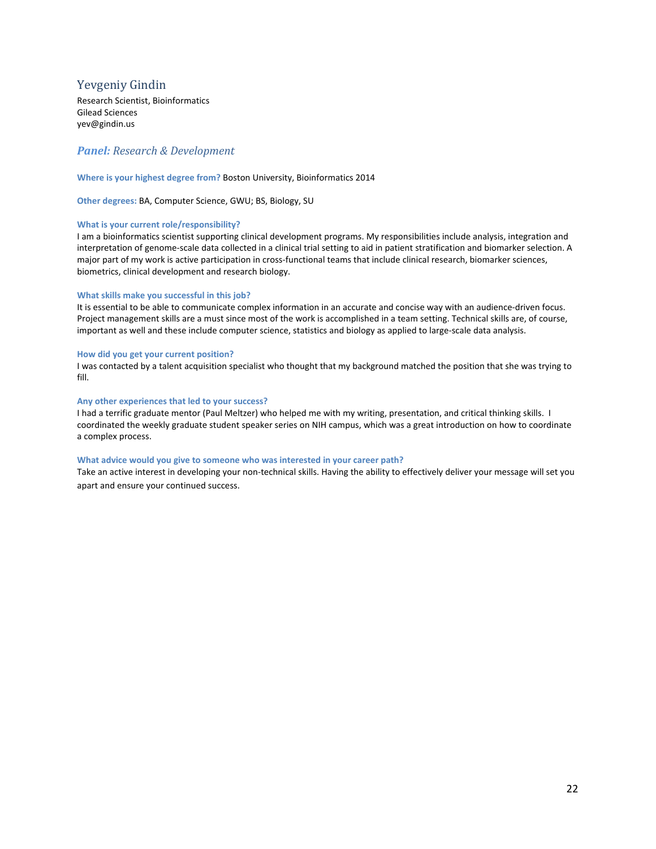# <span id="page-21-0"></span>Yevgeniy Gindin

Research Scientist, Bioinformatics Gilead Sciences yev@gindin.us

## *Panel: Research & Development*

#### **Where is your highest degree from?** Boston University, Bioinformatics 2014

**Other degrees:** BA, Computer Science, GWU; BS, Biology, SU

#### **What is your current role/responsibility?**

I am a bioinformatics scientist supporting clinical development programs. My responsibilities include analysis, integration and interpretation of genome-scale data collected in a clinical trial setting to aid in patient stratification and biomarker selection. A major part of my work is active participation in cross-functional teams that include clinical research, biomarker sciences, biometrics, clinical development and research biology.

#### **What skills make you successful in this job?**

It is essential to be able to communicate complex information in an accurate and concise way with an audience-driven focus. Project management skills are a must since most of the work is accomplished in a team setting. Technical skills are, of course, important as well and these include computer science, statistics and biology as applied to large-scale data analysis.

#### **How did you get your current position?**

I was contacted by a talent acquisition specialist who thought that my background matched the position that she was trying to fill.

#### **Any other experiences that led to your success?**

I had a terrific graduate mentor (Paul Meltzer) who helped me with my writing, presentation, and critical thinking skills. I coordinated the weekly graduate student speaker series on NIH campus, which was a great introduction on how to coordinate a complex process.

#### **What advice would you give to someone who was interested in your career path?**

Take an active interest in developing your non-technical skills. Having the ability to effectively deliver your message will set you apart and ensure your continued success.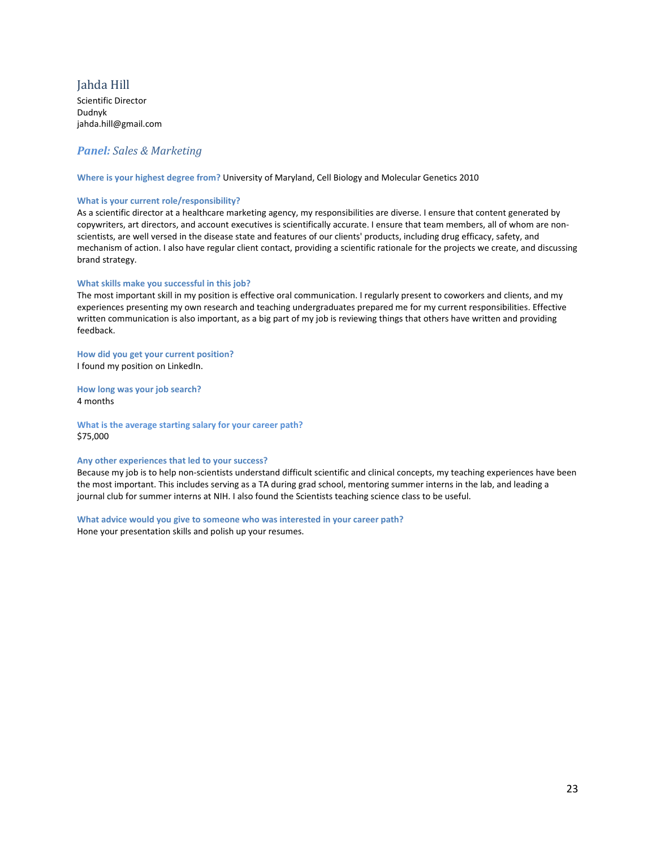# <span id="page-22-0"></span>Jahda Hill

Scientific Director Dudnyk jahda.hill@gmail.com

# *Panel: Sales & Marketing*

**Where is your highest degree from?** University of Maryland, Cell Biology and Molecular Genetics 2010

#### **What is your current role/responsibility?**

As a scientific director at a healthcare marketing agency, my responsibilities are diverse. I ensure that content generated by copywriters, art directors, and account executives is scientifically accurate. I ensure that team members, all of whom are nonscientists, are well versed in the disease state and features of our clients' products, including drug efficacy, safety, and mechanism of action. I also have regular client contact, providing a scientific rationale for the projects we create, and discussing brand strategy.

#### **What skills make you successful in this job?**

The most important skill in my position is effective oral communication. I regularly present to coworkers and clients, and my experiences presenting my own research and teaching undergraduates prepared me for my current responsibilities. Effective written communication is also important, as a big part of my job is reviewing things that others have written and providing feedback.

#### **How did you get your current position?**  I found my position on LinkedIn.

**How long was your job search?** 4 months

**What is the average starting salary for your career path?** \$75,000

#### **Any other experiences that led to your success?**

Because my job is to help non-scientists understand difficult scientific and clinical concepts, my teaching experiences have been the most important. This includes serving as a TA during grad school, mentoring summer interns in the lab, and leading a journal club for summer interns at NIH. I also found the Scientists teaching science class to be useful.

#### **What advice would you give to someone who was interested in your career path?**

Hone your presentation skills and polish up your resumes.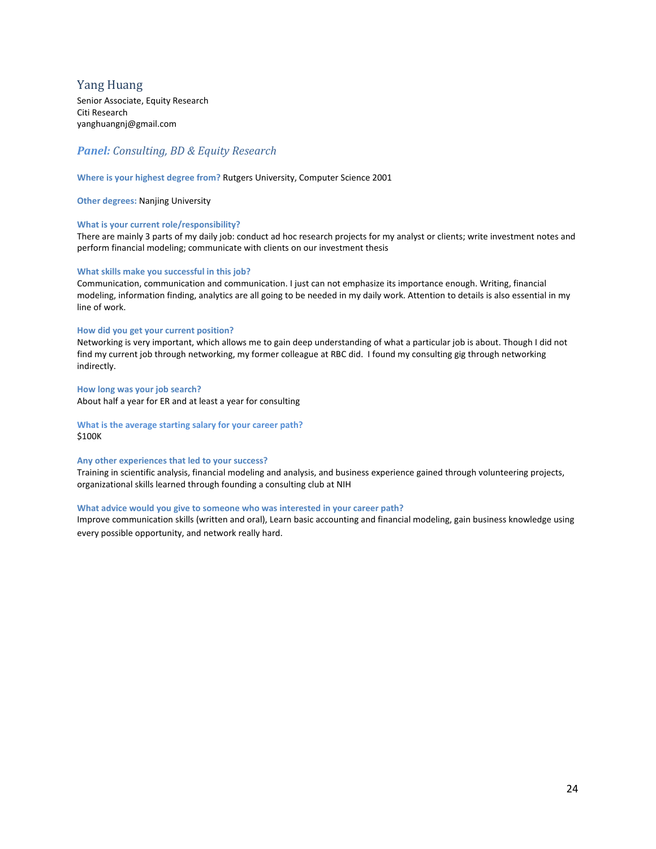# <span id="page-23-0"></span>Yang Huang

Senior Associate, Equity Research Citi Research yanghuangnj@gmail.com

# *Panel: Consulting, BD & Equity Research*

#### **Where is your highest degree from?** Rutgers University, Computer Science 2001

**Other degrees:** Nanjing University

#### **What is your current role/responsibility?**

There are mainly 3 parts of my daily job: conduct ad hoc research projects for my analyst or clients; write investment notes and perform financial modeling; communicate with clients on our investment thesis

#### **What skills make you successful in this job?**

Communication, communication and communication. I just can not emphasize its importance enough. Writing, financial modeling, information finding, analytics are all going to be needed in my daily work. Attention to details is also essential in my line of work.

#### **How did you get your current position?**

Networking is very important, which allows me to gain deep understanding of what a particular job is about. Though I did not find my current job through networking, my former colleague at RBC did. I found my consulting gig through networking indirectly.

#### **How long was your job search?**

About half a year for ER and at least a year for consulting

#### **What is the average starting salary for your career path?** \$100K

#### **Any other experiences that led to your success?**

Training in scientific analysis, financial modeling and analysis, and business experience gained through volunteering projects, organizational skills learned through founding a consulting club at NIH

#### **What advice would you give to someone who was interested in your career path?**

Improve communication skills (written and oral), Learn basic accounting and financial modeling, gain business knowledge using every possible opportunity, and network really hard.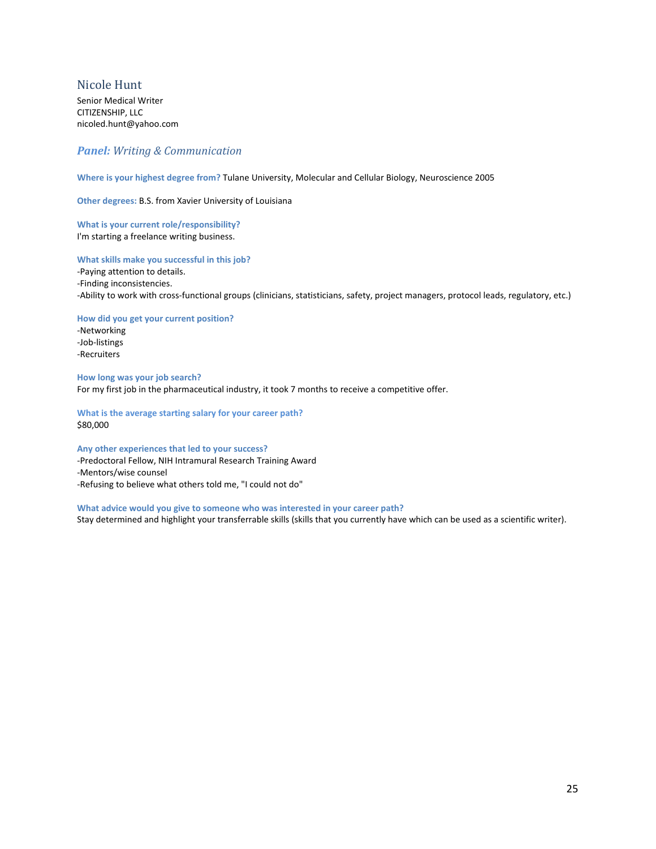# <span id="page-24-0"></span>Nicole Hunt

Senior Medical Writer CITIZENSHIP, LLC nicoled.hunt@yahoo.com

# *Panel: Writing & Communication*

**Where is your highest degree from?** Tulane University, Molecular and Cellular Biology, Neuroscience 2005

**Other degrees:** B.S. from Xavier University of Louisiana

**What is your current role/responsibility?**  I'm starting a freelance writing business.

#### **What skills make you successful in this job?**

-Paying attention to details. -Finding inconsistencies. -Ability to work with cross-functional groups (clinicians, statisticians, safety, project managers, protocol leads, regulatory, etc.)

**How did you get your current position?** 

-Networking -Job-listings -Recruiters

**How long was your job search?** For my first job in the pharmaceutical industry, it took 7 months to receive a competitive offer.

**What is the average starting salary for your career path?** \$80,000

## **Any other experiences that led to your success?**

-Predoctoral Fellow, NIH Intramural Research Training Award -Mentors/wise counsel -Refusing to believe what others told me, "I could not do"

#### **What advice would you give to someone who was interested in your career path?**

Stay determined and highlight your transferrable skills (skills that you currently have which can be used as a scientific writer).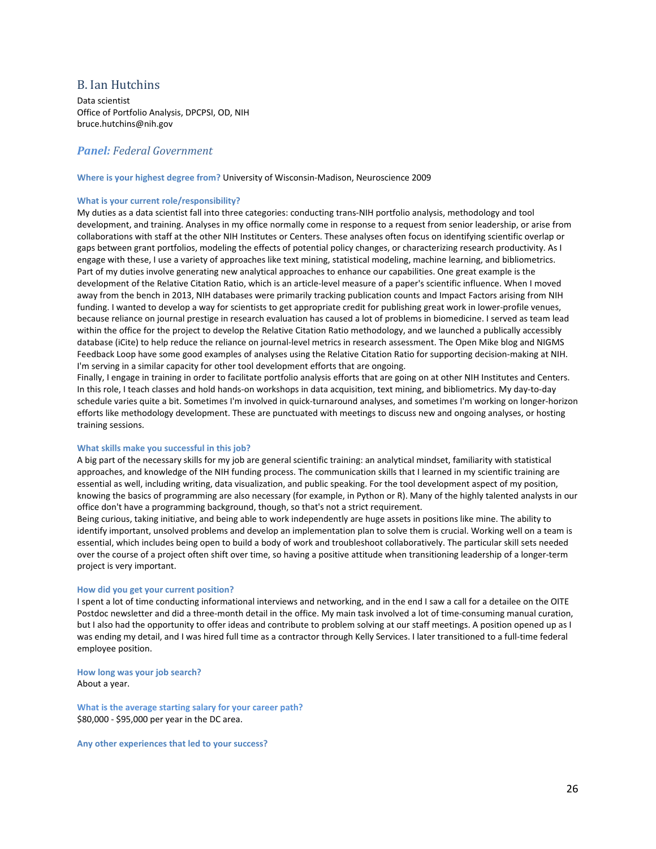## <span id="page-25-0"></span>B. Ian Hutchins

Data scientist Office of Portfolio Analysis, DPCPSI, OD, NIH bruce.hutchins@nih.gov

## *Panel: Federal Government*

**Where is your highest degree from?** University of Wisconsin-Madison, Neuroscience 2009

#### **What is your current role/responsibility?**

My duties as a data scientist fall into three categories: conducting trans-NIH portfolio analysis, methodology and tool development, and training. Analyses in my office normally come in response to a request from senior leadership, or arise from collaborations with staff at the other NIH Institutes or Centers. These analyses often focus on identifying scientific overlap or gaps between grant portfolios, modeling the effects of potential policy changes, or characterizing research productivity. As I engage with these, I use a variety of approaches like text mining, statistical modeling, machine learning, and bibliometrics. Part of my duties involve generating new analytical approaches to enhance our capabilities. One great example is the development of the Relative Citation Ratio, which is an article-level measure of a paper's scientific influence. When I moved away from the bench in 2013, NIH databases were primarily tracking publication counts and Impact Factors arising from NIH funding. I wanted to develop a way for scientists to get appropriate credit for publishing great work in lower-profile venues, because reliance on journal prestige in research evaluation has caused a lot of problems in biomedicine. I served as team lead within the office for the project to develop the Relative Citation Ratio methodology, and we launched a publically accessibly database (iCite) to help reduce the reliance on journal-level metrics in research assessment. The Open Mike blog and NIGMS Feedback Loop have some good examples of analyses using the Relative Citation Ratio for supporting decision-making at NIH. I'm serving in a similar capacity for other tool development efforts that are ongoing.

Finally, I engage in training in order to facilitate portfolio analysis efforts that are going on at other NIH Institutes and Centers. In this role, I teach classes and hold hands-on workshops in data acquisition, text mining, and bibliometrics. My day-to-day schedule varies quite a bit. Sometimes I'm involved in quick-turnaround analyses, and sometimes I'm working on longer-horizon efforts like methodology development. These are punctuated with meetings to discuss new and ongoing analyses, or hosting training sessions.

#### **What skills make you successful in this job?**

A big part of the necessary skills for my job are general scientific training: an analytical mindset, familiarity with statistical approaches, and knowledge of the NIH funding process. The communication skills that I learned in my scientific training are essential as well, including writing, data visualization, and public speaking. For the tool development aspect of my position, knowing the basics of programming are also necessary (for example, in Python or R). Many of the highly talented analysts in our office don't have a programming background, though, so that's not a strict requirement.

Being curious, taking initiative, and being able to work independently are huge assets in positions like mine. The ability to identify important, unsolved problems and develop an implementation plan to solve them is crucial. Working well on a team is essential, which includes being open to build a body of work and troubleshoot collaboratively. The particular skill sets needed over the course of a project often shift over time, so having a positive attitude when transitioning leadership of a longer-term project is very important.

#### **How did you get your current position?**

I spent a lot of time conducting informational interviews and networking, and in the end I saw a call for a detailee on the OITE Postdoc newsletter and did a three-month detail in the office. My main task involved a lot of time-consuming manual curation, but I also had the opportunity to offer ideas and contribute to problem solving at our staff meetings. A position opened up as I was ending my detail, and I was hired full time as a contractor through Kelly Services. I later transitioned to a full-time federal employee position.

**How long was your job search?** About a year.

**What is the average starting salary for your career path?** \$80,000 - \$95,000 per year in the DC area.

**Any other experiences that led to your success?**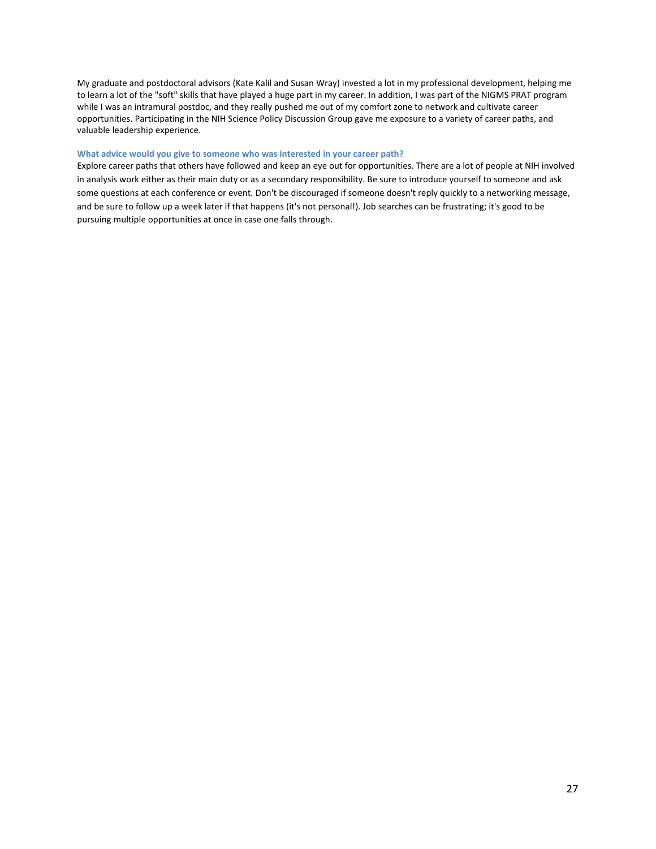My graduate and postdoctoral advisors (Kate Kalil and Susan Wray) invested a lot in my professional development, helping me to learn a lot of the "soft" skills that have played a huge part in my career. In addition, I was part of the NIGMS PRAT program while I was an intramural postdoc, and they really pushed me out of my comfort zone to network and cultivate career opportunities. Participating in the NIH Science Policy Discussion Group gave me exposure to a variety of career paths, and valuable leadership experience.

#### **What advice would you give to someone who was interested in your career path?**

Explore career paths that others have followed and keep an eye out for opportunities. There are a lot of people at NIH involved in analysis work either as their main duty or as a secondary responsibility. Be sure to introduce yourself to someone and ask some questions at each conference or event. Don't be discouraged if someone doesn't reply quickly to a networking message, and be sure to follow up a week later if that happens (it's not personal!). Job searches can be frustrating; it's good to be pursuing multiple opportunities at once in case one falls through.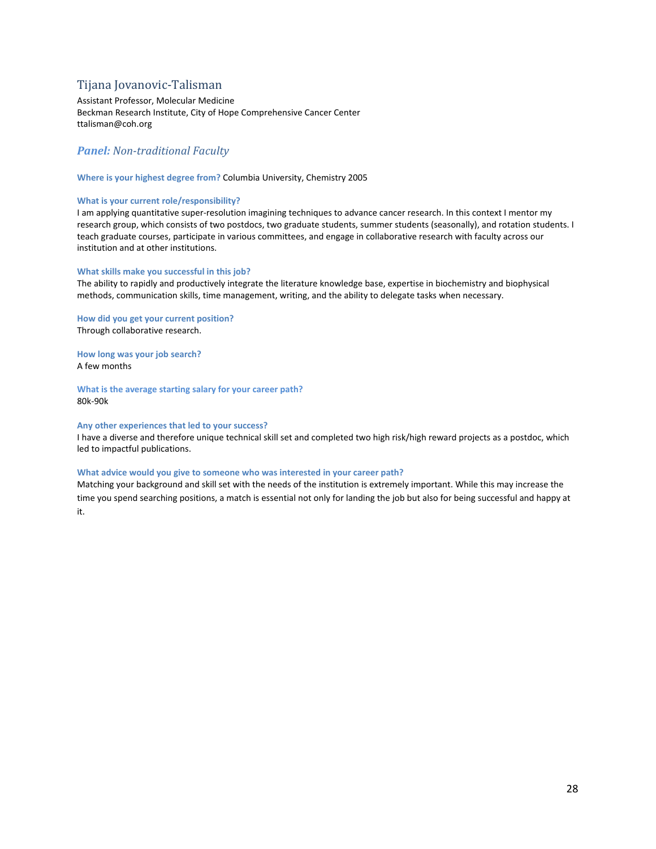# <span id="page-27-0"></span>Tijana Jovanovic-Talisman

Assistant Professor, Molecular Medicine Beckman Research Institute, City of Hope Comprehensive Cancer Center ttalisman@coh.org

## *Panel: Non-traditional Faculty*

#### **Where is your highest degree from?** Columbia University, Chemistry 2005

#### **What is your current role/responsibility?**

I am applying quantitative super-resolution imagining techniques to advance cancer research. In this context I mentor my research group, which consists of two postdocs, two graduate students, summer students (seasonally), and rotation students. I teach graduate courses, participate in various committees, and engage in collaborative research with faculty across our institution and at other institutions.

#### **What skills make you successful in this job?**

The ability to rapidly and productively integrate the literature knowledge base, expertise in biochemistry and biophysical methods, communication skills, time management, writing, and the ability to delegate tasks when necessary.

**How did you get your current position?**  Through collaborative research.

**How long was your job search?** A few months

**What is the average starting salary for your career path?** 80k-90k

#### **Any other experiences that led to your success?**

I have a diverse and therefore unique technical skill set and completed two high risk/high reward projects as a postdoc, which led to impactful publications.

#### **What advice would you give to someone who was interested in your career path?**

Matching your background and skill set with the needs of the institution is extremely important. While this may increase the time you spend searching positions, a match is essential not only for landing the job but also for being successful and happy at it.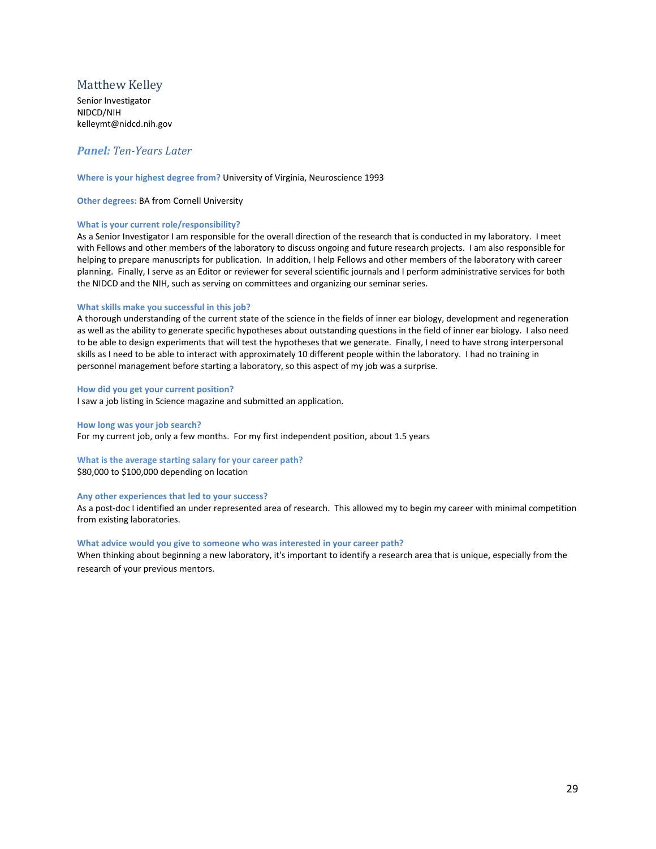# <span id="page-28-0"></span>Matthew Kelley

Senior Investigator NIDCD/NIH kelleymt@nidcd.nih.gov

## *Panel: Ten-Years Later*

#### **Where is your highest degree from?** University of Virginia, Neuroscience 1993

**Other degrees:** BA from Cornell University

#### **What is your current role/responsibility?**

As a Senior Investigator I am responsible for the overall direction of the research that is conducted in my laboratory. I meet with Fellows and other members of the laboratory to discuss ongoing and future research projects. I am also responsible for helping to prepare manuscripts for publication. In addition, I help Fellows and other members of the laboratory with career planning. Finally, I serve as an Editor or reviewer for several scientific journals and I perform administrative services for both the NIDCD and the NIH, such as serving on committees and organizing our seminar series.

#### **What skills make you successful in this job?**

A thorough understanding of the current state of the science in the fields of inner ear biology, development and regeneration as well as the ability to generate specific hypotheses about outstanding questions in the field of inner ear biology. I also need to be able to design experiments that will test the hypotheses that we generate. Finally, I need to have strong interpersonal skills as I need to be able to interact with approximately 10 different people within the laboratory. I had no training in personnel management before starting a laboratory, so this aspect of my job was a surprise.

#### **How did you get your current position?**

I saw a job listing in Science magazine and submitted an application.

**How long was your job search?** For my current job, only a few months. For my first independent position, about 1.5 years

**What is the average starting salary for your career path?** \$80,000 to \$100,000 depending on location

#### **Any other experiences that led to your success?**

As a post-doc I identified an under represented area of research. This allowed my to begin my career with minimal competition from existing laboratories.

#### **What advice would you give to someone who was interested in your career path?**

When thinking about beginning a new laboratory, it's important to identify a research area that is unique, especially from the research of your previous mentors.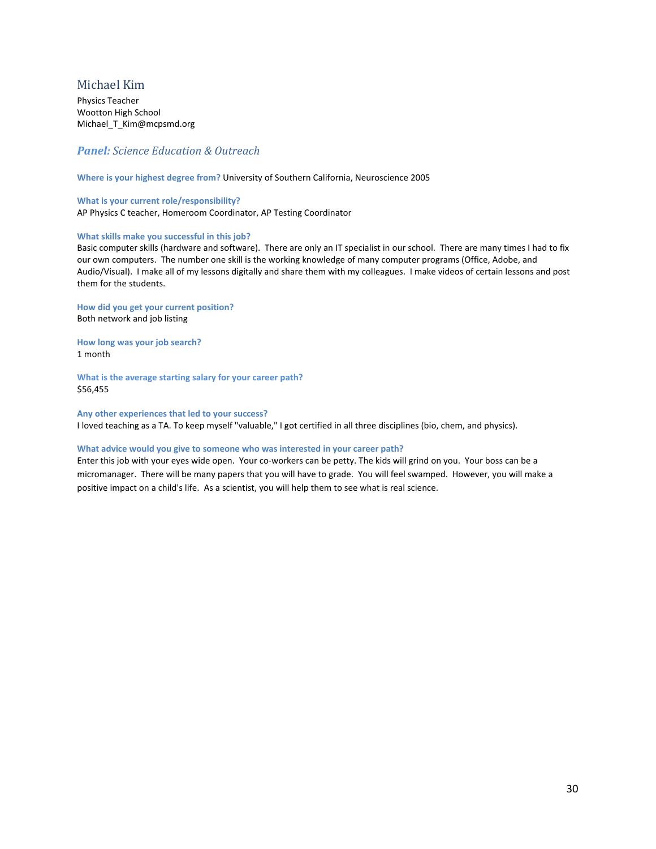# <span id="page-29-0"></span>Michael Kim

Physics Teacher Wootton High School Michael T Kim@mcpsmd.org

## *Panel: Science Education & Outreach*

**Where is your highest degree from?** University of Southern California, Neuroscience 2005

**What is your current role/responsibility?**  AP Physics C teacher, Homeroom Coordinator, AP Testing Coordinator

#### **What skills make you successful in this job?**

Basic computer skills (hardware and software). There are only an IT specialist in our school. There are many times I had to fix our own computers. The number one skill is the working knowledge of many computer programs (Office, Adobe, and Audio/Visual). I make all of my lessons digitally and share them with my colleagues. I make videos of certain lessons and post them for the students.

**How did you get your current position?**  Both network and job listing

**How long was your job search?** 1 month

**What is the average starting salary for your career path?** \$56,455

**Any other experiences that led to your success?** I loved teaching as a TA. To keep myself "valuable," I got certified in all three disciplines (bio, chem, and physics).

#### **What advice would you give to someone who was interested in your career path?**

Enter this job with your eyes wide open. Your co-workers can be petty. The kids will grind on you. Your boss can be a micromanager. There will be many papers that you will have to grade. You will feel swamped. However, you will make a positive impact on a child's life. As a scientist, you will help them to see what is real science.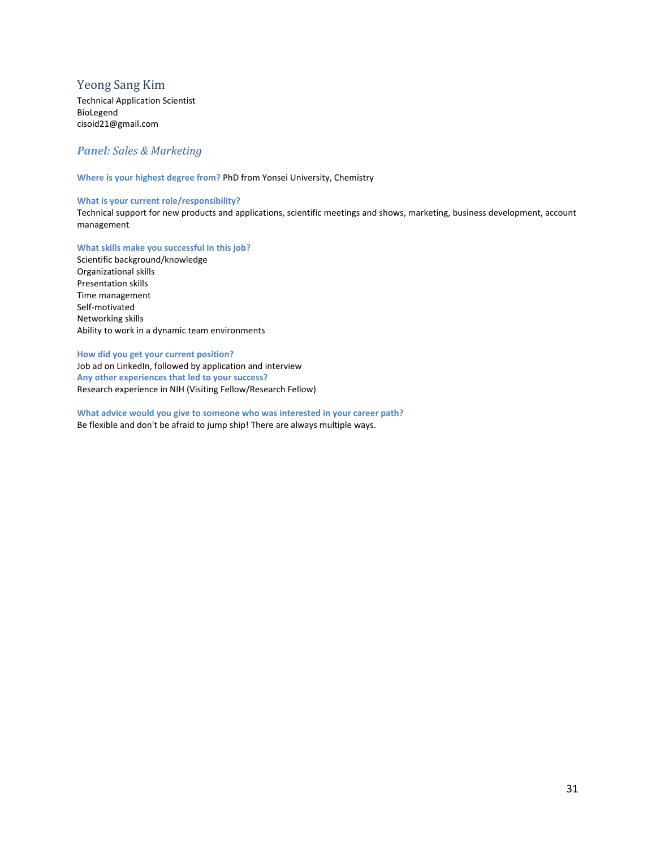# <span id="page-30-0"></span>Yeong Sang Kim

Technical Application Scientist BioLegend cisoid21@gmail.com

# *Panel: Sales & Marketing*

**Where is your highest degree from?** PhD from Yonsei University, Chemistry

#### **What is your current role/responsibility?**

Technical support for new products and applications, scientific meetings and shows, marketing, business development, account management

**What skills make you successful in this job?** 

Scientific background/knowledge Organizational skills Presentation skills Time management Self-motivated Networking skills Ability to work in a dynamic team environments

**How did you get your current position?**  Job ad on LinkedIn, followed by application and interview **Any other experiences that led to your success?** Research experience in NIH (Visiting Fellow/Research Fellow)

**What advice would you give to someone who was interested in your career path?** Be flexible and don't be afraid to jump ship! There are always multiple ways.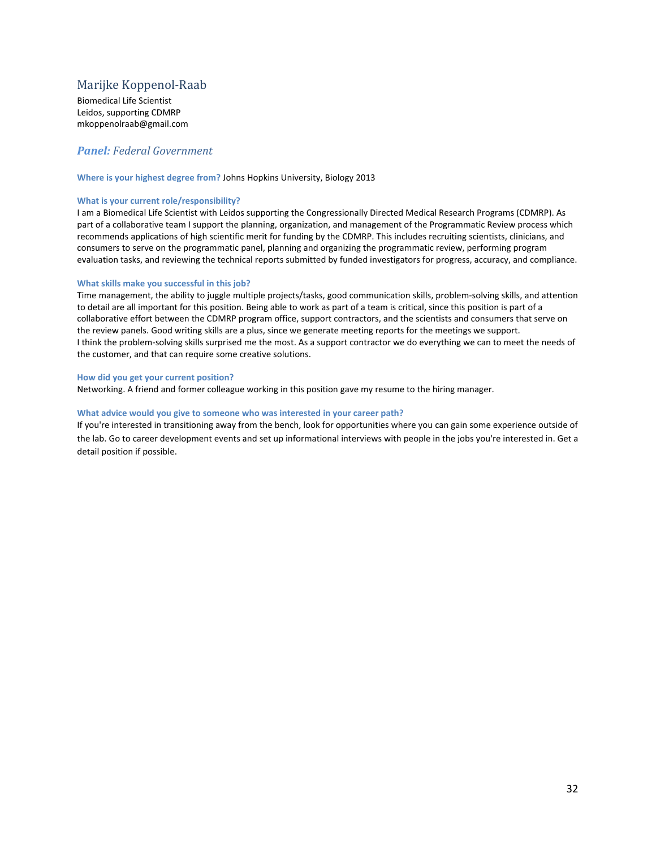# <span id="page-31-0"></span>Marijke Koppenol-Raab

Biomedical Life Scientist Leidos, supporting CDMRP mkoppenolraab@gmail.com

## *Panel: Federal Government*

#### **Where is your highest degree from?** Johns Hopkins University, Biology 2013

#### **What is your current role/responsibility?**

I am a Biomedical Life Scientist with Leidos supporting the Congressionally Directed Medical Research Programs (CDMRP). As part of a collaborative team I support the planning, organization, and management of the Programmatic Review process which recommends applications of high scientific merit for funding by the CDMRP. This includes recruiting scientists, clinicians, and consumers to serve on the programmatic panel, planning and organizing the programmatic review, performing program evaluation tasks, and reviewing the technical reports submitted by funded investigators for progress, accuracy, and compliance.

#### **What skills make you successful in this job?**

Time management, the ability to juggle multiple projects/tasks, good communication skills, problem-solving skills, and attention to detail are all important for this position. Being able to work as part of a team is critical, since this position is part of a collaborative effort between the CDMRP program office, support contractors, and the scientists and consumers that serve on the review panels. Good writing skills are a plus, since we generate meeting reports for the meetings we support. I think the problem-solving skills surprised me the most. As a support contractor we do everything we can to meet the needs of the customer, and that can require some creative solutions.

#### **How did you get your current position?**

Networking. A friend and former colleague working in this position gave my resume to the hiring manager.

#### **What advice would you give to someone who was interested in your career path?**

If you're interested in transitioning away from the bench, look for opportunities where you can gain some experience outside of the lab. Go to career development events and set up informational interviews with people in the jobs you're interested in. Get a detail position if possible.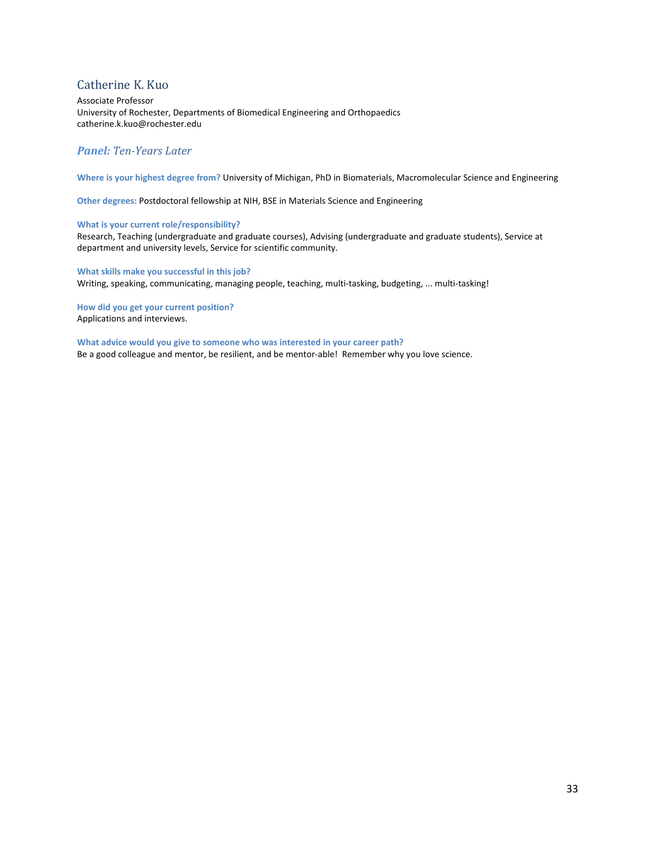# <span id="page-32-0"></span>Catherine K. Kuo

Associate Professor University of Rochester, Departments of Biomedical Engineering and Orthopaedics catherine.k.kuo@rochester.edu

## *Panel: Ten-Years Later*

**Where is your highest degree from?** University of Michigan, PhD in Biomaterials, Macromolecular Science and Engineering

**Other degrees:** Postdoctoral fellowship at NIH, BSE in Materials Science and Engineering

## **What is your current role/responsibility?**

Research, Teaching (undergraduate and graduate courses), Advising (undergraduate and graduate students), Service at department and university levels, Service for scientific community.

**What skills make you successful in this job?**  Writing, speaking, communicating, managing people, teaching, multi-tasking, budgeting, ... multi-tasking!

**How did you get your current position?**  Applications and interviews.

**What advice would you give to someone who was interested in your career path?** Be a good colleague and mentor, be resilient, and be mentor-able! Remember why you love science.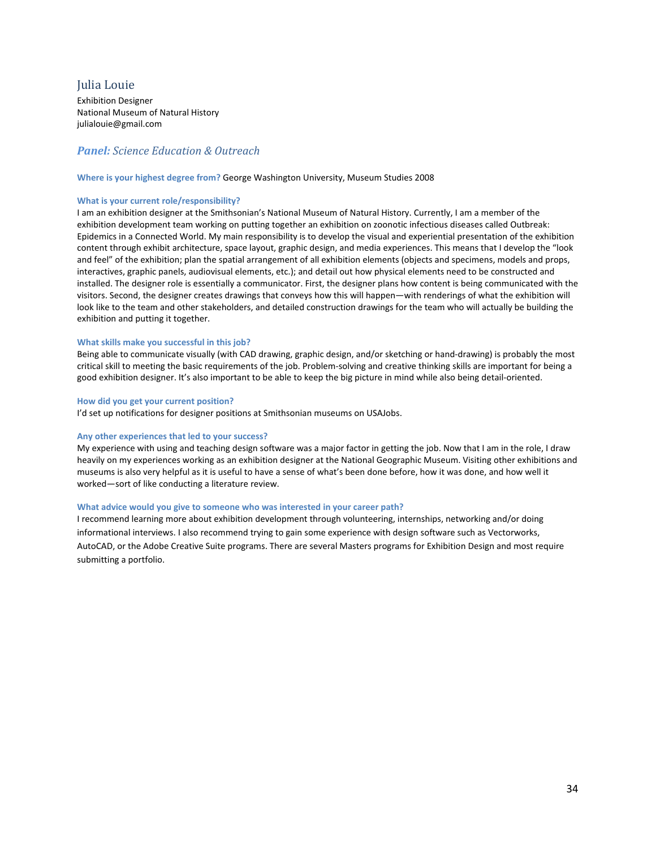# <span id="page-33-0"></span>Julia Louie

Exhibition Designer National Museum of Natural History julialouie@gmail.com

# *Panel: Science Education & Outreach*

#### **Where is your highest degree from?** George Washington University, Museum Studies 2008

#### **What is your current role/responsibility?**

I am an exhibition designer at the Smithsonian's National Museum of Natural History. Currently, I am a member of the exhibition development team working on putting together an exhibition on zoonotic infectious diseases called Outbreak: Epidemics in a Connected World. My main responsibility is to develop the visual and experiential presentation of the exhibition content through exhibit architecture, space layout, graphic design, and media experiences. This means that I develop the "look and feel" of the exhibition; plan the spatial arrangement of all exhibition elements (objects and specimens, models and props, interactives, graphic panels, audiovisual elements, etc.); and detail out how physical elements need to be constructed and installed. The designer role is essentially a communicator. First, the designer plans how content is being communicated with the visitors. Second, the designer creates drawings that conveys how this will happen—with renderings of what the exhibition will look like to the team and other stakeholders, and detailed construction drawings for the team who will actually be building the exhibition and putting it together.

#### **What skills make you successful in this job?**

Being able to communicate visually (with CAD drawing, graphic design, and/or sketching or hand-drawing) is probably the most critical skill to meeting the basic requirements of the job. Problem-solving and creative thinking skills are important for being a good exhibition designer. It's also important to be able to keep the big picture in mind while also being detail-oriented.

#### **How did you get your current position?**

I'd set up notifications for designer positions at Smithsonian museums on USAJobs.

#### **Any other experiences that led to your success?**

My experience with using and teaching design software was a major factor in getting the job. Now that I am in the role, I draw heavily on my experiences working as an exhibition designer at the National Geographic Museum. Visiting other exhibitions and museums is also very helpful as it is useful to have a sense of what's been done before, how it was done, and how well it worked—sort of like conducting a literature review.

#### **What advice would you give to someone who was interested in your career path?**

I recommend learning more about exhibition development through volunteering, internships, networking and/or doing informational interviews. I also recommend trying to gain some experience with design software such as Vectorworks, AutoCAD, or the Adobe Creative Suite programs. There are several Masters programs for Exhibition Design and most require submitting a portfolio.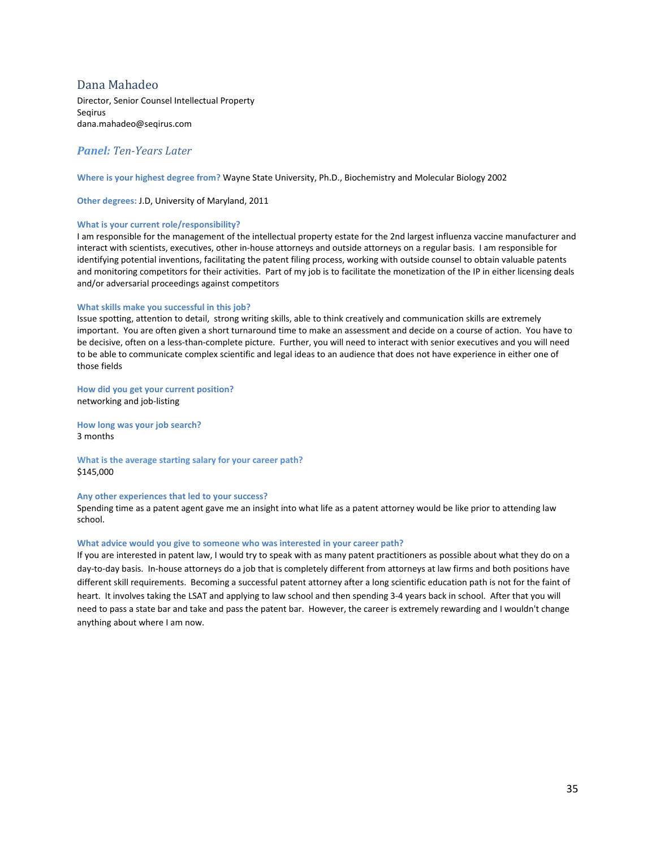## <span id="page-34-0"></span>Dana Mahadeo

Director, Senior Counsel Intellectual Property Seqirus dana.mahadeo@seqirus.com

## *Panel: Ten-Years Later*

**Where is your highest degree from?** Wayne State University, Ph.D., Biochemistry and Molecular Biology 2002

**Other degrees:** J.D, University of Maryland, 2011

#### **What is your current role/responsibility?**

I am responsible for the management of the intellectual property estate for the 2nd largest influenza vaccine manufacturer and interact with scientists, executives, other in-house attorneys and outside attorneys on a regular basis. I am responsible for identifying potential inventions, facilitating the patent filing process, working with outside counsel to obtain valuable patents and monitoring competitors for their activities. Part of my job is to facilitate the monetization of the IP in either licensing deals and/or adversarial proceedings against competitors

#### **What skills make you successful in this job?**

Issue spotting, attention to detail, strong writing skills, able to think creatively and communication skills are extremely important. You are often given a short turnaround time to make an assessment and decide on a course of action. You have to be decisive, often on a less-than-complete picture. Further, you will need to interact with senior executives and you will need to be able to communicate complex scientific and legal ideas to an audience that does not have experience in either one of those fields

**How did you get your current position?**  networking and job-listing

**How long was your job search?** 3 months

**What is the average starting salary for your career path?** \$145,000

#### **Any other experiences that led to your success?**

Spending time as a patent agent gave me an insight into what life as a patent attorney would be like prior to attending law school.

#### **What advice would you give to someone who was interested in your career path?**

If you are interested in patent law, I would try to speak with as many patent practitioners as possible about what they do on a day-to-day basis. In-house attorneys do a job that is completely different from attorneys at law firms and both positions have different skill requirements. Becoming a successful patent attorney after a long scientific education path is not for the faint of heart. It involves taking the LSAT and applying to law school and then spending 3-4 years back in school. After that you will need to pass a state bar and take and pass the patent bar. However, the career is extremely rewarding and I wouldn't change anything about where I am now.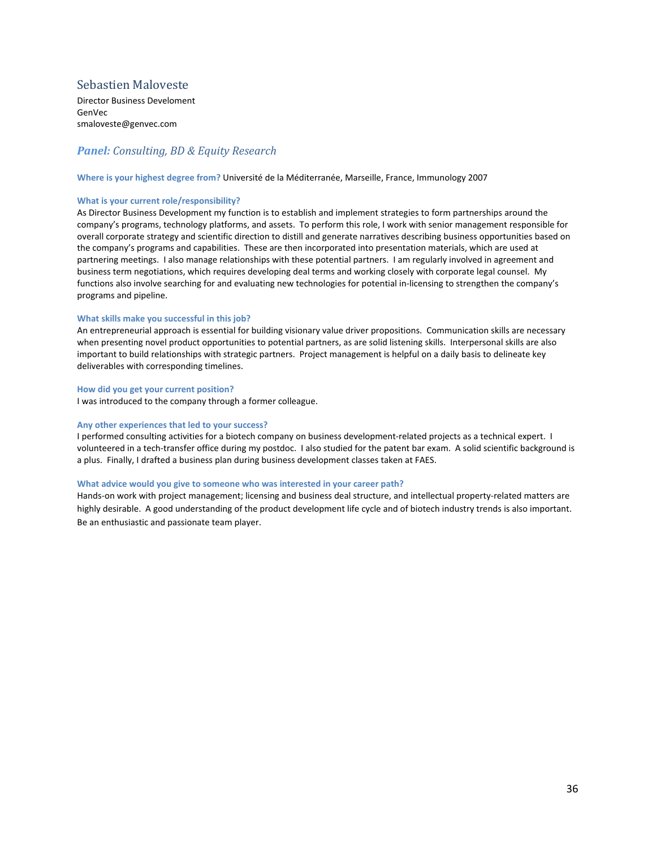# <span id="page-35-0"></span>Sebastien Maloveste

Director Business Develoment GenVec smaloveste@genvec.com

# *Panel: Consulting, BD & Equity Research*

#### **Where is your highest degree from?** Université de la Méditerranée, Marseille, France, Immunology 2007

#### **What is your current role/responsibility?**

As Director Business Development my function is to establish and implement strategies to form partnerships around the company's programs, technology platforms, and assets. To perform this role, I work with senior management responsible for overall corporate strategy and scientific direction to distill and generate narratives describing business opportunities based on the company's programs and capabilities. These are then incorporated into presentation materials, which are used at partnering meetings. I also manage relationships with these potential partners. I am regularly involved in agreement and business term negotiations, which requires developing deal terms and working closely with corporate legal counsel. My functions also involve searching for and evaluating new technologies for potential in-licensing to strengthen the company's programs and pipeline.

#### **What skills make you successful in this job?**

An entrepreneurial approach is essential for building visionary value driver propositions. Communication skills are necessary when presenting novel product opportunities to potential partners, as are solid listening skills. Interpersonal skills are also important to build relationships with strategic partners. Project management is helpful on a daily basis to delineate key deliverables with corresponding timelines.

#### **How did you get your current position?**

I was introduced to the company through a former colleague.

#### **Any other experiences that led to your success?**

I performed consulting activities for a biotech company on business development-related projects as a technical expert. I volunteered in a tech-transfer office during my postdoc. I also studied for the patent bar exam. A solid scientific background is a plus. Finally, I drafted a business plan during business development classes taken at FAES.

#### **What advice would you give to someone who was interested in your career path?**

Hands-on work with project management; licensing and business deal structure, and intellectual property-related matters are highly desirable. A good understanding of the product development life cycle and of biotech industry trends is also important. Be an enthusiastic and passionate team player.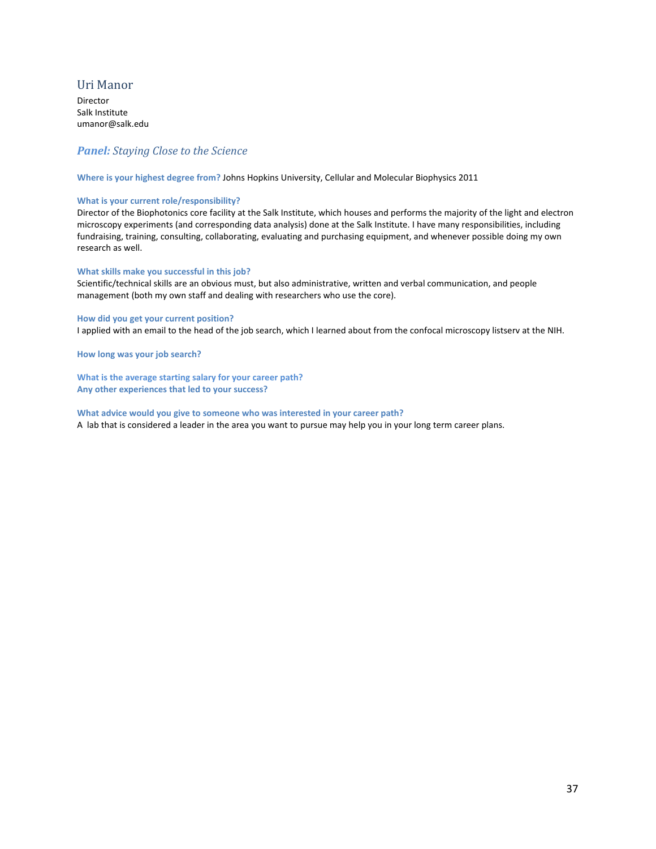## <span id="page-36-0"></span>Uri Manor

Director Salk Institute umanor@salk.edu

# *Panel: Staying Close to the Science*

**Where is your highest degree from?** Johns Hopkins University, Cellular and Molecular Biophysics 2011

#### **What is your current role/responsibility?**

Director of the Biophotonics core facility at the Salk Institute, which houses and performs the majority of the light and electron microscopy experiments (and corresponding data analysis) done at the Salk Institute. I have many responsibilities, including fundraising, training, consulting, collaborating, evaluating and purchasing equipment, and whenever possible doing my own research as well.

#### **What skills make you successful in this job?**

Scientific/technical skills are an obvious must, but also administrative, written and verbal communication, and people management (both my own staff and dealing with researchers who use the core).

## **How did you get your current position?**  I applied with an email to the head of the job search, which I learned about from the confocal microscopy listserv at the NIH.

**How long was your job search?**

**What is the average starting salary for your career path? Any other experiences that led to your success?**

**What advice would you give to someone who was interested in your career path?** A lab that is considered a leader in the area you want to pursue may help you in your long term career plans.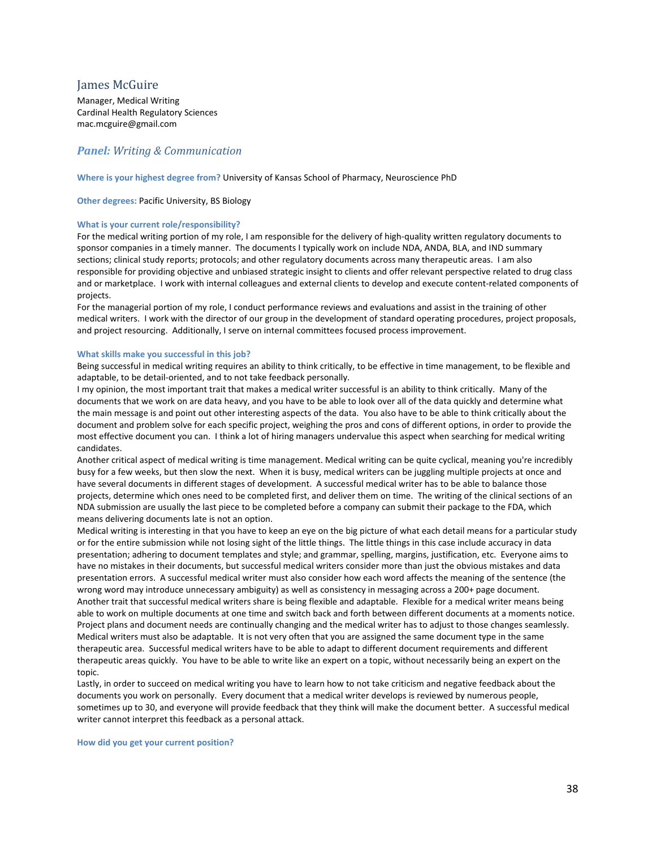# <span id="page-37-0"></span>James McGuire

Manager, Medical Writing Cardinal Health Regulatory Sciences mac.mcguire@gmail.com

## *Panel: Writing & Communication*

#### **Where is your highest degree from?** University of Kansas School of Pharmacy, Neuroscience PhD

**Other degrees:** Pacific University, BS Biology

#### **What is your current role/responsibility?**

For the medical writing portion of my role, I am responsible for the delivery of high-quality written regulatory documents to sponsor companies in a timely manner. The documents I typically work on include NDA, ANDA, BLA, and IND summary sections; clinical study reports; protocols; and other regulatory documents across many therapeutic areas. I am also responsible for providing objective and unbiased strategic insight to clients and offer relevant perspective related to drug class and or marketplace. I work with internal colleagues and external clients to develop and execute content-related components of projects.

For the managerial portion of my role, I conduct performance reviews and evaluations and assist in the training of other medical writers. I work with the director of our group in the development of standard operating procedures, project proposals, and project resourcing. Additionally, I serve on internal committees focused process improvement.

#### **What skills make you successful in this job?**

Being successful in medical writing requires an ability to think critically, to be effective in time management, to be flexible and adaptable, to be detail-oriented, and to not take feedback personally.

I my opinion, the most important trait that makes a medical writer successful is an ability to think critically. Many of the documents that we work on are data heavy, and you have to be able to look over all of the data quickly and determine what the main message is and point out other interesting aspects of the data. You also have to be able to think critically about the document and problem solve for each specific project, weighing the pros and cons of different options, in order to provide the most effective document you can. I think a lot of hiring managers undervalue this aspect when searching for medical writing candidates.

Another critical aspect of medical writing is time management. Medical writing can be quite cyclical, meaning you're incredibly busy for a few weeks, but then slow the next. When it is busy, medical writers can be juggling multiple projects at once and have several documents in different stages of development. A successful medical writer has to be able to balance those projects, determine which ones need to be completed first, and deliver them on time. The writing of the clinical sections of an NDA submission are usually the last piece to be completed before a company can submit their package to the FDA, which means delivering documents late is not an option.

Medical writing is interesting in that you have to keep an eye on the big picture of what each detail means for a particular study or for the entire submission while not losing sight of the little things. The little things in this case include accuracy in data presentation; adhering to document templates and style; and grammar, spelling, margins, justification, etc. Everyone aims to have no mistakes in their documents, but successful medical writers consider more than just the obvious mistakes and data presentation errors. A successful medical writer must also consider how each word affects the meaning of the sentence (the wrong word may introduce unnecessary ambiguity) as well as consistency in messaging across a 200+ page document. Another trait that successful medical writers share is being flexible and adaptable. Flexible for a medical writer means being able to work on multiple documents at one time and switch back and forth between different documents at a moments notice. Project plans and document needs are continually changing and the medical writer has to adjust to those changes seamlessly. Medical writers must also be adaptable. It is not very often that you are assigned the same document type in the same therapeutic area. Successful medical writers have to be able to adapt to different document requirements and different therapeutic areas quickly. You have to be able to write like an expert on a topic, without necessarily being an expert on the topic.

Lastly, in order to succeed on medical writing you have to learn how to not take criticism and negative feedback about the documents you work on personally. Every document that a medical writer develops is reviewed by numerous people, sometimes up to 30, and everyone will provide feedback that they think will make the document better. A successful medical writer cannot interpret this feedback as a personal attack.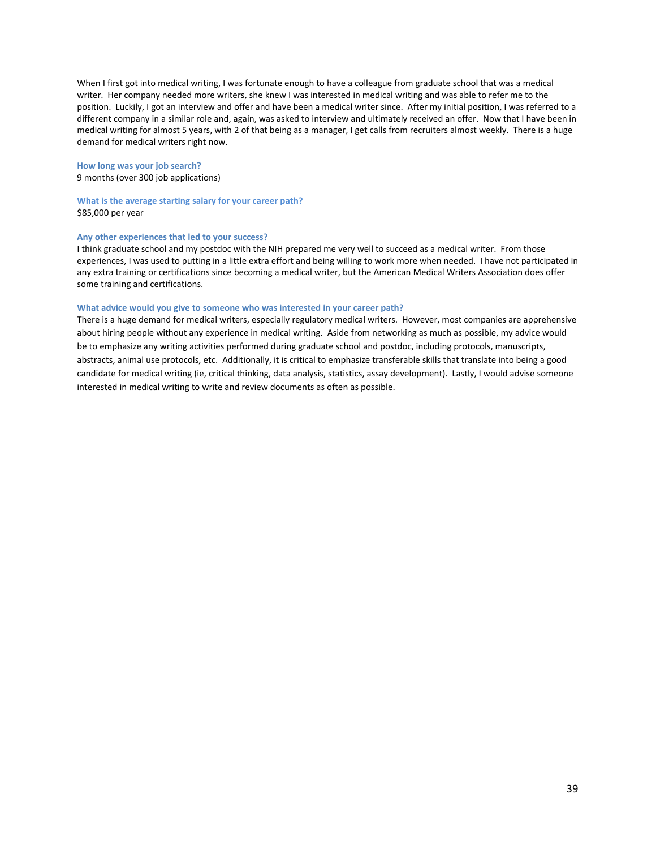When I first got into medical writing, I was fortunate enough to have a colleague from graduate school that was a medical writer. Her company needed more writers, she knew I was interested in medical writing and was able to refer me to the position. Luckily, I got an interview and offer and have been a medical writer since. After my initial position, I was referred to a different company in a similar role and, again, was asked to interview and ultimately received an offer. Now that I have been in medical writing for almost 5 years, with 2 of that being as a manager, I get calls from recruiters almost weekly. There is a huge demand for medical writers right now.

#### **How long was your job search?**

9 months (over 300 job applications)

**What is the average starting salary for your career path?** \$85,000 per year

#### **Any other experiences that led to your success?**

I think graduate school and my postdoc with the NIH prepared me very well to succeed as a medical writer. From those experiences, I was used to putting in a little extra effort and being willing to work more when needed. I have not participated in any extra training or certifications since becoming a medical writer, but the American Medical Writers Association does offer some training and certifications.

#### **What advice would you give to someone who was interested in your career path?**

There is a huge demand for medical writers, especially regulatory medical writers. However, most companies are apprehensive about hiring people without any experience in medical writing. Aside from networking as much as possible, my advice would be to emphasize any writing activities performed during graduate school and postdoc, including protocols, manuscripts, abstracts, animal use protocols, etc. Additionally, it is critical to emphasize transferable skills that translate into being a good candidate for medical writing (ie, critical thinking, data analysis, statistics, assay development). Lastly, I would advise someone interested in medical writing to write and review documents as often as possible.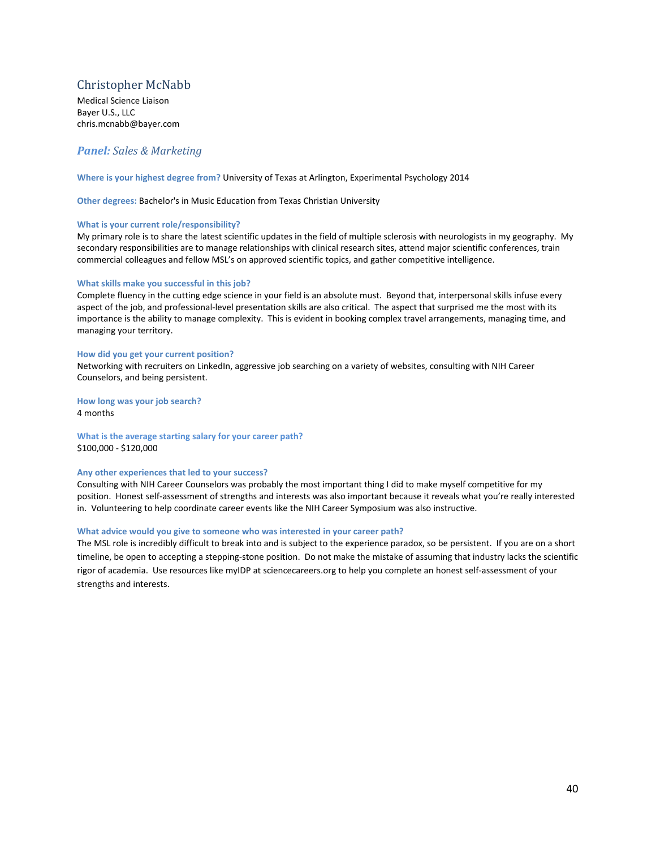# <span id="page-39-0"></span>Christopher McNabb

Medical Science Liaison Bayer U.S., LLC chris.mcnabb@bayer.com

# *Panel: Sales & Marketing*

**Where is your highest degree from?** University of Texas at Arlington, Experimental Psychology 2014

**Other degrees:** Bachelor's in Music Education from Texas Christian University

#### **What is your current role/responsibility?**

My primary role is to share the latest scientific updates in the field of multiple sclerosis with neurologists in my geography. My secondary responsibilities are to manage relationships with clinical research sites, attend major scientific conferences, train commercial colleagues and fellow MSL's on approved scientific topics, and gather competitive intelligence.

#### **What skills make you successful in this job?**

Complete fluency in the cutting edge science in your field is an absolute must. Beyond that, interpersonal skills infuse every aspect of the job, and professional-level presentation skills are also critical. The aspect that surprised me the most with its importance is the ability to manage complexity. This is evident in booking complex travel arrangements, managing time, and managing your territory.

#### **How did you get your current position?**

Networking with recruiters on LinkedIn, aggressive job searching on a variety of websites, consulting with NIH Career Counselors, and being persistent.

**How long was your job search?** 4 months

**What is the average starting salary for your career path?**

\$100,000 - \$120,000

#### **Any other experiences that led to your success?**

Consulting with NIH Career Counselors was probably the most important thing I did to make myself competitive for my position. Honest self-assessment of strengths and interests was also important because it reveals what you're really interested in. Volunteering to help coordinate career events like the NIH Career Symposium was also instructive.

#### **What advice would you give to someone who was interested in your career path?**

The MSL role is incredibly difficult to break into and is subject to the experience paradox, so be persistent. If you are on a short timeline, be open to accepting a stepping-stone position. Do not make the mistake of assuming that industry lacks the scientific rigor of academia. Use resources like myIDP at sciencecareers.org to help you complete an honest self-assessment of your strengths and interests.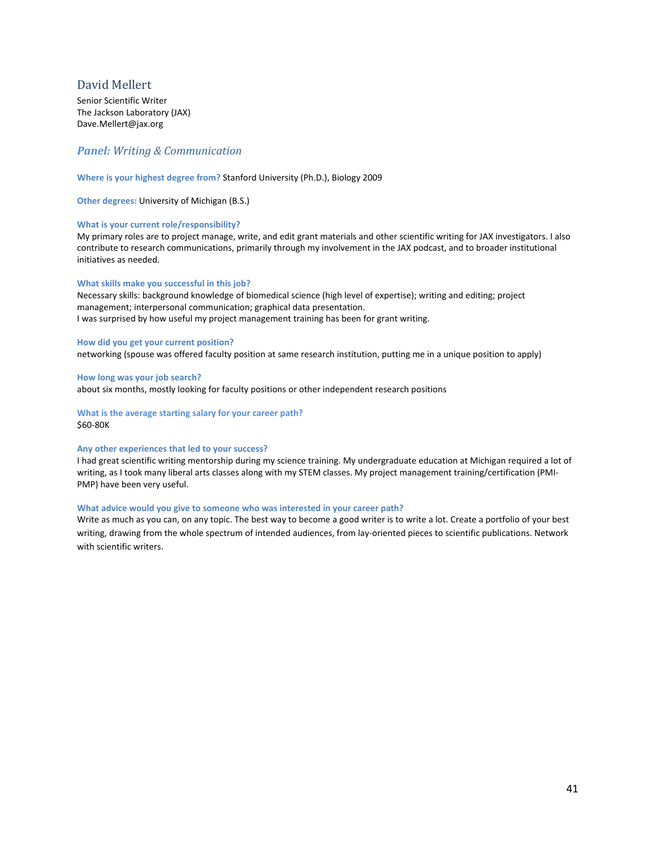# <span id="page-40-0"></span>David Mellert

Senior Scientific Writer The Jackson Laboratory (JAX) Dave.Mellert@jax.org

## *Panel: Writing & Communication*

#### **Where is your highest degree from?** Stanford University (Ph.D.), Biology 2009

**Other degrees:** University of Michigan (B.S.)

#### **What is your current role/responsibility?**

My primary roles are to project manage, write, and edit grant materials and other scientific writing for JAX investigators. I also contribute to research communications, primarily through my involvement in the JAX podcast, and to broader institutional initiatives as needed.

#### **What skills make you successful in this job?**

Necessary skills: background knowledge of biomedical science (high level of expertise); writing and editing; project management; interpersonal communication; graphical data presentation. I was surprised by how useful my project management training has been for grant writing.

#### **How did you get your current position?**

networking (spouse was offered faculty position at same research institution, putting me in a unique position to apply)

#### **How long was your job search?**

about six months, mostly looking for faculty positions or other independent research positions

**What is the average starting salary for your career path?** \$60-80K

#### **Any other experiences that led to your success?**

I had great scientific writing mentorship during my science training. My undergraduate education at Michigan required a lot of writing, as I took many liberal arts classes along with my STEM classes. My project management training/certification (PMI-PMP) have been very useful.

#### **What advice would you give to someone who was interested in your career path?**

Write as much as you can, on any topic. The best way to become a good writer is to write a lot. Create a portfolio of your best writing, drawing from the whole spectrum of intended audiences, from lay-oriented pieces to scientific publications. Network with scientific writers.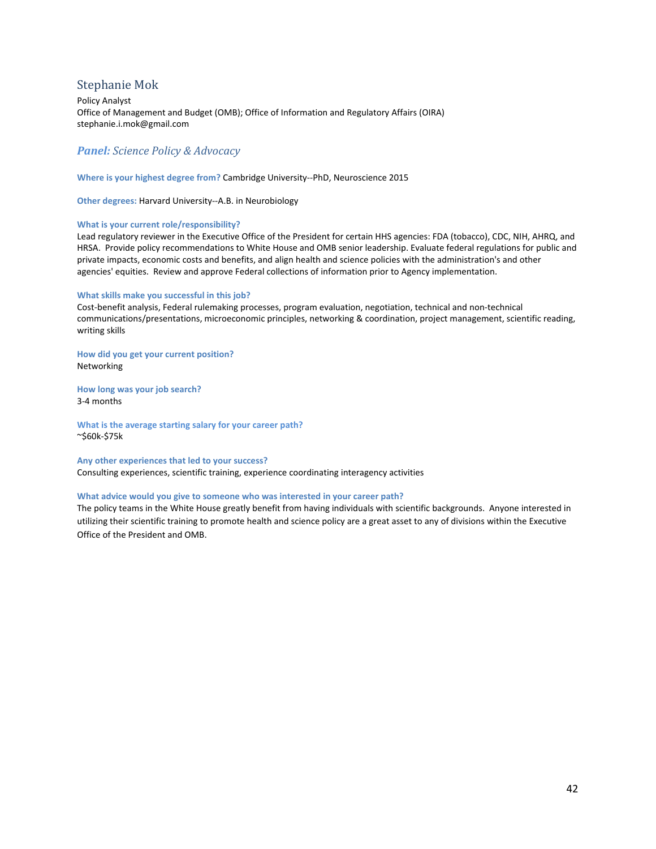# <span id="page-41-0"></span>Stephanie Mok

Policy Analyst Office of Management and Budget (OMB); Office of Information and Regulatory Affairs (OIRA) stephanie.i.mok@gmail.com

# *Panel: Science Policy & Advocacy*

**Where is your highest degree from?** Cambridge University--PhD, Neuroscience 2015

**Other degrees:** Harvard University--A.B. in Neurobiology

#### **What is your current role/responsibility?**

Lead regulatory reviewer in the Executive Office of the President for certain HHS agencies: FDA (tobacco), CDC, NIH, AHRQ, and HRSA. Provide policy recommendations to White House and OMB senior leadership. Evaluate federal regulations for public and private impacts, economic costs and benefits, and align health and science policies with the administration's and other agencies' equities. Review and approve Federal collections of information prior to Agency implementation.

#### **What skills make you successful in this job?**

Cost-benefit analysis, Federal rulemaking processes, program evaluation, negotiation, technical and non-technical communications/presentations, microeconomic principles, networking & coordination, project management, scientific reading, writing skills

**How did you get your current position?**  Networking

**How long was your job search?** 3-4 months

**What is the average starting salary for your career path?** ~\$60k-\$75k

**Any other experiences that led to your success?** Consulting experiences, scientific training, experience coordinating interagency activities

#### **What advice would you give to someone who was interested in your career path?**

The policy teams in the White House greatly benefit from having individuals with scientific backgrounds. Anyone interested in utilizing their scientific training to promote health and science policy are a great asset to any of divisions within the Executive Office of the President and OMB.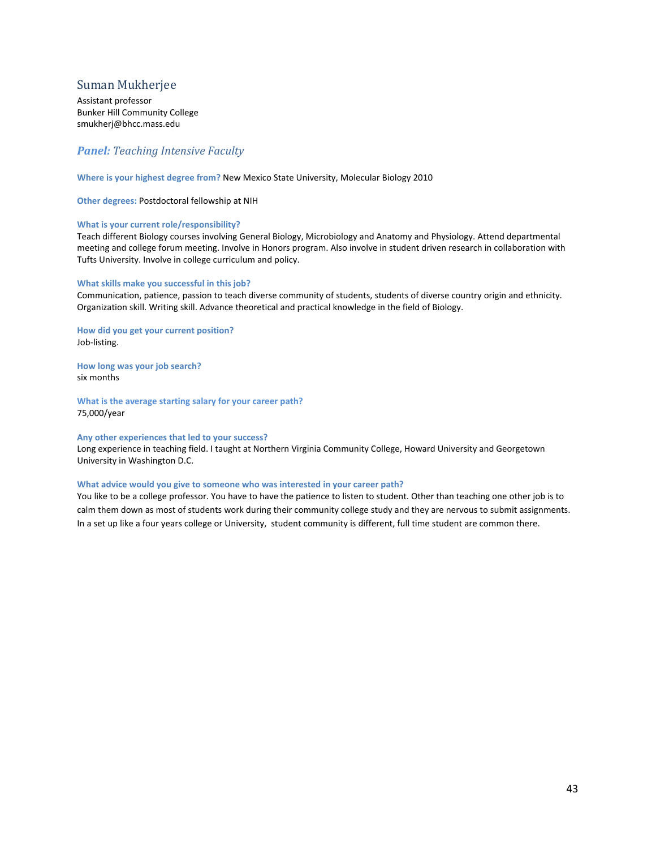# <span id="page-42-0"></span>Suman Mukherjee

Assistant professor Bunker Hill Community College smukherj@bhcc.mass.edu

# *Panel: Teaching Intensive Faculty*

**Where is your highest degree from?** New Mexico State University, Molecular Biology 2010

**Other degrees:** Postdoctoral fellowship at NIH

#### **What is your current role/responsibility?**

Teach different Biology courses involving General Biology, Microbiology and Anatomy and Physiology. Attend departmental meeting and college forum meeting. Involve in Honors program. Also involve in student driven research in collaboration with Tufts University. Involve in college curriculum and policy.

#### **What skills make you successful in this job?**

Communication, patience, passion to teach diverse community of students, students of diverse country origin and ethnicity. Organization skill. Writing skill. Advance theoretical and practical knowledge in the field of Biology.

**How did you get your current position?**  Job-listing.

**How long was your job search?**

six months

**What is the average starting salary for your career path?** 75,000/year

#### **Any other experiences that led to your success?**

Long experience in teaching field. I taught at Northern Virginia Community College, Howard University and Georgetown University in Washington D.C.

#### **What advice would you give to someone who was interested in your career path?**

You like to be a college professor. You have to have the patience to listen to student. Other than teaching one other job is to calm them down as most of students work during their community college study and they are nervous to submit assignments. In a set up like a four years college or University, student community is different, full time student are common there.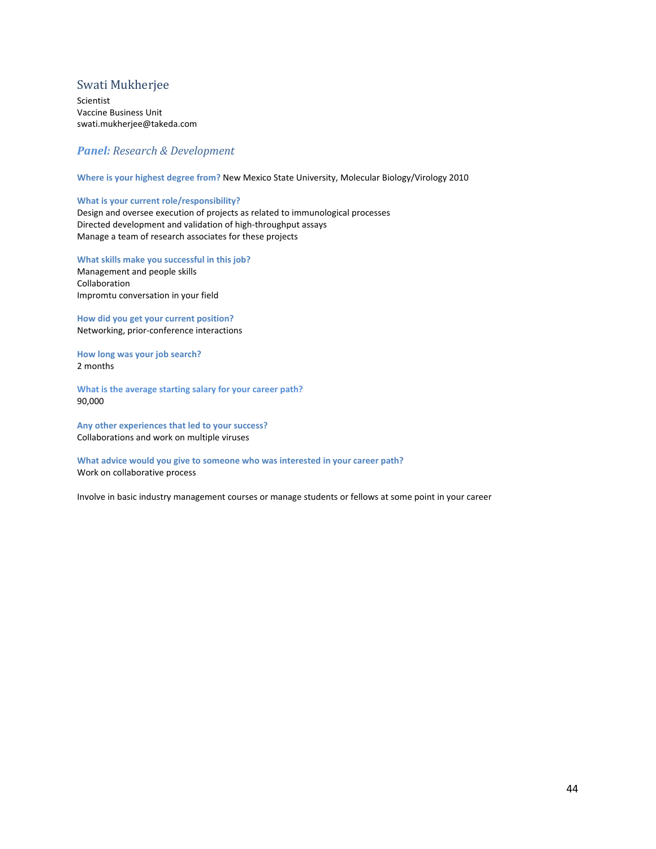## <span id="page-43-0"></span>Swati Mukherjee

Scientist Vaccine Business Unit swati.mukherjee@takeda.com

## *Panel: Research & Development*

**Where is your highest degree from?** New Mexico State University, Molecular Biology/Virology 2010

#### **What is your current role/responsibility?**

Design and oversee execution of projects as related to immunological processes Directed development and validation of high-throughput assays Manage a team of research associates for these projects

**What skills make you successful in this job?** 

Management and people skills Collaboration Impromtu conversation in your field

**How did you get your current position?**  Networking, prior-conference interactions

**How long was your job search?** 2 months

**What is the average starting salary for your career path?** 90,000

**Any other experiences that led to your success?** Collaborations and work on multiple viruses

**What advice would you give to someone who was interested in your career path?** Work on collaborative process

Involve in basic industry management courses or manage students or fellows at some point in your career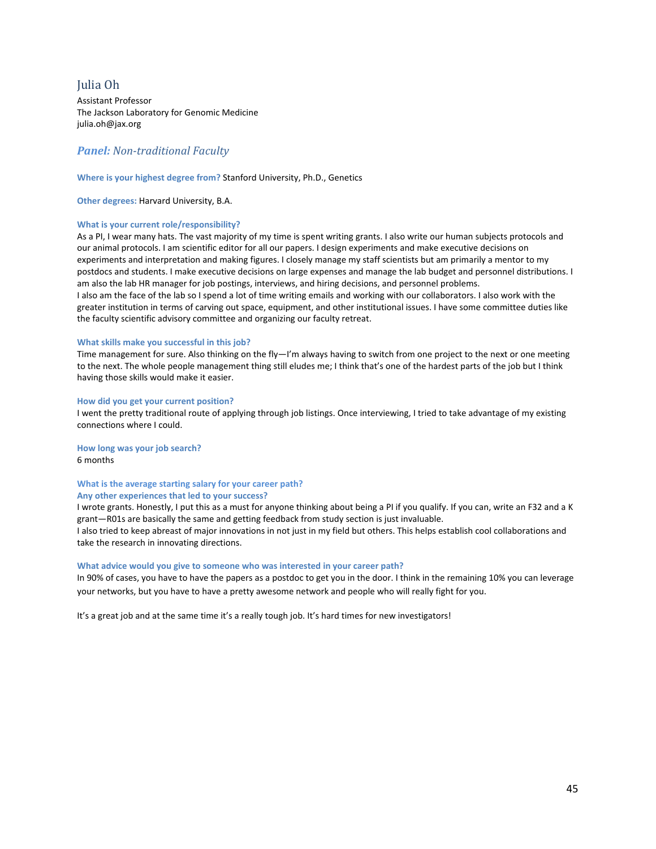# <span id="page-44-0"></span>Julia Oh

Assistant Professor The Jackson Laboratory for Genomic Medicine julia.oh@jax.org

# *Panel: Non-traditional Faculty*

#### **Where is your highest degree from?** Stanford University, Ph.D., Genetics

the faculty scientific advisory committee and organizing our faculty retreat.

**Other degrees:** Harvard University, B.A.

## **What is your current role/responsibility?**

As a PI, I wear many hats. The vast majority of my time is spent writing grants. I also write our human subjects protocols and our animal protocols. I am scientific editor for all our papers. I design experiments and make executive decisions on experiments and interpretation and making figures. I closely manage my staff scientists but am primarily a mentor to my postdocs and students. I make executive decisions on large expenses and manage the lab budget and personnel distributions. I am also the lab HR manager for job postings, interviews, and hiring decisions, and personnel problems. I also am the face of the lab so I spend a lot of time writing emails and working with our collaborators. I also work with the greater institution in terms of carving out space, equipment, and other institutional issues. I have some committee duties like

# **What skills make you successful in this job?**

Time management for sure. Also thinking on the fly—I'm always having to switch from one project to the next or one meeting to the next. The whole people management thing still eludes me; I think that's one of the hardest parts of the job but I think having those skills would make it easier.

#### **How did you get your current position?**

I went the pretty traditional route of applying through job listings. Once interviewing, I tried to take advantage of my existing connections where I could.

**How long was your job search?** 6 months

#### **What is the average starting salary for your career path? Any other experiences that led to your success?**

I wrote grants. Honestly, I put this as a must for anyone thinking about being a PI if you qualify. If you can, write an F32 and a K grant—R01s are basically the same and getting feedback from study section is just invaluable. I also tried to keep abreast of major innovations in not just in my field but others. This helps establish cool collaborations and take the research in innovating directions.

#### **What advice would you give to someone who was interested in your career path?**

In 90% of cases, you have to have the papers as a postdoc to get you in the door. I think in the remaining 10% you can leverage your networks, but you have to have a pretty awesome network and people who will really fight for you.

It's a great job and at the same time it's a really tough job. It's hard times for new investigators!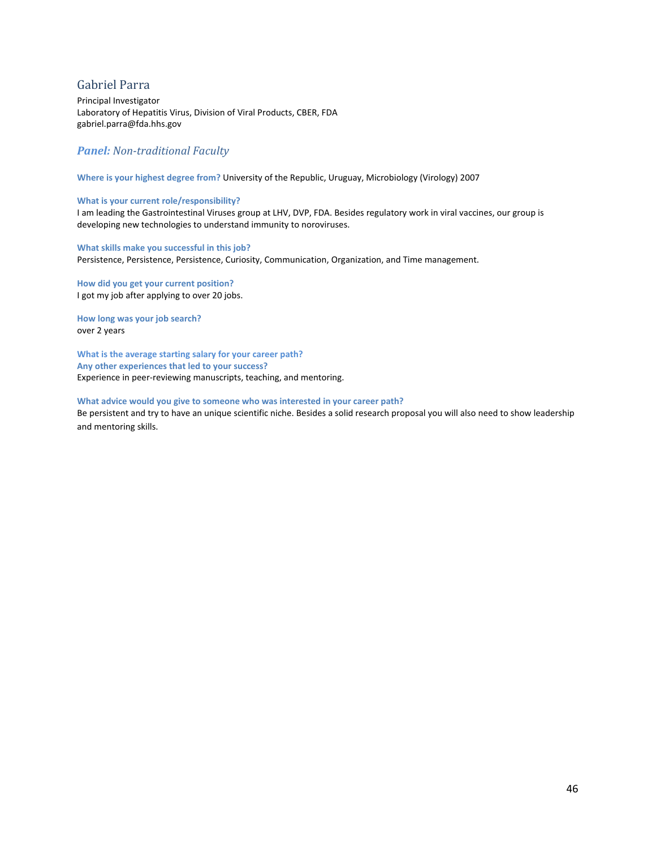# <span id="page-45-0"></span>Gabriel Parra

Principal Investigator Laboratory of Hepatitis Virus, Division of Viral Products, CBER, FDA gabriel.parra@fda.hhs.gov

## *Panel: Non-traditional Faculty*

**Where is your highest degree from?** University of the Republic, Uruguay, Microbiology (Virology) 2007

#### **What is your current role/responsibility?**

I am leading the Gastrointestinal Viruses group at LHV, DVP, FDA. Besides regulatory work in viral vaccines, our group is developing new technologies to understand immunity to noroviruses.

**What skills make you successful in this job?**  Persistence, Persistence, Persistence, Curiosity, Communication, Organization, and Time management.

**How did you get your current position?**  I got my job after applying to over 20 jobs.

**How long was your job search?** over 2 years

**What is the average starting salary for your career path? Any other experiences that led to your success?** Experience in peer-reviewing manuscripts, teaching, and mentoring.

#### **What advice would you give to someone who was interested in your career path?**

Be persistent and try to have an unique scientific niche. Besides a solid research proposal you will also need to show leadership and mentoring skills.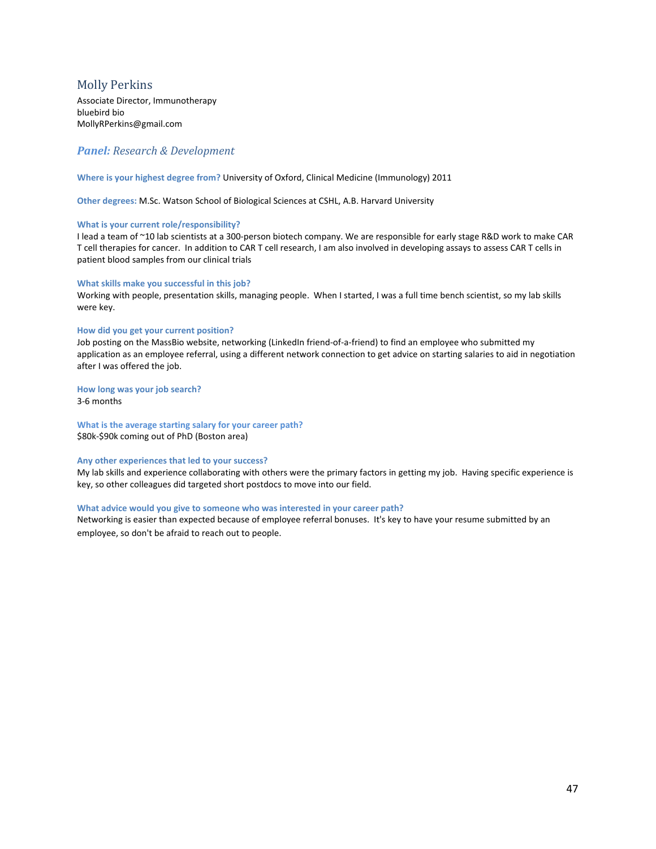# <span id="page-46-0"></span>Molly Perkins

Associate Director, Immunotherapy bluebird bio MollyRPerkins@gmail.com

## *Panel: Research & Development*

**Where is your highest degree from?** University of Oxford, Clinical Medicine (Immunology) 2011

**Other degrees:** M.Sc. Watson School of Biological Sciences at CSHL, A.B. Harvard University

#### **What is your current role/responsibility?**

I lead a team of ~10 lab scientists at a 300-person biotech company. We are responsible for early stage R&D work to make CAR T cell therapies for cancer. In addition to CAR T cell research, I am also involved in developing assays to assess CAR T cells in patient blood samples from our clinical trials

#### **What skills make you successful in this job?**

Working with people, presentation skills, managing people. When I started, I was a full time bench scientist, so my lab skills were key.

#### **How did you get your current position?**

Job posting on the MassBio website, networking (LinkedIn friend-of-a-friend) to find an employee who submitted my application as an employee referral, using a different network connection to get advice on starting salaries to aid in negotiation after I was offered the job.

#### **How long was your job search?** 3-6 months

#### **What is the average starting salary for your career path?** \$80k-\$90k coming out of PhD (Boston area)

## **Any other experiences that led to your success?**

My lab skills and experience collaborating with others were the primary factors in getting my job. Having specific experience is key, so other colleagues did targeted short postdocs to move into our field.

#### **What advice would you give to someone who was interested in your career path?**

Networking is easier than expected because of employee referral bonuses. It's key to have your resume submitted by an employee, so don't be afraid to reach out to people.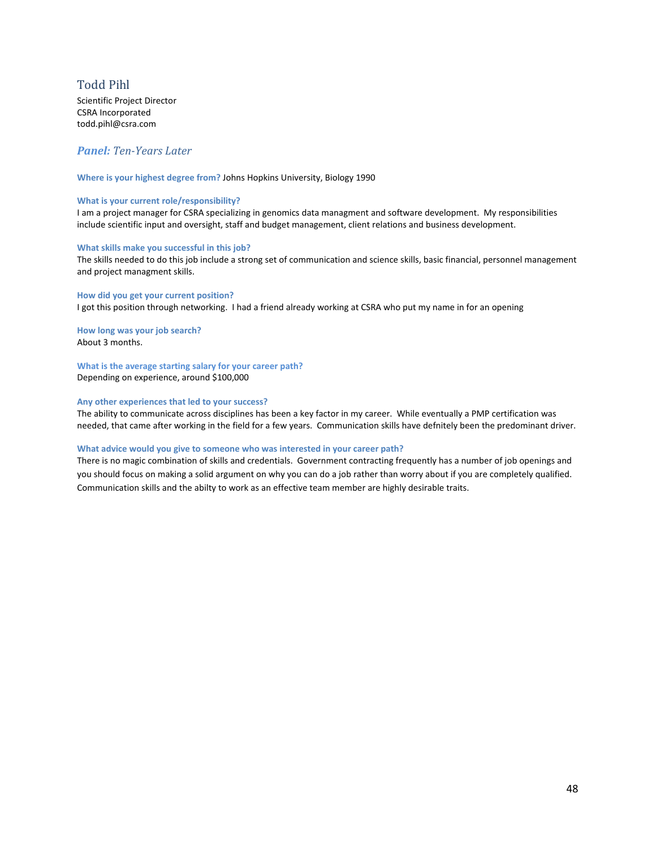# <span id="page-47-0"></span>Todd Pihl

Scientific Project Director CSRA Incorporated todd.pihl@csra.com

## *Panel: Ten-Years Later*

**Where is your highest degree from?** Johns Hopkins University, Biology 1990

#### **What is your current role/responsibility?**

I am a project manager for CSRA specializing in genomics data managment and software development. My responsibilities include scientific input and oversight, staff and budget management, client relations and business development.

#### **What skills make you successful in this job?**

The skills needed to do this job include a strong set of communication and science skills, basic financial, personnel management and project managment skills.

**How did you get your current position?**  I got this position through networking. I had a friend already working at CSRA who put my name in for an opening

**How long was your job search?** About 3 months.

**What is the average starting salary for your career path?**

Depending on experience, around \$100,000

#### **Any other experiences that led to your success?**

The ability to communicate across disciplines has been a key factor in my career. While eventually a PMP certification was needed, that came after working in the field for a few years. Communication skills have defnitely been the predominant driver.

#### **What advice would you give to someone who was interested in your career path?**

There is no magic combination of skills and credentials. Government contracting frequently has a number of job openings and you should focus on making a solid argument on why you can do a job rather than worry about if you are completely qualified. Communication skills and the abilty to work as an effective team member are highly desirable traits.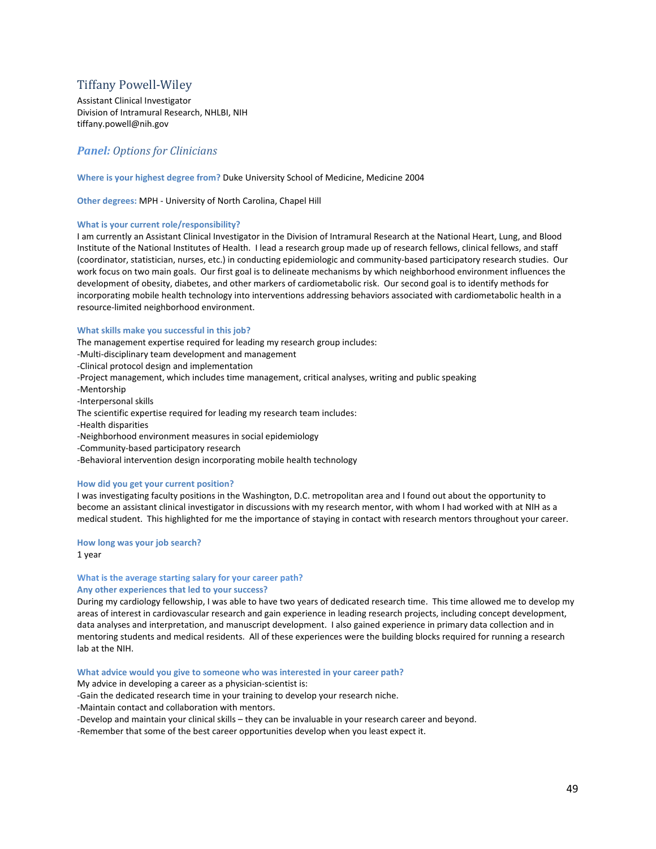# <span id="page-48-0"></span>Tiffany Powell-Wiley

Assistant Clinical Investigator Division of Intramural Research, NHLBI, NIH tiffany.powell@nih.gov

# *Panel: Options for Clinicians*

**Where is your highest degree from?** Duke University School of Medicine, Medicine 2004

**Other degrees:** MPH - University of North Carolina, Chapel Hill

#### **What is your current role/responsibility?**

I am currently an Assistant Clinical Investigator in the Division of Intramural Research at the National Heart, Lung, and Blood Institute of the National Institutes of Health. I lead a research group made up of research fellows, clinical fellows, and staff (coordinator, statistician, nurses, etc.) in conducting epidemiologic and community-based participatory research studies. Our work focus on two main goals. Our first goal is to delineate mechanisms by which neighborhood environment influences the development of obesity, diabetes, and other markers of cardiometabolic risk. Our second goal is to identify methods for incorporating mobile health technology into interventions addressing behaviors associated with cardiometabolic health in a resource-limited neighborhood environment.

#### **What skills make you successful in this job?**

The management expertise required for leading my research group includes: -Multi-disciplinary team development and management -Clinical protocol design and implementation -Project management, which includes time management, critical analyses, writing and public speaking -Mentorship -Interpersonal skills The scientific expertise required for leading my research team includes: -Health disparities -Neighborhood environment measures in social epidemiology -Community-based participatory research -Behavioral intervention design incorporating mobile health technology

#### **How did you get your current position?**

I was investigating faculty positions in the Washington, D.C. metropolitan area and I found out about the opportunity to become an assistant clinical investigator in discussions with my research mentor, with whom I had worked with at NIH as a medical student. This highlighted for me the importance of staying in contact with research mentors throughout your career.

#### **How long was your job search?**

1 year

#### **What is the average starting salary for your career path? Any other experiences that led to your success?**

During my cardiology fellowship, I was able to have two years of dedicated research time. This time allowed me to develop my areas of interest in cardiovascular research and gain experience in leading research projects, including concept development, data analyses and interpretation, and manuscript development. I also gained experience in primary data collection and in mentoring students and medical residents. All of these experiences were the building blocks required for running a research lab at the NIH.

#### **What advice would you give to someone who was interested in your career path?**

My advice in developing a career as a physician-scientist is:

-Gain the dedicated research time in your training to develop your research niche.

-Maintain contact and collaboration with mentors.

-Develop and maintain your clinical skills – they can be invaluable in your research career and beyond.

-Remember that some of the best career opportunities develop when you least expect it.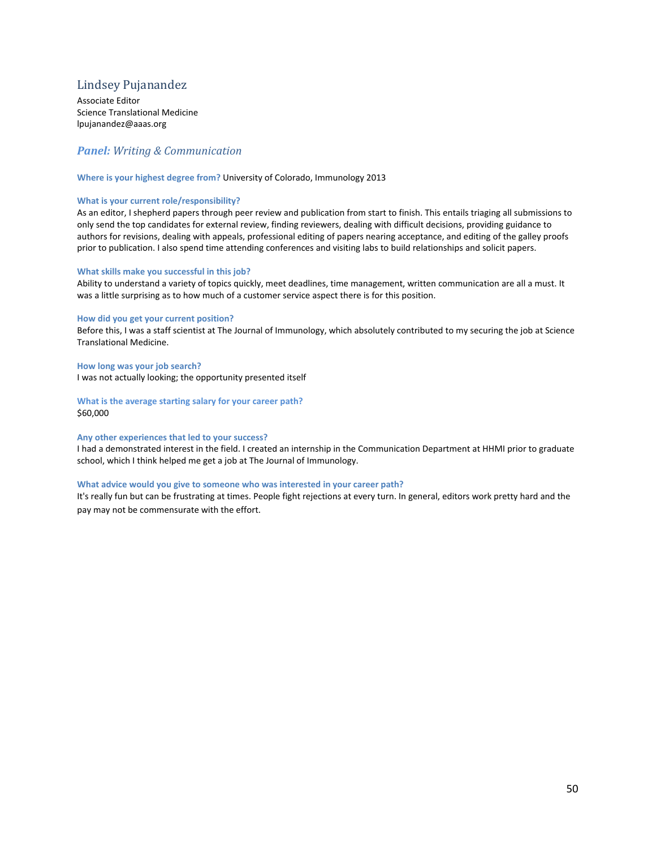# <span id="page-49-0"></span>Lindsey Pujanandez

Associate Editor Science Translational Medicine lpujanandez@aaas.org

# *Panel: Writing & Communication*

#### **Where is your highest degree from?** University of Colorado, Immunology 2013

#### **What is your current role/responsibility?**

As an editor, I shepherd papers through peer review and publication from start to finish. This entails triaging all submissions to only send the top candidates for external review, finding reviewers, dealing with difficult decisions, providing guidance to authors for revisions, dealing with appeals, professional editing of papers nearing acceptance, and editing of the galley proofs prior to publication. I also spend time attending conferences and visiting labs to build relationships and solicit papers.

#### **What skills make you successful in this job?**

Ability to understand a variety of topics quickly, meet deadlines, time management, written communication are all a must. It was a little surprising as to how much of a customer service aspect there is for this position.

#### **How did you get your current position?**

Before this, I was a staff scientist at The Journal of Immunology, which absolutely contributed to my securing the job at Science Translational Medicine.

**How long was your job search?** I was not actually looking; the opportunity presented itself

**What is the average starting salary for your career path?** \$60,000

#### **Any other experiences that led to your success?**

I had a demonstrated interest in the field. I created an internship in the Communication Department at HHMI prior to graduate school, which I think helped me get a job at The Journal of Immunology.

#### **What advice would you give to someone who was interested in your career path?**

It's really fun but can be frustrating at times. People fight rejections at every turn. In general, editors work pretty hard and the pay may not be commensurate with the effort.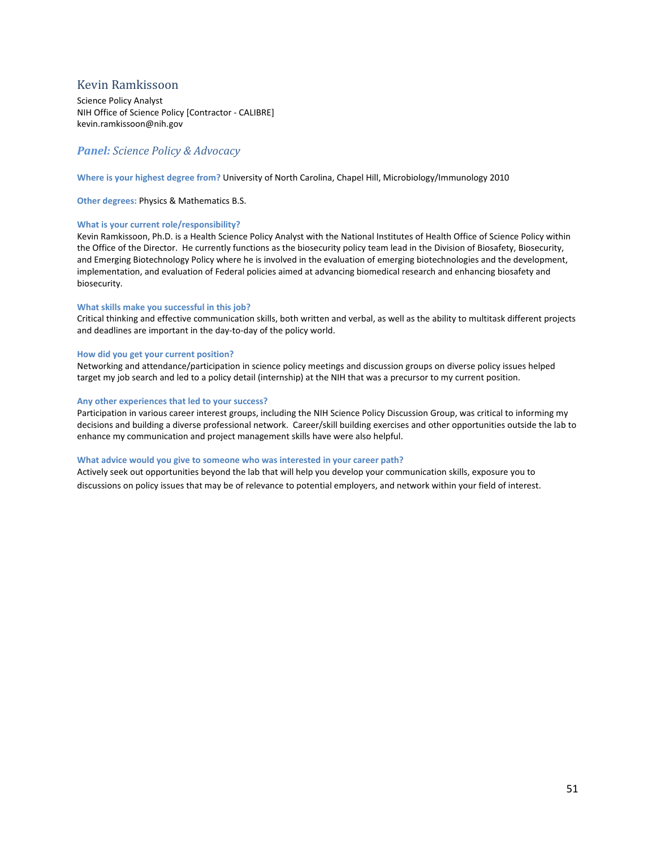# <span id="page-50-0"></span>Kevin Ramkissoon

Science Policy Analyst NIH Office of Science Policy [Contractor - CALIBRE] kevin.ramkissoon@nih.gov

# *Panel: Science Policy & Advocacy*

#### **Where is your highest degree from?** University of North Carolina, Chapel Hill, Microbiology/Immunology 2010

**Other degrees:** Physics & Mathematics B.S.

#### **What is your current role/responsibility?**

Kevin Ramkissoon, Ph.D. is a Health Science Policy Analyst with the National Institutes of Health Office of Science Policy within the Office of the Director. He currently functions as the biosecurity policy team lead in the Division of Biosafety, Biosecurity, and Emerging Biotechnology Policy where he is involved in the evaluation of emerging biotechnologies and the development, implementation, and evaluation of Federal policies aimed at advancing biomedical research and enhancing biosafety and biosecurity.

#### **What skills make you successful in this job?**

Critical thinking and effective communication skills, both written and verbal, as well as the ability to multitask different projects and deadlines are important in the day-to-day of the policy world.

#### **How did you get your current position?**

Networking and attendance/participation in science policy meetings and discussion groups on diverse policy issues helped target my job search and led to a policy detail (internship) at the NIH that was a precursor to my current position.

#### **Any other experiences that led to your success?**

Participation in various career interest groups, including the NIH Science Policy Discussion Group, was critical to informing my decisions and building a diverse professional network. Career/skill building exercises and other opportunities outside the lab to enhance my communication and project management skills have were also helpful.

#### **What advice would you give to someone who was interested in your career path?**

Actively seek out opportunities beyond the lab that will help you develop your communication skills, exposure you to discussions on policy issues that may be of relevance to potential employers, and network within your field of interest.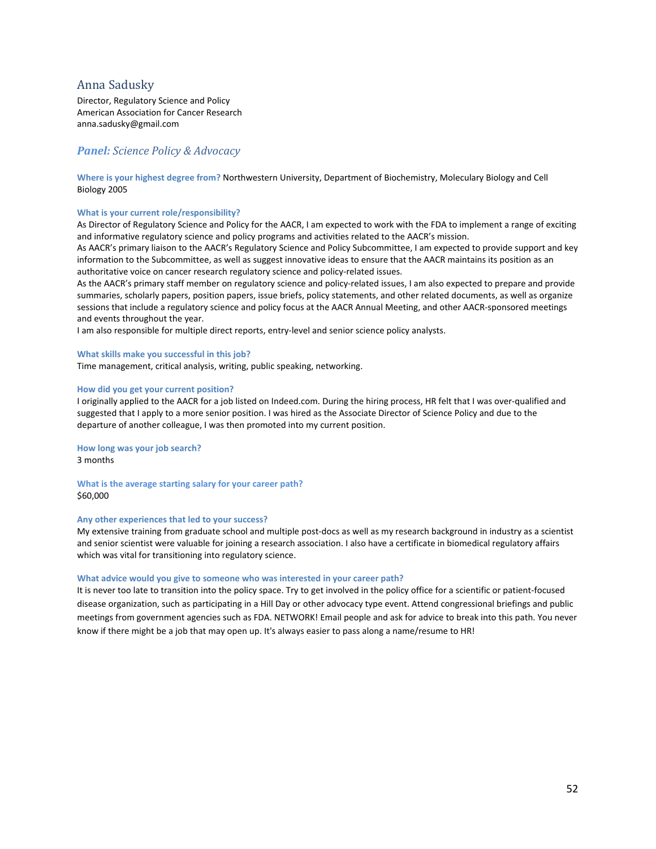## <span id="page-51-0"></span>Anna Sadusky

Director, Regulatory Science and Policy American Association for Cancer Research anna.sadusky@gmail.com

# *Panel: Science Policy & Advocacy*

**Where is your highest degree from?** Northwestern University, Department of Biochemistry, Moleculary Biology and Cell Biology 2005

#### **What is your current role/responsibility?**

As Director of Regulatory Science and Policy for the AACR, I am expected to work with the FDA to implement a range of exciting and informative regulatory science and policy programs and activities related to the AACR's mission.

As AACR's primary liaison to the AACR's Regulatory Science and Policy Subcommittee, I am expected to provide support and key information to the Subcommittee, as well as suggest innovative ideas to ensure that the AACR maintains its position as an authoritative voice on cancer research regulatory science and policy-related issues.

As the AACR's primary staff member on regulatory science and policy-related issues, I am also expected to prepare and provide summaries, scholarly papers, position papers, issue briefs, policy statements, and other related documents, as well as organize sessions that include a regulatory science and policy focus at the AACR Annual Meeting, and other AACR-sponsored meetings and events throughout the year.

I am also responsible for multiple direct reports, entry-level and senior science policy analysts.

#### **What skills make you successful in this job?**

Time management, critical analysis, writing, public speaking, networking.

#### **How did you get your current position?**

I originally applied to the AACR for a job listed on Indeed.com. During the hiring process, HR felt that I was over-qualified and suggested that I apply to a more senior position. I was hired as the Associate Director of Science Policy and due to the departure of another colleague, I was then promoted into my current position.

**How long was your job search?** 3 months

**What is the average starting salary for your career path?** \$60,000

#### **Any other experiences that led to your success?**

My extensive training from graduate school and multiple post-docs as well as my research background in industry as a scientist and senior scientist were valuable for joining a research association. I also have a certificate in biomedical regulatory affairs which was vital for transitioning into regulatory science.

#### **What advice would you give to someone who was interested in your career path?**

It is never too late to transition into the policy space. Try to get involved in the policy office for a scientific or patient-focused disease organization, such as participating in a Hill Day or other advocacy type event. Attend congressional briefings and public meetings from government agencies such as FDA. NETWORK! Email people and ask for advice to break into this path. You never know if there might be a job that may open up. It's always easier to pass along a name/resume to HR!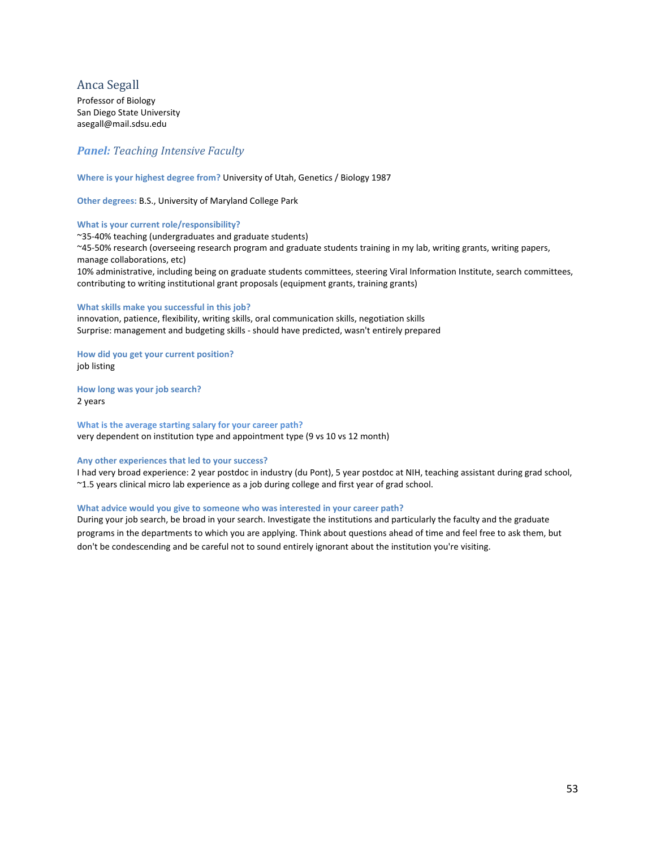# <span id="page-52-0"></span>Anca Segall

Professor of Biology San Diego State University asegall@mail.sdsu.edu

# *Panel: Teaching Intensive Faculty*

#### **Where is your highest degree from?** University of Utah, Genetics / Biology 1987

**Other degrees:** B.S., University of Maryland College Park

#### **What is your current role/responsibility?**

~35-40% teaching (undergraduates and graduate students) ~45-50% research (overseeing research program and graduate students training in my lab, writing grants, writing papers, manage collaborations, etc) 10% administrative, including being on graduate students committees, steering Viral Information Institute, search committees, contributing to writing institutional grant proposals (equipment grants, training grants)

#### **What skills make you successful in this job?**

innovation, patience, flexibility, writing skills, oral communication skills, negotiation skills Surprise: management and budgeting skills - should have predicted, wasn't entirely prepared

**How did you get your current position?**  job listing

**How long was your job search?** 2 years

**What is the average starting salary for your career path?** very dependent on institution type and appointment type (9 vs 10 vs 12 month)

#### **Any other experiences that led to your success?**

I had very broad experience: 2 year postdoc in industry (du Pont), 5 year postdoc at NIH, teaching assistant during grad school, ~1.5 years clinical micro lab experience as a job during college and first year of grad school.

#### **What advice would you give to someone who was interested in your career path?**

During your job search, be broad in your search. Investigate the institutions and particularly the faculty and the graduate programs in the departments to which you are applying. Think about questions ahead of time and feel free to ask them, but don't be condescending and be careful not to sound entirely ignorant about the institution you're visiting.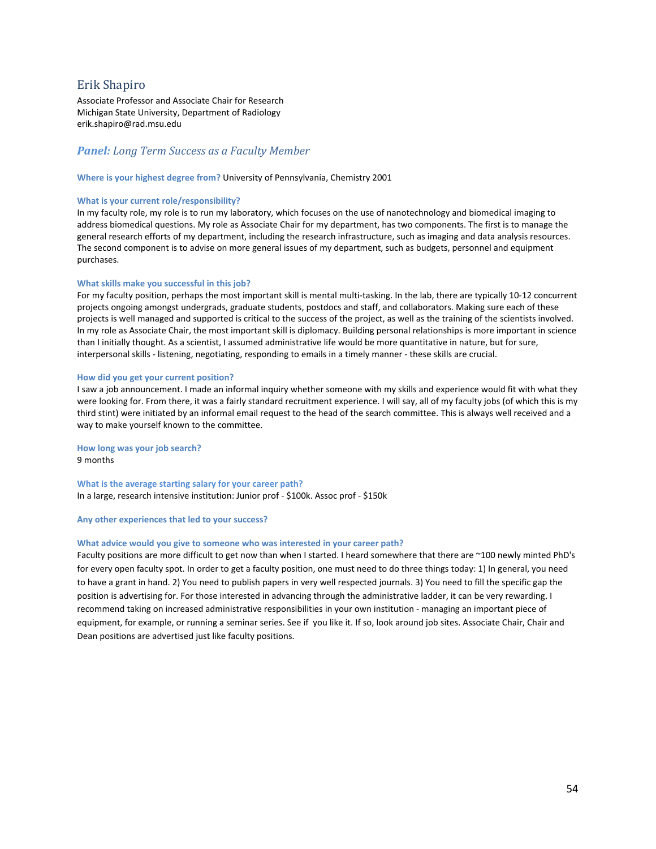# <span id="page-53-0"></span>Erik Shapiro

Associate Professor and Associate Chair for Research Michigan State University, Department of Radiology erik.shapiro@rad.msu.edu

## *Panel: Long Term Success as a Faculty Member*

#### **Where is your highest degree from?** University of Pennsylvania, Chemistry 2001

#### **What is your current role/responsibility?**

In my faculty role, my role is to run my laboratory, which focuses on the use of nanotechnology and biomedical imaging to address biomedical questions. My role as Associate Chair for my department, has two components. The first is to manage the general research efforts of my department, including the research infrastructure, such as imaging and data analysis resources. The second component is to advise on more general issues of my department, such as budgets, personnel and equipment purchases.

#### **What skills make you successful in this job?**

For my faculty position, perhaps the most important skill is mental multi-tasking. In the lab, there are typically 10-12 concurrent projects ongoing amongst undergrads, graduate students, postdocs and staff, and collaborators. Making sure each of these projects is well managed and supported is critical to the success of the project, as well as the training of the scientists involved. In my role as Associate Chair, the most important skill is diplomacy. Building personal relationships is more important in science than I initially thought. As a scientist, I assumed administrative life would be more quantitative in nature, but for sure, interpersonal skills - listening, negotiating, responding to emails in a timely manner - these skills are crucial.

#### **How did you get your current position?**

I saw a job announcement. I made an informal inquiry whether someone with my skills and experience would fit with what they were looking for. From there, it was a fairly standard recruitment experience. I will say, all of my faculty jobs (of which this is my third stint) were initiated by an informal email request to the head of the search committee. This is always well received and a way to make yourself known to the committee.

**How long was your job search?** 9 months

**What is the average starting salary for your career path?** In a large, research intensive institution: Junior prof - \$100k. Assoc prof - \$150k

#### **Any other experiences that led to your success?**

#### **What advice would you give to someone who was interested in your career path?**

Faculty positions are more difficult to get now than when I started. I heard somewhere that there are ~100 newly minted PhD's for every open faculty spot. In order to get a faculty position, one must need to do three things today: 1) In general, you need to have a grant in hand. 2) You need to publish papers in very well respected journals. 3) You need to fill the specific gap the position is advertising for. For those interested in advancing through the administrative ladder, it can be very rewarding. I recommend taking on increased administrative responsibilities in your own institution - managing an important piece of equipment, for example, or running a seminar series. See if you like it. If so, look around job sites. Associate Chair, Chair and Dean positions are advertised just like faculty positions.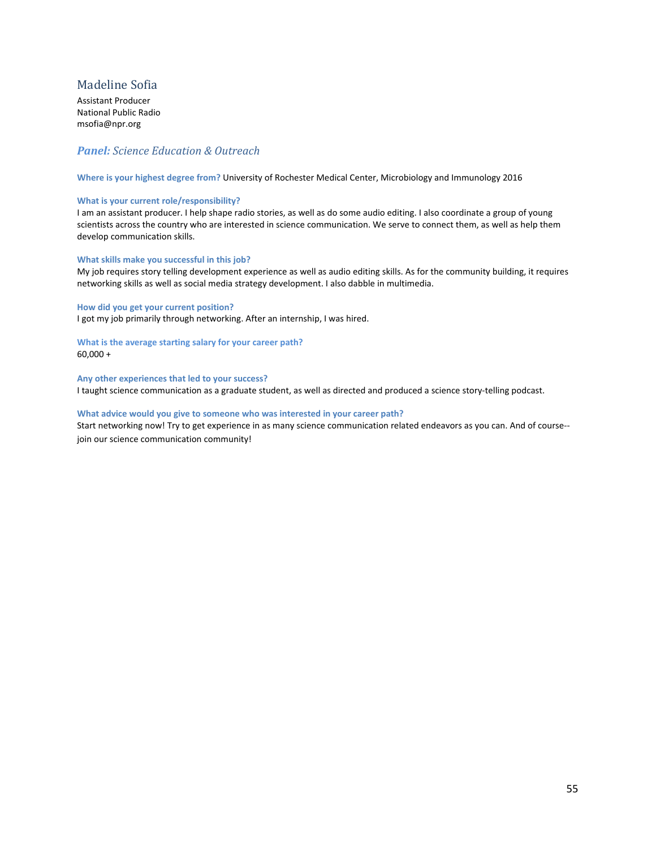# <span id="page-54-0"></span>Madeline Sofia

Assistant Producer National Public Radio msofia@npr.org

# *Panel: Science Education & Outreach*

**Where is your highest degree from?** University of Rochester Medical Center, Microbiology and Immunology 2016

#### **What is your current role/responsibility?**

I am an assistant producer. I help shape radio stories, as well as do some audio editing. I also coordinate a group of young scientists across the country who are interested in science communication. We serve to connect them, as well as help them develop communication skills.

#### **What skills make you successful in this job?**

My job requires story telling development experience as well as audio editing skills. As for the community building, it requires networking skills as well as social media strategy development. I also dabble in multimedia.

#### **How did you get your current position?**

I got my job primarily through networking. After an internship, I was hired.

**What is the average starting salary for your career path?**  $60,000 +$ 

**Any other experiences that led to your success?** I taught science communication as a graduate student, as well as directed and produced a science story-telling podcast.

## **What advice would you give to someone who was interested in your career path?**

Start networking now! Try to get experience in as many science communication related endeavors as you can. And of course- join our science communication community!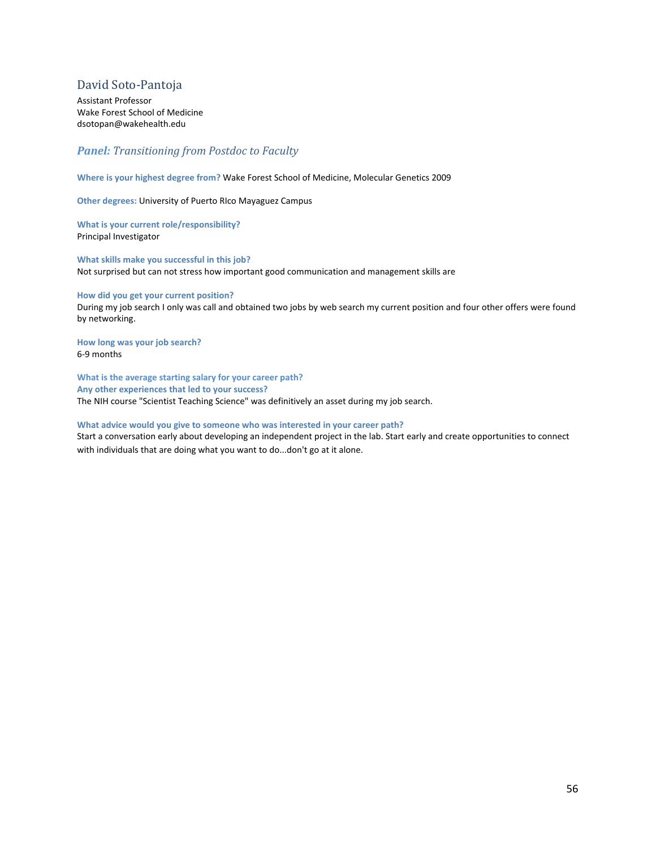# <span id="page-55-0"></span>David Soto-Pantoja

Assistant Professor Wake Forest School of Medicine dsotopan@wakehealth.edu

# *Panel: Transitioning from Postdoc to Faculty*

**Where is your highest degree from?** Wake Forest School of Medicine, Molecular Genetics 2009

**Other degrees:** University of Puerto RIco Mayaguez Campus

**What is your current role/responsibility?**  Principal Investigator

**What skills make you successful in this job?**  Not surprised but can not stress how important good communication and management skills are

#### **How did you get your current position?**

During my job search I only was call and obtained two jobs by web search my current position and four other offers were found by networking.

**How long was your job search?** 6-9 months

**What is the average starting salary for your career path? Any other experiences that led to your success?** The NIH course "Scientist Teaching Science" was definitively an asset during my job search.

#### **What advice would you give to someone who was interested in your career path?**

Start a conversation early about developing an independent project in the lab. Start early and create opportunities to connect with individuals that are doing what you want to do...don't go at it alone.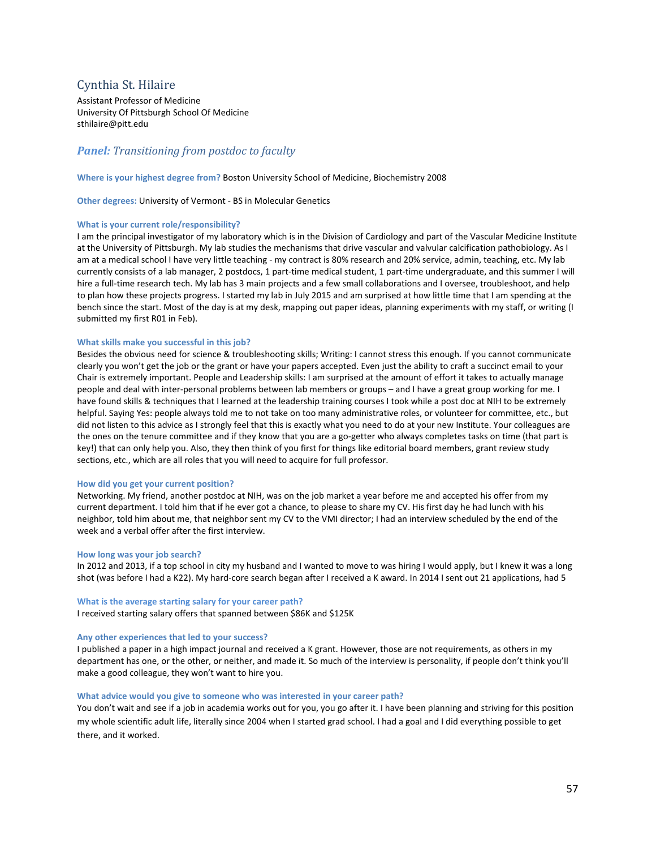# <span id="page-56-0"></span>Cynthia St. Hilaire

Assistant Professor of Medicine University Of Pittsburgh School Of Medicine sthilaire@pitt.edu

# *Panel: Transitioning from postdoc to faculty*

**Where is your highest degree from?** Boston University School of Medicine, Biochemistry 2008

**Other degrees:** University of Vermont - BS in Molecular Genetics

#### **What is your current role/responsibility?**

I am the principal investigator of my laboratory which is in the Division of Cardiology and part of the Vascular Medicine Institute at the University of Pittsburgh. My lab studies the mechanisms that drive vascular and valvular calcification pathobiology. As I am at a medical school I have very little teaching - my contract is 80% research and 20% service, admin, teaching, etc. My lab currently consists of a lab manager, 2 postdocs, 1 part-time medical student, 1 part-time undergraduate, and this summer I will hire a full-time research tech. My lab has 3 main projects and a few small collaborations and I oversee, troubleshoot, and help to plan how these projects progress. I started my lab in July 2015 and am surprised at how little time that I am spending at the bench since the start. Most of the day is at my desk, mapping out paper ideas, planning experiments with my staff, or writing (I submitted my first R01 in Feb).

#### **What skills make you successful in this job?**

Besides the obvious need for science & troubleshooting skills; Writing: I cannot stress this enough. If you cannot communicate clearly you won't get the job or the grant or have your papers accepted. Even just the ability to craft a succinct email to your Chair is extremely important. People and Leadership skills: I am surprised at the amount of effort it takes to actually manage people and deal with inter-personal problems between lab members or groups – and I have a great group working for me. I have found skills & techniques that I learned at the leadership training courses I took while a post doc at NIH to be extremely helpful. Saying Yes: people always told me to not take on too many administrative roles, or volunteer for committee, etc., but did not listen to this advice as I strongly feel that this is exactly what you need to do at your new Institute. Your colleagues are the ones on the tenure committee and if they know that you are a go-getter who always completes tasks on time (that part is key!) that can only help you. Also, they then think of you first for things like editorial board members, grant review study sections, etc., which are all roles that you will need to acquire for full professor.

#### **How did you get your current position?**

Networking. My friend, another postdoc at NIH, was on the job market a year before me and accepted his offer from my current department. I told him that if he ever got a chance, to please to share my CV. His first day he had lunch with his neighbor, told him about me, that neighbor sent my CV to the VMI director; I had an interview scheduled by the end of the week and a verbal offer after the first interview.

#### **How long was your job search?**

In 2012 and 2013, if a top school in city my husband and I wanted to move to was hiring I would apply, but I knew it was a long shot (was before I had a K22). My hard-core search began after I received a K award. In 2014 I sent out 21 applications, had 5

#### **What is the average starting salary for your career path?**

I received starting salary offers that spanned between \$86K and \$125K

#### **Any other experiences that led to your success?**

I published a paper in a high impact journal and received a K grant. However, those are not requirements, as others in my department has one, or the other, or neither, and made it. So much of the interview is personality, if people don't think you'll make a good colleague, they won't want to hire you.

#### **What advice would you give to someone who was interested in your career path?**

You don't wait and see if a job in academia works out for you, you go after it. I have been planning and striving for this position my whole scientific adult life, literally since 2004 when I started grad school. I had a goal and I did everything possible to get there, and it worked.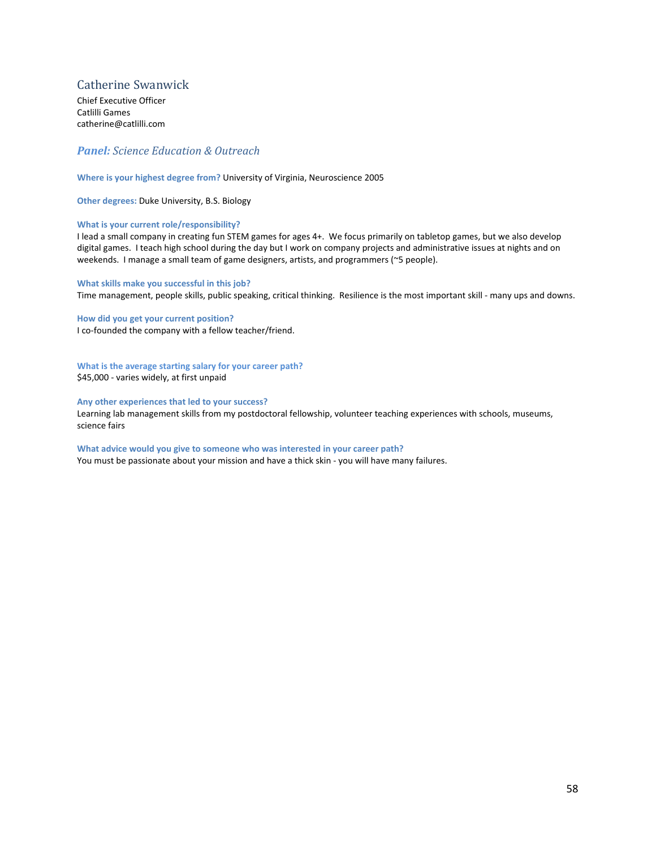# <span id="page-57-0"></span>Catherine Swanwick

Chief Executive Officer Catlilli Games catherine@catlilli.com

# *Panel: Science Education & Outreach*

#### **Where is your highest degree from?** University of Virginia, Neuroscience 2005

**Other degrees:** Duke University, B.S. Biology

#### **What is your current role/responsibility?**

I lead a small company in creating fun STEM games for ages 4+. We focus primarily on tabletop games, but we also develop digital games. I teach high school during the day but I work on company projects and administrative issues at nights and on weekends. I manage a small team of game designers, artists, and programmers (~5 people).

#### **What skills make you successful in this job?**

Time management, people skills, public speaking, critical thinking. Resilience is the most important skill - many ups and downs.

**How did you get your current position?**  I co-founded the company with a fellow teacher/friend.

**What is the average starting salary for your career path?** \$45,000 - varies widely, at first unpaid

#### **Any other experiences that led to your success?**

Learning lab management skills from my postdoctoral fellowship, volunteer teaching experiences with schools, museums, science fairs

#### **What advice would you give to someone who was interested in your career path?**

You must be passionate about your mission and have a thick skin - you will have many failures.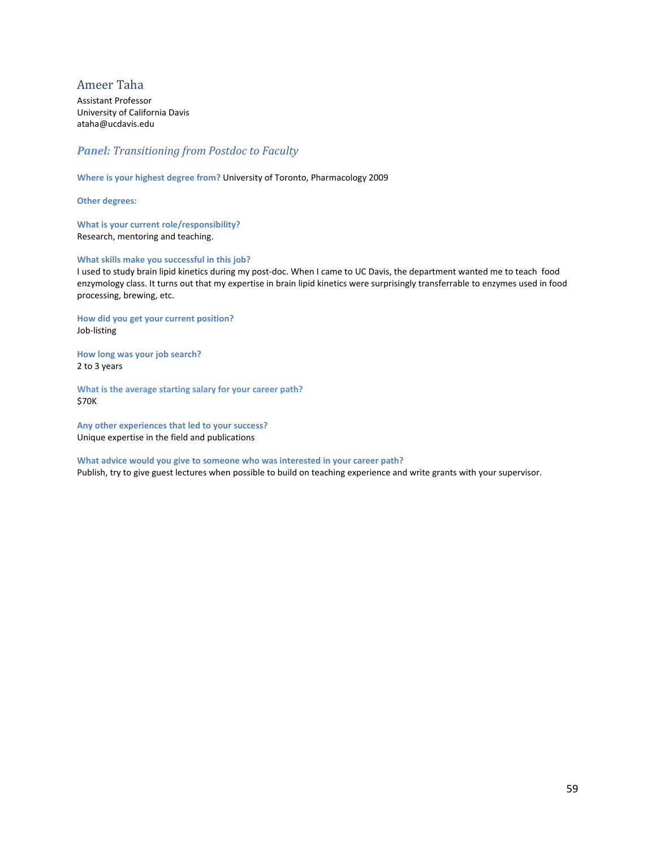# <span id="page-58-0"></span>Ameer Taha

Assistant Professor University of California Davis ataha@ucdavis.edu

# *Panel: Transitioning from Postdoc to Faculty*

**Where is your highest degree from?** University of Toronto, Pharmacology 2009

**Other degrees:** 

**What is your current role/responsibility?**  Research, mentoring and teaching.

#### **What skills make you successful in this job?**

I used to study brain lipid kinetics during my post-doc. When I came to UC Davis, the department wanted me to teach food enzymology class. It turns out that my expertise in brain lipid kinetics were surprisingly transferrable to enzymes used in food processing, brewing, etc.

**How did you get your current position?**  Job-listing

**How long was your job search?** 2 to 3 years

**What is the average starting salary for your career path?** \$70K

**Any other experiences that led to your success?** Unique expertise in the field and publications

**What advice would you give to someone who was interested in your career path?** Publish, try to give guest lectures when possible to build on teaching experience and write grants with your supervisor.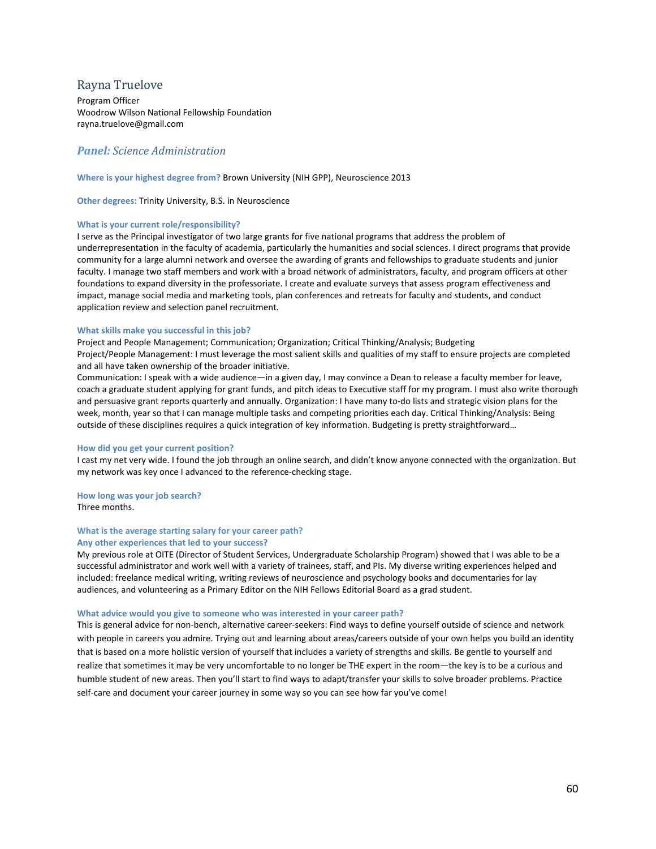## <span id="page-59-0"></span>Rayna Truelove

Program Officer Woodrow Wilson National Fellowship Foundation rayna.truelove@gmail.com

## *Panel: Science Administration*

#### **Where is your highest degree from?** Brown University (NIH GPP), Neuroscience 2013

**Other degrees:** Trinity University, B.S. in Neuroscience

#### **What is your current role/responsibility?**

I serve as the Principal investigator of two large grants for five national programs that address the problem of underrepresentation in the faculty of academia, particularly the humanities and social sciences. I direct programs that provide community for a large alumni network and oversee the awarding of grants and fellowships to graduate students and junior faculty. I manage two staff members and work with a broad network of administrators, faculty, and program officers at other foundations to expand diversity in the professoriate. I create and evaluate surveys that assess program effectiveness and impact, manage social media and marketing tools, plan conferences and retreats for faculty and students, and conduct application review and selection panel recruitment.

#### **What skills make you successful in this job?**

Project and People Management; Communication; Organization; Critical Thinking/Analysis; Budgeting Project/People Management: I must leverage the most salient skills and qualities of my staff to ensure projects are completed and all have taken ownership of the broader initiative.

Communication: I speak with a wide audience—in a given day, I may convince a Dean to release a faculty member for leave, coach a graduate student applying for grant funds, and pitch ideas to Executive staff for my program. I must also write thorough and persuasive grant reports quarterly and annually. Organization: I have many to-do lists and strategic vision plans for the week, month, year so that I can manage multiple tasks and competing priorities each day. Critical Thinking/Analysis: Being outside of these disciplines requires a quick integration of key information. Budgeting is pretty straightforward…

#### **How did you get your current position?**

I cast my net very wide. I found the job through an online search, and didn't know anyone connected with the organization. But my network was key once I advanced to the reference-checking stage.

# **How long was your job search?**

Three months.

#### **What is the average starting salary for your career path? Any other experiences that led to your success?**

My previous role at OITE (Director of Student Services, Undergraduate Scholarship Program) showed that I was able to be a successful administrator and work well with a variety of trainees, staff, and PIs. My diverse writing experiences helped and included: freelance medical writing, writing reviews of neuroscience and psychology books and documentaries for lay audiences, and volunteering as a Primary Editor on the NIH Fellows Editorial Board as a grad student.

#### **What advice would you give to someone who was interested in your career path?**

This is general advice for non-bench, alternative career-seekers: Find ways to define yourself outside of science and network with people in careers you admire. Trying out and learning about areas/careers outside of your own helps you build an identity that is based on a more holistic version of yourself that includes a variety of strengths and skills. Be gentle to yourself and realize that sometimes it may be very uncomfortable to no longer be THE expert in the room—the key is to be a curious and humble student of new areas. Then you'll start to find ways to adapt/transfer your skills to solve broader problems. Practice self-care and document your career journey in some way so you can see how far you've come!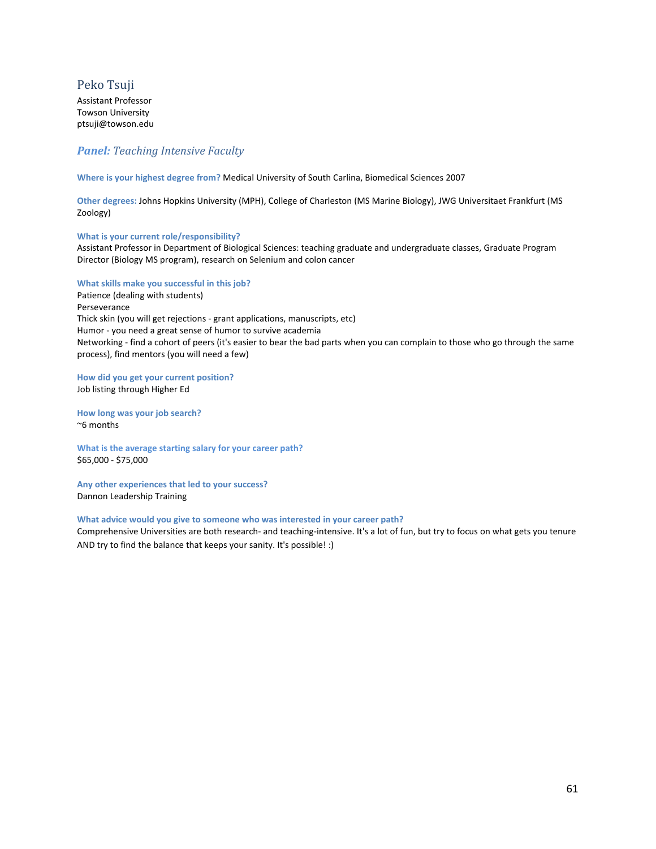# <span id="page-60-0"></span>Peko Tsuji

Assistant Professor Towson University ptsuji@towson.edu

# *Panel: Teaching Intensive Faculty*

**Where is your highest degree from?** Medical University of South Carlina, Biomedical Sciences 2007

**Other degrees:** Johns Hopkins University (MPH), College of Charleston (MS Marine Biology), JWG Universitaet Frankfurt (MS Zoology)

#### **What is your current role/responsibility?**

Assistant Professor in Department of Biological Sciences: teaching graduate and undergraduate classes, Graduate Program Director (Biology MS program), research on Selenium and colon cancer

#### **What skills make you successful in this job?**

Patience (dealing with students) Perseverance Thick skin (you will get rejections - grant applications, manuscripts, etc) Humor - you need a great sense of humor to survive academia Networking - find a cohort of peers (it's easier to bear the bad parts when you can complain to those who go through the same process), find mentors (you will need a few)

**How did you get your current position?**  Job listing through Higher Ed

**How long was your job search?** ~6 months

**What is the average starting salary for your career path?** \$65,000 - \$75,000

**Any other experiences that led to your success?** Dannon Leadership Training

#### **What advice would you give to someone who was interested in your career path?**

Comprehensive Universities are both research- and teaching-intensive. It's a lot of fun, but try to focus on what gets you tenure AND try to find the balance that keeps your sanity. It's possible! :)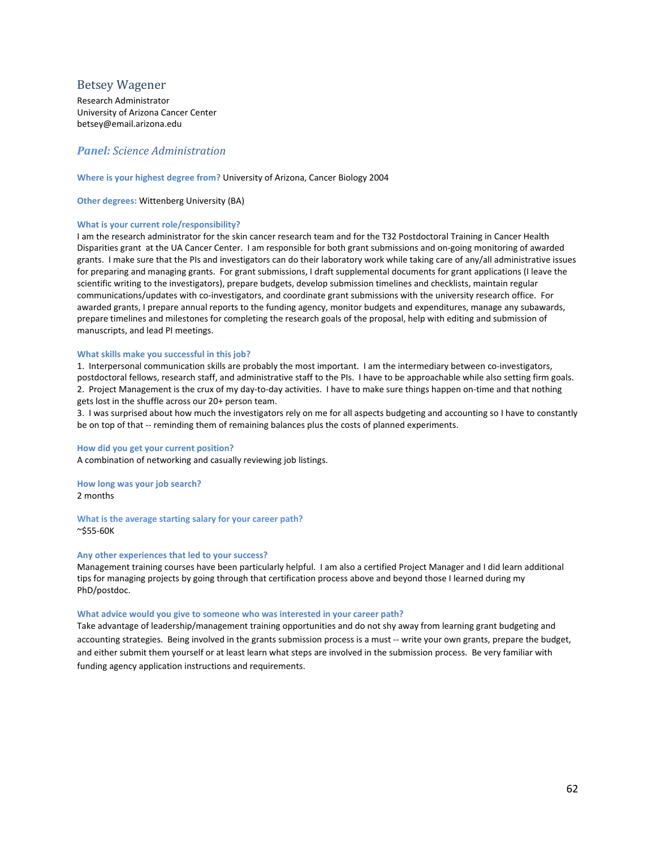## <span id="page-61-0"></span>Betsey Wagener

Research Administrator University of Arizona Cancer Center betsey@email.arizona.edu

## *Panel: Science Administration*

#### **Where is your highest degree from?** University of Arizona, Cancer Biology 2004

**Other degrees:** Wittenberg University (BA)

#### **What is your current role/responsibility?**

I am the research administrator for the skin cancer research team and for the T32 Postdoctoral Training in Cancer Health Disparities grant at the UA Cancer Center. I am responsible for both grant submissions and on-going monitoring of awarded grants. I make sure that the PIs and investigators can do their laboratory work while taking care of any/all administrative issues for preparing and managing grants. For grant submissions, I draft supplemental documents for grant applications (I leave the scientific writing to the investigators), prepare budgets, develop submission timelines and checklists, maintain regular communications/updates with co-investigators, and coordinate grant submissions with the university research office. For awarded grants, I prepare annual reports to the funding agency, monitor budgets and expenditures, manage any subawards, prepare timelines and milestones for completing the research goals of the proposal, help with editing and submission of manuscripts, and lead PI meetings.

#### **What skills make you successful in this job?**

1. Interpersonal communication skills are probably the most important. I am the intermediary between co-investigators, postdoctoral fellows, research staff, and administrative staff to the PIs. I have to be approachable while also setting firm goals. 2. Project Management is the crux of my day-to-day activities. I have to make sure things happen on-time and that nothing gets lost in the shuffle across our 20+ person team.

3. I was surprised about how much the investigators rely on me for all aspects budgeting and accounting so I have to constantly be on top of that -- reminding them of remaining balances plus the costs of planned experiments.

#### **How did you get your current position?**

A combination of networking and casually reviewing job listings.

**How long was your job search?** 2 months

**What is the average starting salary for your career path?** ~\$55-60K

#### **Any other experiences that led to your success?**

Management training courses have been particularly helpful. I am also a certified Project Manager and I did learn additional tips for managing projects by going through that certification process above and beyond those I learned during my PhD/postdoc.

#### **What advice would you give to someone who was interested in your career path?**

Take advantage of leadership/management training opportunities and do not shy away from learning grant budgeting and accounting strategies. Being involved in the grants submission process is a must -- write your own grants, prepare the budget, and either submit them yourself or at least learn what steps are involved in the submission process. Be very familiar with funding agency application instructions and requirements.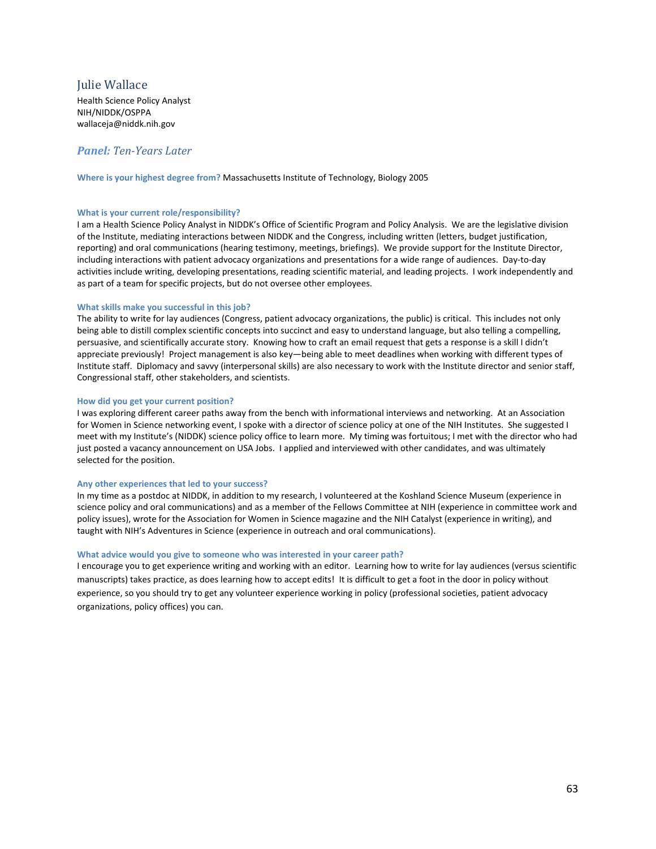# <span id="page-62-0"></span>Julie Wallace

Health Science Policy Analyst NIH/NIDDK/OSPPA wallaceja@niddk.nih.gov

# *Panel: Ten-Years Later*

**Where is your highest degree from?** Massachusetts Institute of Technology, Biology 2005

#### **What is your current role/responsibility?**

I am a Health Science Policy Analyst in NIDDK's Office of Scientific Program and Policy Analysis. We are the legislative division of the Institute, mediating interactions between NIDDK and the Congress, including written (letters, budget justification, reporting) and oral communications (hearing testimony, meetings, briefings). We provide support for the Institute Director, including interactions with patient advocacy organizations and presentations for a wide range of audiences. Day-to-day activities include writing, developing presentations, reading scientific material, and leading projects. I work independently and as part of a team for specific projects, but do not oversee other employees.

#### **What skills make you successful in this job?**

The ability to write for lay audiences (Congress, patient advocacy organizations, the public) is critical. This includes not only being able to distill complex scientific concepts into succinct and easy to understand language, but also telling a compelling, persuasive, and scientifically accurate story. Knowing how to craft an email request that gets a response is a skill I didn't appreciate previously! Project management is also key—being able to meet deadlines when working with different types of Institute staff. Diplomacy and savvy (interpersonal skills) are also necessary to work with the Institute director and senior staff, Congressional staff, other stakeholders, and scientists.

#### **How did you get your current position?**

I was exploring different career paths away from the bench with informational interviews and networking. At an Association for Women in Science networking event, I spoke with a director of science policy at one of the NIH Institutes. She suggested I meet with my Institute's (NIDDK) science policy office to learn more. My timing was fortuitous; I met with the director who had just posted a vacancy announcement on USA Jobs. I applied and interviewed with other candidates, and was ultimately selected for the position.

#### **Any other experiences that led to your success?**

In my time as a postdoc at NIDDK, in addition to my research, I volunteered at the Koshland Science Museum (experience in science policy and oral communications) and as a member of the Fellows Committee at NIH (experience in committee work and policy issues), wrote for the Association for Women in Science magazine and the NIH Catalyst (experience in writing), and taught with NIH's Adventures in Science (experience in outreach and oral communications).

#### **What advice would you give to someone who was interested in your career path?**

I encourage you to get experience writing and working with an editor. Learning how to write for lay audiences (versus scientific manuscripts) takes practice, as does learning how to accept edits! It is difficult to get a foot in the door in policy without experience, so you should try to get any volunteer experience working in policy (professional societies, patient advocacy organizations, policy offices) you can.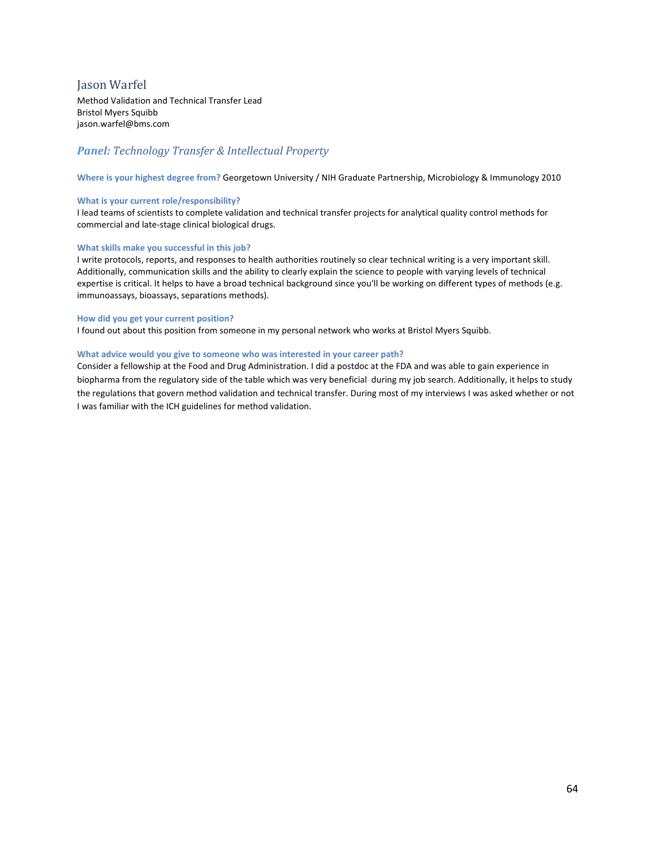# <span id="page-63-0"></span>Jason Warfel

Method Validation and Technical Transfer Lead Bristol Myers Squibb jason.warfel@bms.com

# *Panel: Technology Transfer & Intellectual Property*

**Where is your highest degree from?** Georgetown University / NIH Graduate Partnership, Microbiology & Immunology 2010

#### **What is your current role/responsibility?**

I lead teams of scientists to complete validation and technical transfer projects for analytical quality control methods for commercial and late-stage clinical biological drugs.

#### **What skills make you successful in this job?**

I write protocols, reports, and responses to health authorities routinely so clear technical writing is a very important skill. Additionally, communication skills and the ability to clearly explain the science to people with varying levels of technical expertise is critical. It helps to have a broad technical background since you'll be working on different types of methods (e.g. immunoassays, bioassays, separations methods).

#### **How did you get your current position?**

I found out about this position from someone in my personal network who works at Bristol Myers Squibb.

#### **What advice would you give to someone who was interested in your career path?**

Consider a fellowship at the Food and Drug Administration. I did a postdoc at the FDA and was able to gain experience in biopharma from the regulatory side of the table which was very beneficial during my job search. Additionally, it helps to study the regulations that govern method validation and technical transfer. During most of my interviews I was asked whether or not I was familiar with the ICH guidelines for method validation.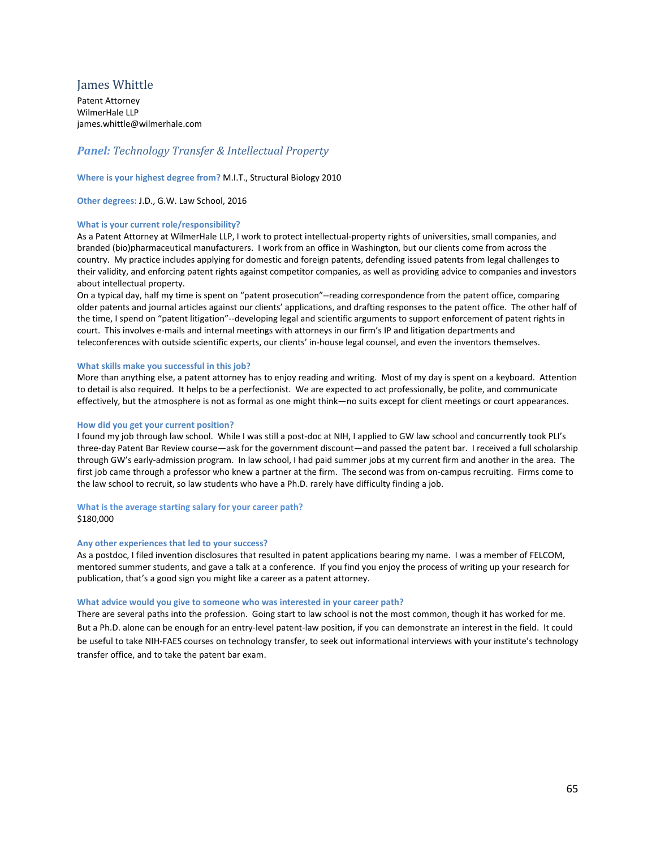# <span id="page-64-0"></span>James Whittle

Patent Attorney WilmerHale LLP james.whittle@wilmerhale.com

# *Panel: Technology Transfer & Intellectual Property*

#### **Where is your highest degree from?** M.I.T., Structural Biology 2010

**Other degrees:** J.D., G.W. Law School, 2016

#### **What is your current role/responsibility?**

As a Patent Attorney at WilmerHale LLP, I work to protect intellectual-property rights of universities, small companies, and branded (bio)pharmaceutical manufacturers. I work from an office in Washington, but our clients come from across the country. My practice includes applying for domestic and foreign patents, defending issued patents from legal challenges to their validity, and enforcing patent rights against competitor companies, as well as providing advice to companies and investors about intellectual property.

On a typical day, half my time is spent on "patent prosecution"--reading correspondence from the patent office, comparing older patents and journal articles against our clients' applications, and drafting responses to the patent office. The other half of the time, I spend on "patent litigation"--developing legal and scientific arguments to support enforcement of patent rights in court. This involves e-mails and internal meetings with attorneys in our firm's IP and litigation departments and teleconferences with outside scientific experts, our clients' in-house legal counsel, and even the inventors themselves.

#### **What skills make you successful in this job?**

More than anything else, a patent attorney has to enjoy reading and writing. Most of my day is spent on a keyboard. Attention to detail is also required. It helps to be a perfectionist. We are expected to act professionally, be polite, and communicate effectively, but the atmosphere is not as formal as one might think—no suits except for client meetings or court appearances.

#### **How did you get your current position?**

I found my job through law school. While I was still a post-doc at NIH, I applied to GW law school and concurrently took PLI's three-day Patent Bar Review course—ask for the government discount—and passed the patent bar. I received a full scholarship through GW's early-admission program. In law school, I had paid summer jobs at my current firm and another in the area. The first job came through a professor who knew a partner at the firm. The second was from on-campus recruiting. Firms come to the law school to recruit, so law students who have a Ph.D. rarely have difficulty finding a job.

#### **What is the average starting salary for your career path?**

#### \$180,000

#### **Any other experiences that led to your success?**

As a postdoc, I filed invention disclosures that resulted in patent applications bearing my name. I was a member of FELCOM, mentored summer students, and gave a talk at a conference. If you find you enjoy the process of writing up your research for publication, that's a good sign you might like a career as a patent attorney.

#### **What advice would you give to someone who was interested in your career path?**

There are several paths into the profession. Going start to law school is not the most common, though it has worked for me. But a Ph.D. alone can be enough for an entry-level patent-law position, if you can demonstrate an interest in the field. It could be useful to take NIH-FAES courses on technology transfer, to seek out informational interviews with your institute's technology transfer office, and to take the patent bar exam.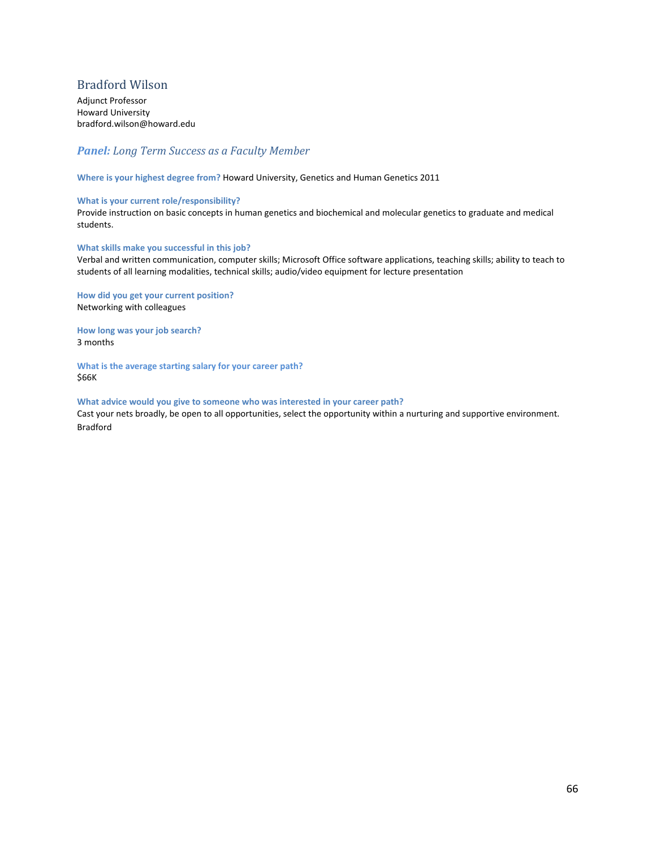# <span id="page-65-0"></span>Bradford Wilson

Adjunct Professor Howard University bradford.wilson@howard.edu

# *Panel: Long Term Success as a Faculty Member*

**Where is your highest degree from?** Howard University, Genetics and Human Genetics 2011

#### **What is your current role/responsibility?**

Provide instruction on basic concepts in human genetics and biochemical and molecular genetics to graduate and medical students.

#### **What skills make you successful in this job?**

Verbal and written communication, computer skills; Microsoft Office software applications, teaching skills; ability to teach to students of all learning modalities, technical skills; audio/video equipment for lecture presentation

**How did you get your current position?**  Networking with colleagues

**How long was your job search?** 3 months

**What is the average starting salary for your career path?** \$66K

#### **What advice would you give to someone who was interested in your career path?**

Cast your nets broadly, be open to all opportunities, select the opportunity within a nurturing and supportive environment. Bradford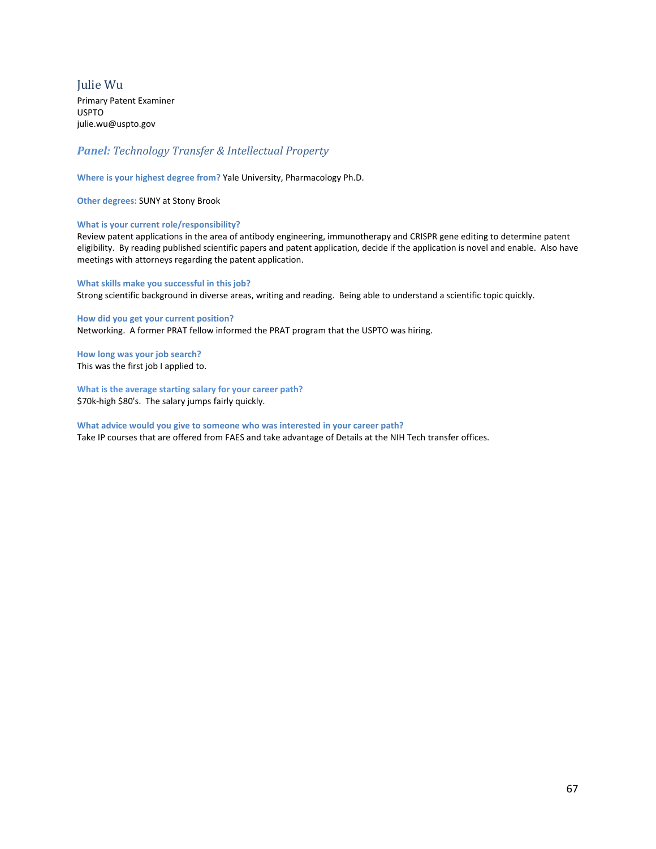<span id="page-66-0"></span>Julie Wu Primary Patent Examiner USPTO julie.wu@uspto.gov

# *Panel: Technology Transfer & Intellectual Property*

**Where is your highest degree from?** Yale University, Pharmacology Ph.D.

**Other degrees:** SUNY at Stony Brook

#### **What is your current role/responsibility?**

Review patent applications in the area of antibody engineering, immunotherapy and CRISPR gene editing to determine patent eligibility. By reading published scientific papers and patent application, decide if the application is novel and enable. Also have meetings with attorneys regarding the patent application.

**What skills make you successful in this job?**  Strong scientific background in diverse areas, writing and reading. Being able to understand a scientific topic quickly.

**How did you get your current position?**  Networking. A former PRAT fellow informed the PRAT program that the USPTO was hiring.

**How long was your job search?** This was the first job I applied to.

**What is the average starting salary for your career path?** \$70k-high \$80's. The salary jumps fairly quickly.

**What advice would you give to someone who was interested in your career path?** Take IP courses that are offered from FAES and take advantage of Details at the NIH Tech transfer offices.